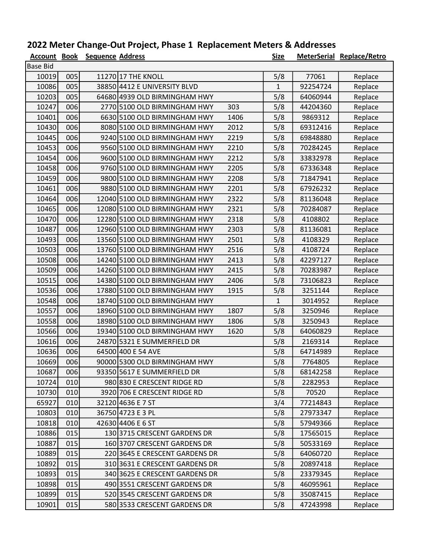## 2022 Meter Change-Out Project, Phase 1 Replacement Meters & Addresses

| <b>Account Book</b> |     | <b>Sequence Address</b> |                                       | <b>Size</b>  |          | <b>MeterSerial Replace/Retro</b> |
|---------------------|-----|-------------------------|---------------------------------------|--------------|----------|----------------------------------|
| <b>Base Bid</b>     |     |                         |                                       |              |          |                                  |
| 10019               | 005 |                         | 11270 17 THE KNOLL                    | 5/8          | 77061    | Replace                          |
| 10086               | 005 |                         | 38850 4412 E UNIVERSITY BLVD          | $\mathbf{1}$ | 92254724 | Replace                          |
| 10203               | 005 |                         | 64680 4939 OLD BIRMINGHAM HWY         | 5/8          | 64060944 | Replace                          |
| 10247               | 006 |                         | 2770 5100 OLD BIRMINGHAM HWY<br>303   | 5/8          | 44204360 | Replace                          |
| 10401               | 006 |                         | 6630 5100 OLD BIRMINGHAM HWY<br>1406  | 5/8          | 9869312  | Replace                          |
| 10430               | 006 |                         | 8080 5100 OLD BIRMINGHAM HWY<br>2012  | 5/8          | 69312416 | Replace                          |
| 10445               | 006 |                         | 9240 5100 OLD BIRMINGHAM HWY<br>2219  | 5/8          | 69848880 | Replace                          |
| 10453               | 006 |                         | 9560 5100 OLD BIRMINGHAM HWY<br>2210  | 5/8          | 70284245 | Replace                          |
| 10454               | 006 |                         | 9600 5100 OLD BIRMINGHAM HWY<br>2212  | 5/8          | 33832978 | Replace                          |
| 10458               | 006 |                         | 9760 5100 OLD BIRMINGHAM HWY<br>2205  | 5/8          | 67336348 | Replace                          |
| 10459               | 006 |                         | 2208<br>9800 5100 OLD BIRMINGHAM HWY  | 5/8          | 71847941 | Replace                          |
| 10461               | 006 |                         | 9880 5100 OLD BIRMINGHAM HWY<br>2201  | 5/8          | 67926232 | Replace                          |
| 10464               | 006 |                         | 12040 5100 OLD BIRMINGHAM HWY<br>2322 | 5/8          | 81136048 | Replace                          |
| 10465               | 006 |                         | 12080 5100 OLD BIRMINGHAM HWY<br>2321 | 5/8          | 70284087 | Replace                          |
| 10470               | 006 |                         | 12280 5100 OLD BIRMINGHAM HWY<br>2318 | 5/8          | 4108802  | Replace                          |
| 10487               | 006 |                         | 12960 5100 OLD BIRMINGHAM HWY<br>2303 | 5/8          | 81136081 | Replace                          |
| 10493               | 006 |                         | 13560 5100 OLD BIRMINGHAM HWY<br>2501 | 5/8          | 4108329  | Replace                          |
| 10503               | 006 |                         | 13760 5100 OLD BIRMINGHAM HWY<br>2516 | 5/8          | 4108724  | Replace                          |
| 10508               | 006 |                         | 14240 5100 OLD BIRMINGHAM HWY<br>2413 | 5/8          | 42297127 | Replace                          |
| 10509               | 006 |                         | 14260 5100 OLD BIRMINGHAM HWY<br>2415 | 5/8          | 70283987 | Replace                          |
| 10515               | 006 |                         | 14380 5100 OLD BIRMINGHAM HWY<br>2406 | 5/8          | 73106823 | Replace                          |
| 10536               | 006 |                         | 17880 5100 OLD BIRMINGHAM HWY<br>1915 | 5/8          | 3251144  | Replace                          |
| 10548               | 006 |                         | 18740 5100 OLD BIRMINGHAM HWY         | $\mathbf{1}$ | 3014952  | Replace                          |
| 10557               | 006 |                         | 18960 5100 OLD BIRMINGHAM HWY<br>1807 | 5/8          | 3250946  | Replace                          |
| 10558               | 006 |                         | 18980 5100 OLD BIRMINGHAM HWY<br>1806 | 5/8          | 3250943  | Replace                          |
| 10566               | 006 |                         | 19340 5100 OLD BIRMINGHAM HWY<br>1620 | 5/8          | 64060829 | Replace                          |
| 10616               | 006 |                         | 24870 5321 E SUMMERFIELD DR           | 5/8          | 2169314  | Replace                          |
| 10636               | 006 |                         | 64500 400 E 54 AVE                    | 5/8          | 64714989 | Replace                          |
| 10669               | 006 |                         | 90000 5300 OLD BIRMINGHAM HWY         | 5/8          | 7764805  | Replace                          |
| 10687               | 006 |                         | 93350 5617 E SUMMERFIELD DR           | 5/8          | 68142258 | Replace                          |
| 10724               | 010 |                         | 980 830 E CRESCENT RIDGE RD           | 5/8          | 2282953  | Replace                          |
| 10730               | 010 |                         | 3920 706 E CRESCENT RIDGE RD          | 5/8          | 70520    | Replace                          |
| 65927               | 010 |                         | 32120 4636 E 7 ST                     | 3/4          | 77214843 | Replace                          |
| 10803               | 010 |                         | 36750 4723 E 3 PL                     | 5/8          | 27973347 | Replace                          |
| 10818               | 010 |                         | 42630 4406 E 6 ST                     | 5/8          | 57949366 | Replace                          |
| 10886               | 015 |                         | 130 3715 CRESCENT GARDENS DR          | 5/8          | 17565015 | Replace                          |
| 10887               | 015 |                         | 160 3707 CRESCENT GARDENS DR          | 5/8          | 50533169 | Replace                          |
| 10889               | 015 |                         | 220 3645 E CRESCENT GARDENS DR        | 5/8          | 64060720 | Replace                          |
| 10892               | 015 |                         | 310 3631 E CRESCENT GARDENS DR        | 5/8          | 20897418 | Replace                          |
| 10893               | 015 |                         | 340 3625 E CRESCENT GARDENS DR        | 5/8          | 23379345 | Replace                          |
| 10898               | 015 |                         | 490 3551 CRESCENT GARDENS DR          | 5/8          | 46095961 | Replace                          |
| 10899               | 015 |                         | 520 3545 CRESCENT GARDENS DR          | 5/8          | 35087415 | Replace                          |
| 10901               | 015 |                         | 580 3533 CRESCENT GARDENS DR          | 5/8          | 47243998 | Replace                          |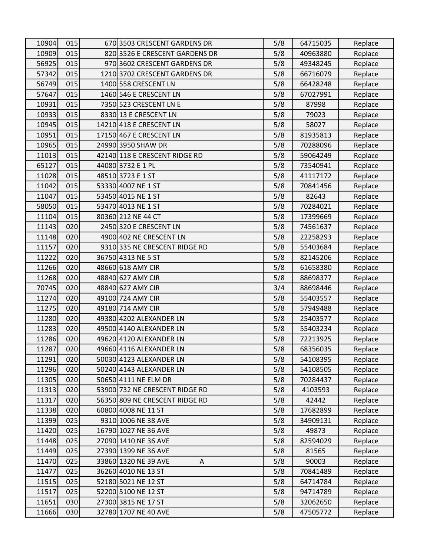| 10904 | 015 | 670 3503 CRESCENT GARDENS DR   | 5/8 | 64715035 | Replace |
|-------|-----|--------------------------------|-----|----------|---------|
| 10909 | 015 | 820 3526 E CRESCENT GARDENS DR | 5/8 | 40963880 | Replace |
| 56925 | 015 | 970 3602 CRESCENT GARDENS DR   | 5/8 | 49348245 | Replace |
| 57342 | 015 | 1210 3702 CRESCENT GARDENS DR  | 5/8 | 66716079 | Replace |
| 56749 | 015 | 1400 558 CRESCENT LN           | 5/8 | 66428248 | Replace |
| 57647 | 015 | 1460 546 E CRESCENT LN         | 5/8 | 67027991 | Replace |
| 10931 | 015 | 7350 523 CRESCENT LN E         | 5/8 | 87998    | Replace |
| 10933 | 015 | 8330 13 E CRESCENT LN          | 5/8 | 79023    | Replace |
| 10945 | 015 | 14210 418 E CRESCENT LN        | 5/8 | 58027    | Replace |
| 10951 | 015 | 17150 467 E CRESCENT LN        | 5/8 | 81935813 | Replace |
| 10965 | 015 | 24990 3950 SHAW DR             | 5/8 | 70288096 | Replace |
| 11013 | 015 | 42140 118 E CRESCENT RIDGE RD  | 5/8 | 59064249 | Replace |
| 65127 | 015 | 44080 3732 E 1 PL              | 5/8 | 73540941 | Replace |
| 11028 | 015 | 48510 3723 E 1 ST              | 5/8 | 41117172 | Replace |
| 11042 | 015 | 53330 4007 NE 1 ST             | 5/8 | 70841456 | Replace |
| 11047 | 015 | 53450 4015 NE 1 ST             | 5/8 | 82643    | Replace |
| 58050 | 015 | 53470 4013 NE 1 ST             | 5/8 | 70284021 | Replace |
| 11104 | 015 | 80360 212 NE 44 CT             | 5/8 | 17399669 | Replace |
| 11143 | 020 | 2450 320 E CRESCENT LN         | 5/8 | 74561637 | Replace |
| 11148 | 020 | 4900 402 NE CRESCENT LN        | 5/8 | 22258293 | Replace |
| 11157 | 020 | 9310 335 NE CRESCENT RIDGE RD  | 5/8 | 55403684 | Replace |
| 11222 | 020 | 36750 4313 NE 5 ST             | 5/8 | 82145206 | Replace |
| 11266 | 020 | 48660 618 AMY CIR              | 5/8 | 61658380 | Replace |
| 11268 | 020 | 48840 627 AMY CIR              | 5/8 | 88698377 | Replace |
| 70745 | 020 | 48840 627 AMY CIR              | 3/4 | 88698446 | Replace |
| 11274 | 020 | 49100 724 AMY CIR              | 5/8 | 55403557 | Replace |
| 11275 | 020 | 49180 714 AMY CIR              | 5/8 | 57949488 | Replace |
| 11280 | 020 | 49380 4202 ALEXANDER LN        | 5/8 | 25403577 | Replace |
| 11283 | 020 | 49500 4140 ALEXANDER LN        | 5/8 | 55403234 | Replace |
| 11286 | 020 | 49620 4120 ALEXANDER LN        | 5/8 | 72213925 | Replace |
| 11287 | 020 | 49660 4116 ALEXANDER LN        | 5/8 | 68356035 | Replace |
| 11291 | 020 | 50030 4123 ALEXANDER LN        | 5/8 | 54108395 | Replace |
| 11296 | 020 | 50240 4143 ALEXANDER LN        | 5/8 | 54108505 | Replace |
| 11305 | 020 | 50650 4111 NE ELM DR           | 5/8 | 70284437 | Replace |
| 11313 | 020 | 53900 732 NE CRESCENT RIDGE RD | 5/8 | 4103593  | Replace |
| 11317 | 020 | 56350 809 NE CRESCENT RIDGE RD | 5/8 | 42442    | Replace |
| 11338 | 020 | 60800 4008 NE 11 ST            | 5/8 | 17682899 | Replace |
| 11399 | 025 | 9310 1006 NE 38 AVE            | 5/8 | 34909131 | Replace |
| 11420 | 025 | 16790 1027 NE 36 AVE           | 5/8 | 49873    | Replace |
| 11448 | 025 | 27090 1410 NE 36 AVE           | 5/8 | 82594029 | Replace |
| 11449 | 025 | 27390 1399 NE 36 AVE           | 5/8 | 81565    | Replace |
| 11470 | 025 | 33860 1320 NE 39 AVE<br>A      | 5/8 | 90003    | Replace |
| 11477 | 025 | 36260 4010 NE 13 ST            | 5/8 | 70841489 | Replace |
| 11515 | 025 | 52180 5021 NE 12 ST            | 5/8 | 64714784 | Replace |
| 11517 | 025 | 52200 5100 NE 12 ST            | 5/8 | 94714789 | Replace |
| 11651 | 030 | 27300 3815 NE 17 ST            | 5/8 | 32062650 | Replace |
| 11666 | 030 | 32780 1707 NE 40 AVE           | 5/8 | 47505772 | Replace |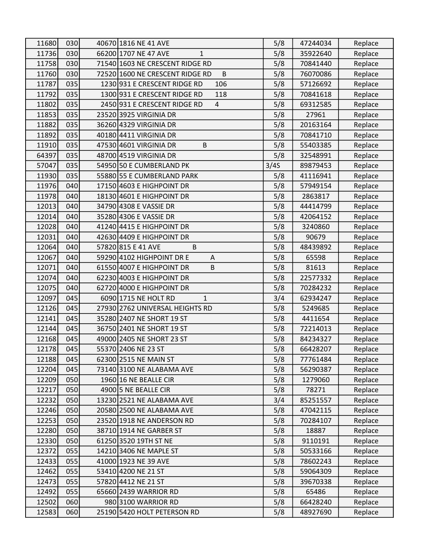| 11680 | 030 | 40670 1816 NE 41 AVE                       | 5/8  | 47244034 | Replace |
|-------|-----|--------------------------------------------|------|----------|---------|
| 11736 | 030 | 66200 1707 NE 47 AVE<br>$\mathbf{1}$       | 5/8  | 35922640 | Replace |
| 11758 | 030 | 71540 1603 NE CRESCENT RIDGE RD            | 5/8  | 70841440 | Replace |
| 11760 | 030 | 72520 1600 NE CRESCENT RIDGE RD<br>$\sf B$ | 5/8  | 76070086 | Replace |
| 11787 | 035 | 1230 931 E CRESCENT RIDGE RD<br>106        | 5/8  | 57126692 | Replace |
| 11792 | 035 | 1300 931 E CRESCENT RIDGE RD<br>118        | 5/8  | 70841618 | Replace |
| 11802 | 035 | 2450 931 E CRESCENT RIDGE RD<br>4          | 5/8  | 69312585 | Replace |
| 11853 | 035 | 23520 3925 VIRGINIA DR                     | 5/8  | 27961    | Replace |
| 11882 | 035 | 36260 4329 VIRGINIA DR                     | 5/8  | 20163164 | Replace |
| 11892 | 035 | 40180 4411 VIRGINIA DR                     | 5/8  | 70841710 | Replace |
| 11910 | 035 | 47530 4601 VIRGINIA DR<br>$\sf B$          | 5/8  | 55403385 | Replace |
| 64397 | 035 | 48700 4519 VIRGINIA DR                     | 5/8  | 32548991 | Replace |
| 57047 | 035 | 54950 50 E CUMBERLAND PK                   | 3/4S | 89879453 | Replace |
| 11930 | 035 | 55880 55 E CUMBERLAND PARK                 | 5/8  | 41116941 | Replace |
| 11976 | 040 | 17150 4603 E HIGHPOINT DR                  | 5/8  | 57949154 | Replace |
| 11978 | 040 | 18130 4601 E HIGHPOINT DR                  | 5/8  | 2863817  | Replace |
| 12013 | 040 | 34790 4308 E VASSIE DR                     | 5/8  | 44414799 | Replace |
| 12014 | 040 | 35280 4306 E VASSIE DR                     | 5/8  | 42064152 | Replace |
| 12028 | 040 | 41240 4415 E HIGHPOINT DR                  | 5/8  | 3240860  | Replace |
| 12031 | 040 | 42630 4409 E HIGHPOINT DR                  | 5/8  | 90679    | Replace |
| 12064 | 040 | 57820 815 E 41 AVE<br>B                    | 5/8  | 48439892 | Replace |
| 12067 | 040 | 59290 4102 HIGHPOINT DR E<br>Α             | 5/8  | 65598    | Replace |
| 12071 | 040 | 61550 4007 E HIGHPOINT DR<br>B             | 5/8  | 81613    | Replace |
| 12074 | 040 | 62230 4003 E HIGHPOINT DR                  | 5/8  | 22577332 | Replace |
| 12075 | 040 | 62720 4000 E HIGHPOINT DR                  | 5/8  | 70284232 | Replace |
| 12097 | 045 | 6090 1715 NE HOLT RD<br>$\mathbf{1}$       | 3/4  | 62934247 | Replace |
| 12126 | 045 | 27930 2762 UNIVERSAL HEIGHTS RD            | 5/8  | 5249685  | Replace |
| 12141 | 045 | 35280 2407 NE SHORT 19 ST                  | 5/8  | 4411654  | Replace |
| 12144 | 045 | 36750 2401 NE SHORT 19 ST                  | 5/8  | 72214013 | Replace |
| 12168 | 045 | 49000 2405 NE SHORT 23 ST                  | 5/8  | 84234327 | Replace |
| 12178 | 045 | 55370 2406 NE 23 ST                        | 5/8  | 66428207 | Replace |
| 12188 | 045 | 62300 2515 NE MAIN ST                      | 5/8  | 77761484 | Replace |
| 12204 | 045 | 73140 3100 NE ALABAMA AVE                  | 5/8  | 56290387 | Replace |
| 12209 | 050 | 1960 16 NE BEALLE CIR                      | 5/8  | 1279060  | Replace |
| 12217 | 050 | 4900 5 NE BEALLE CIR                       | 5/8  | 78271    | Replace |
| 12232 | 050 | 13230 2521 NE ALABAMA AVE                  | 3/4  | 85251557 | Replace |
| 12246 | 050 | 20580 2500 NE ALABAMA AVE                  | 5/8  | 47042115 | Replace |
| 12253 | 050 | 23520 1918 NE ANDERSON RD                  | 5/8  | 70284107 | Replace |
| 12280 | 050 | 38710 1914 NE GARBER ST                    | 5/8  | 18887    | Replace |
| 12330 | 050 | 61250 3520 19TH ST NE                      | 5/8  | 9110191  | Replace |
| 12372 | 055 | 14210 3406 NE MAPLE ST                     | 5/8  | 50533166 | Replace |
| 12433 | 055 | 41000 1923 NE 39 AVE                       | 5/8  | 78602243 | Replace |
| 12462 | 055 | 53410 4200 NE 21 ST                        | 5/8  | 59064309 | Replace |
| 12473 | 055 | 57820 4412 NE 21 ST                        | 5/8  | 39670338 | Replace |
| 12492 | 055 | 65660 2439 WARRIOR RD                      | 5/8  | 65486    | Replace |
| 12502 | 060 | 980 3100 WARRIOR RD                        | 5/8  | 66428240 | Replace |
| 12583 | 060 | 25190 5420 HOLT PETERSON RD                | 5/8  | 48927690 | Replace |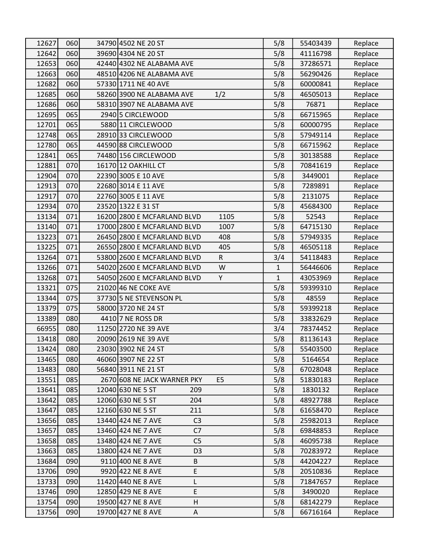| 12627 | 060 | 34790 4502 NE 20 ST                           | 5/8          | 55403439 | Replace |
|-------|-----|-----------------------------------------------|--------------|----------|---------|
| 12642 | 060 | 39690 4304 NE 20 ST                           | 5/8          | 41116798 | Replace |
| 12653 | 060 | 42440 4302 NE ALABAMA AVE                     | 5/8          | 37286571 | Replace |
| 12663 | 060 | 48510 4206 NE ALABAMA AVE                     | 5/8          | 56290426 | Replace |
| 12682 | 060 | 57330 1711 NE 40 AVE                          | 5/8          | 60000841 | Replace |
| 12685 | 060 | 58260 3900 NE ALABAMA AVE<br>1/2              | 5/8          | 46505013 | Replace |
| 12686 | 060 | 58310 3907 NE ALABAMA AVE                     | 5/8          | 76871    | Replace |
| 12695 | 065 | 2940 5 CIRCLEWOOD                             | 5/8          | 66715965 | Replace |
| 12701 | 065 | 5880 11 CIRCLEWOOD                            | 5/8          | 60000795 | Replace |
| 12748 | 065 | 2891033 CIRCLEWOOD                            | 5/8          | 57949114 | Replace |
| 12780 | 065 | 44590 88 CIRCLEWOOD                           | 5/8          | 66715962 | Replace |
| 12841 | 065 | 74480 156 CIRCLEWOOD                          | 5/8          | 30138588 | Replace |
| 12881 | 070 | 16170 12 OAKHILL CT                           | 5/8          | 70841619 | Replace |
| 12904 | 070 | 22390 3005 E 10 AVE                           | 5/8          | 3449001  | Replace |
| 12913 | 070 | 22680 3014 E 11 AVE                           | 5/8          | 7289891  | Replace |
| 12917 | 070 | 22760 3005 E 11 AVE                           | 5/8          | 2131075  | Replace |
| 12934 | 070 | 23520 1322 E 31 ST                            | 5/8          | 45684300 | Replace |
| 13134 | 071 | 16200 2800 E MCFARLAND BLVD<br>1105           | 5/8          | 52543    | Replace |
| 13140 | 071 | 17000 2800 E MCFARLAND BLVD<br>1007           | 5/8          | 64715130 | Replace |
| 13223 | 071 | 26450 2800 E MCFARLAND BLVD<br>408            | 5/8          | 57949335 | Replace |
| 13225 | 071 | 26550 2800 E MCFARLAND BLVD<br>405            | 5/8          | 46505118 | Replace |
| 13264 | 071 | 53800 2600 E MCFARLAND BLVD<br>${\sf R}$      | 3/4          | 54118483 | Replace |
| 13266 | 071 | 54020 2600 E MCFARLAND BLVD<br>W              | $\mathbf{1}$ | 56446606 | Replace |
| 13268 | 071 | 54050 2600 E MCFARLAND BLVD<br>Y              | $\mathbf{1}$ | 43053969 | Replace |
| 13321 | 075 | 21020 46 NE COKE AVE                          | 5/8          | 59399310 | Replace |
| 13344 | 075 | 37730 5 NE STEVENSON PL                       | 5/8          | 48559    | Replace |
| 13379 | 075 | 58000 3720 NE 24 ST                           | 5/8          | 59399218 | Replace |
| 13389 | 080 | 4410 7 NE ROSS DR                             | 5/8          | 33832629 | Replace |
| 66955 | 080 | 11250 2720 NE 39 AVE                          | 3/4          | 78374452 | Replace |
| 13418 | 080 | 20090 2619 NE 39 AVE                          | 5/8          | 81136143 | Replace |
| 13424 | 080 | 23030 3902 NE 24 ST                           | 5/8          | 55403500 | Replace |
| 13465 | 080 | 46060 3907 NE 22 ST                           | 5/8          | 5164654  | Replace |
| 13483 | 080 | 56840 3911 NE 21 ST                           | 5/8          | 67028048 | Replace |
| 13551 | 085 | E <sub>5</sub><br>2670 608 NE JACK WARNER PKY | 5/8          | 51830183 | Replace |
| 13641 | 085 | 12040 630 NE 5 ST<br>209                      | 5/8          | 1830132  | Replace |
| 13642 | 085 | 12060 630 NE 5 ST<br>204                      | 5/8          | 48927788 | Replace |
| 13647 | 085 | 12160 630 NE 5 ST<br>211                      | 5/8          | 61658470 | Replace |
| 13656 | 085 | C <sub>3</sub><br>13440 424 NE 7 AVE          | 5/8          | 25982013 | Replace |
| 13657 | 085 | 13460 424 NE 7 AVE<br>C7                      | 5/8          | 69848853 | Replace |
| 13658 | 085 | 13480 424 NE 7 AVE<br>C <sub>5</sub>          | 5/8          | 46095738 | Replace |
| 13663 | 085 | 13800 424 NE 7 AVE<br>D <sub>3</sub>          | 5/8          | 70283972 | Replace |
| 13684 | 090 | 9110 400 NE 8 AVE<br>B                        | 5/8          | 44204227 | Replace |
| 13706 | 090 | 9920 422 NE 8 AVE<br>E                        | 5/8          | 20510836 | Replace |
| 13733 | 090 | 11420 440 NE 8 AVE<br>L                       | 5/8          | 71847657 | Replace |
| 13746 | 090 | E<br>12850 429 NE 8 AVE                       | 5/8          | 3490020  | Replace |
| 13754 | 090 | 19500 427 NE 8 AVE<br>Н                       | 5/8          | 68142279 | Replace |
| 13756 | 090 | 19700 427 NE 8 AVE<br>Α                       | 5/8          | 66716164 | Replace |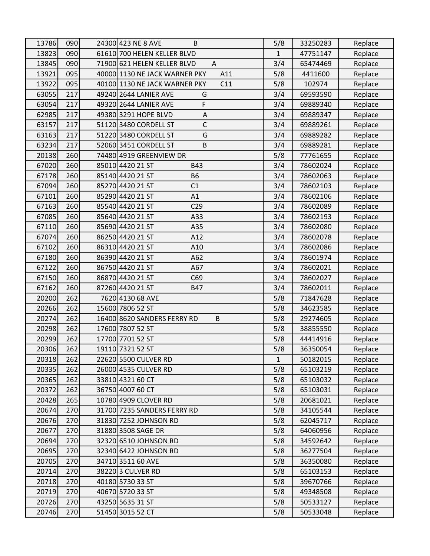| 13786 | 090 | 24300 423 NE 8 AVE<br>B              | 5/8          | 33250283 | Replace |
|-------|-----|--------------------------------------|--------------|----------|---------|
| 13823 | 090 | 61610 700 HELEN KELLER BLVD          | $\mathbf{1}$ | 47751147 | Replace |
| 13845 | 090 | 71900 621 HELEN KELLER BLVD<br>A     | 3/4          | 65474469 | Replace |
| 13921 | 095 | 40000 1130 NE JACK WARNER PKY<br>A11 | 5/8          | 4411600  | Replace |
| 13922 | 095 | 40100 1130 NE JACK WARNER PKY<br>C11 | 5/8          | 102974   | Replace |
| 63055 | 217 | 49240 2644 LANIER AVE<br>G           | 3/4          | 69593590 | Replace |
| 63054 | 217 | F<br>49320 2644 LANIER AVE           | 3/4          | 69889340 | Replace |
| 62985 | 217 | 49380 3291 HOPE BLVD<br>Α            | 3/4          | 69889347 | Replace |
| 63157 | 217 | $\mathsf C$<br>51120 3480 CORDELL ST | 3/4          | 69889261 | Replace |
| 63163 | 217 | G<br>51220 3480 CORDELL ST           | 3/4          | 69889282 | Replace |
| 63234 | 217 | 52060 3451 CORDELL ST<br>B           | 3/4          | 69889281 | Replace |
| 20138 | 260 | 74480 4919 GREENVIEW DR              | 5/8          | 77761655 | Replace |
| 67020 | 260 | 85010 4420 21 ST<br>B43              | 3/4          | 78602024 | Replace |
| 67178 | 260 | 85140 4420 21 ST<br><b>B6</b>        | 3/4          | 78602063 | Replace |
| 67094 | 260 | 85270 4420 21 ST<br>C1               | 3/4          | 78602103 | Replace |
| 67101 | 260 | 85290 4420 21 ST<br>A1               | 3/4          | 78602106 | Replace |
| 67163 | 260 | 85540 4420 21 ST<br>C <sub>29</sub>  | 3/4          | 78602089 | Replace |
| 67085 | 260 | 85640 4420 21 ST<br>A33              | 3/4          | 78602193 | Replace |
| 67110 | 260 | 85690 4420 21 ST<br>A35              | 3/4          | 78602080 | Replace |
| 67074 | 260 | 86250 4420 21 ST<br>A12              | 3/4          | 78602078 | Replace |
| 67102 | 260 | 86310 4420 21 ST<br>A10              | 3/4          | 78602086 | Replace |
| 67180 | 260 | 86390 4420 21 ST<br>A62              | 3/4          | 78601974 | Replace |
| 67122 | 260 | 86750 4420 21 ST<br>A67              | 3/4          | 78602021 | Replace |
| 67150 | 260 | 86870 4420 21 ST<br>C69              | 3/4          | 78602027 | Replace |
| 67162 | 260 | 87260 4420 21 ST<br><b>B47</b>       | 3/4          | 78602011 | Replace |
| 20200 | 262 | 7620 4130 68 AVE                     | 5/8          | 71847628 | Replace |
| 20266 | 262 | 15600 7806 52 ST                     | 5/8          | 34623585 | Replace |
| 20274 | 262 | B<br>16400 8620 SANDERS FERRY RD     | 5/8          | 29274605 | Replace |
| 20298 | 262 | 17600 7807 52 ST                     | 5/8          | 38855550 | Replace |
| 20299 | 262 | 17700 7701 52 ST                     | 5/8          | 44414916 | Replace |
| 20306 | 262 | 19110 7321 52 ST                     | 5/8          | 36350054 | Replace |
| 20318 | 262 | 22620 5500 CULVER RD                 | 1            | 50182015 | Replace |
| 20335 | 262 | 26000 4535 CULVER RD                 | 5/8          | 65103219 | Replace |
| 20365 | 262 | 33810 4321 60 CT                     | 5/8          | 65103032 | Replace |
| 20372 | 262 | 36750 4007 60 CT                     | 5/8          | 65103031 | Replace |
| 20428 | 265 | 10780 4909 CLOVER RD                 | 5/8          | 20681021 | Replace |
| 20674 | 270 | 31700 7235 SANDERS FERRY RD          | 5/8          | 34105544 | Replace |
| 20676 | 270 | 31830 7252 JOHNSON RD                | 5/8          | 62045717 | Replace |
| 20677 | 270 | 31880 3508 SAGE DR                   | 5/8          | 64060956 | Replace |
| 20694 | 270 | 32320 6510 JOHNSON RD                | 5/8          | 34592642 | Replace |
| 20695 | 270 | 32340 6422 JOHNSON RD                | 5/8          | 36277504 | Replace |
| 20705 | 270 | 34710 3511 60 AVE                    | 5/8          | 36350080 | Replace |
| 20714 | 270 | 38220 3 CULVER RD                    | 5/8          | 65103153 | Replace |
| 20718 | 270 | 40180 5730 33 ST                     | 5/8          | 39670766 | Replace |
| 20719 | 270 | 40670 5720 33 ST                     | 5/8          | 49348508 | Replace |
| 20726 | 270 | 43250 5635 31 ST                     | 5/8          | 50533127 | Replace |
| 20746 | 270 | 51450 3015 52 CT                     | 5/8          | 50533048 | Replace |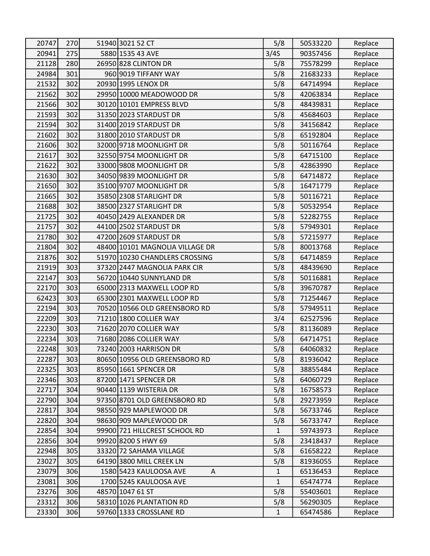| 20747 | 270 | 51940 3021 52 CT                | 5/8          | 50533220 | Replace |
|-------|-----|---------------------------------|--------------|----------|---------|
| 20941 | 275 | 5880 1535 43 AVE                | 3/4S         | 90357456 | Replace |
| 21128 | 280 | 26950 828 CLINTON DR            | 5/8          | 75578299 | Replace |
| 24984 | 301 | 960 9019 TIFFANY WAY            | 5/8          | 21683233 | Replace |
| 21532 | 302 | 20930 1995 LENOX DR             | 5/8          | 64714994 | Replace |
| 21562 | 302 | 29950 10000 MEADOWOOD DR        | 5/8          | 42063834 | Replace |
| 21566 | 302 | 30120 10101 EMPRESS BLVD        | 5/8          | 48439831 | Replace |
| 21593 | 302 | 31350 2023 STARDUST DR          | 5/8          | 45684603 | Replace |
| 21594 | 302 | 31400 2019 STARDUST DR          | 5/8          | 34156842 | Replace |
| 21602 | 302 | 31800 2010 STARDUST DR          | 5/8          | 65192804 | Replace |
| 21606 | 302 | 32000 9718 MOONLIGHT DR         | 5/8          | 50116764 | Replace |
| 21617 | 302 | 32550 9754 MOONLIGHT DR         | 5/8          | 64715100 | Replace |
| 21622 | 302 | 33000 9808 MOONLIGHT DR         | 5/8          | 42863990 | Replace |
| 21630 | 302 | 34050 9839 MOONLIGHT DR         | 5/8          | 64714872 | Replace |
| 21650 | 302 | 35100 9707 MOONLIGHT DR         | 5/8          | 16471779 | Replace |
| 21665 | 302 | 35850 2308 STARLIGHT DR         | 5/8          | 50116721 | Replace |
| 21688 | 302 | 38500 2327 STARLIGHT DR         | 5/8          | 50532954 | Replace |
| 21725 | 302 | 40450 2429 ALEXANDER DR         | 5/8          | 52282755 | Replace |
| 21757 | 302 | 44100 2502 STARDUST DR          | 5/8          | 57949301 | Replace |
| 21780 | 302 | 47200 2609 STARDUST DR          | 5/8          | 57215977 | Replace |
| 21804 | 302 | 48400 10101 MAGNOLIA VILLAGE DR | 5/8          | 80013768 | Replace |
| 21876 | 302 | 51970 10230 CHANDLERS CROSSING  | 5/8          | 64714859 | Replace |
| 21919 | 303 | 37320 2447 MAGNOLIA PARK CIR    | 5/8          | 48439690 | Replace |
| 22147 | 303 | 56720 10440 SUNNYLAND DR        | 5/8          | 50116881 | Replace |
| 22170 | 303 | 65000 2313 MAXWELL LOOP RD      | 5/8          | 39670787 | Replace |
| 62423 | 303 | 65300 2301 MAXWELL LOOP RD      | 5/8          | 71254467 | Replace |
| 22194 | 303 | 70520 10566 OLD GREENSBORO RD   | 5/8          | 57949511 | Replace |
| 22209 | 303 | 71210 1800 COLLIER WAY          | 3/4          | 62527596 | Replace |
| 22230 | 303 | 71620 2070 COLLIER WAY          | 5/8          | 81136089 | Replace |
| 22234 | 303 | 71680 2086 COLLIER WAY          | 5/8          | 64714751 | Replace |
| 22248 | 303 | 73240 2003 HARRISON DR          | 5/8          | 64060832 | Replace |
| 22287 | 303 | 80650 10956 OLD GREENSBORO RD   | 5/8          | 81936042 | Replace |
| 22325 | 303 | 85950 1661 SPENCER DR           | 5/8          | 38855484 | Replace |
| 22346 | 303 | 87200 1471 SPENCER DR           | 5/8          | 64060729 | Replace |
| 22717 | 304 | 90440 1139 WISTERIA DR          | 5/8          | 16758573 | Replace |
| 22790 | 304 | 97350 8701 OLD GREENSBORO RD    | 5/8          | 29273959 | Replace |
| 22817 | 304 | 98550 929 MAPLEWOOD DR          | 5/8          | 56733746 | Replace |
| 22820 | 304 | 98630 909 MAPLEWOOD DR          | 5/8          | 56733747 | Replace |
| 22854 | 304 | 99900 721 HILLCREST SCHOOL RD   | 1            | 59743973 | Replace |
| 22856 | 304 | 99920 8200 S HWY 69             | 5/8          | 23418437 | Replace |
| 22948 | 305 | 33320 72 SAHAMA VILLAGE         | 5/8          | 61658222 | Replace |
| 23027 | 305 | 64190 3800 MILL CREEK LN        | 5/8          | 81936055 | Replace |
| 23079 | 306 | 1580 5423 KAULOOSA AVE<br>A     | $\mathbf{1}$ | 65136453 | Replace |
| 23081 | 306 | 1700 5245 KAULOOSA AVE          | 1            | 65474774 | Replace |
| 23276 | 306 | 48570 1047 61 ST                | 5/8          | 55403601 | Replace |
| 23312 | 306 | 58310 1026 PLANTATION RD        | 5/8          | 56290305 | Replace |
| 23330 | 306 | 59760 1333 CROSSLANE RD         | $\mathbf{1}$ | 65474586 | Replace |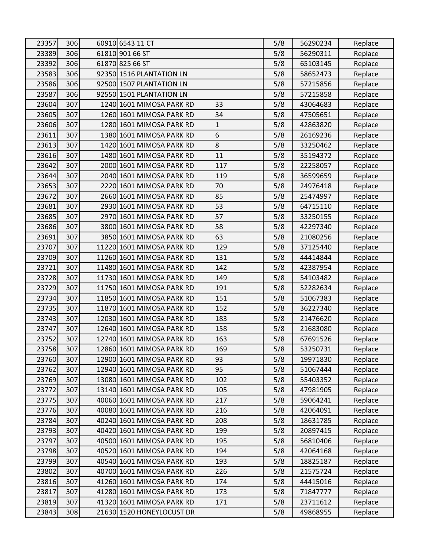| 23357 | 306 | 60910 6543 11 CT          |              | 5/8 | 56290234 | Replace |
|-------|-----|---------------------------|--------------|-----|----------|---------|
| 23389 | 306 | 61810 901 66 ST           |              | 5/8 | 56290311 | Replace |
| 23392 | 306 | 61870 825 66 ST           |              | 5/8 | 65103145 | Replace |
| 23583 | 306 | 92350 1516 PLANTATION LN  |              | 5/8 | 58652473 | Replace |
| 23586 | 306 | 92500 1507 PLANTATION LN  |              | 5/8 | 57215856 | Replace |
| 23587 | 306 | 92550 1501 PLANTATION LN  |              | 5/8 | 57215858 | Replace |
| 23604 | 307 | 1240 1601 MIMOSA PARK RD  | 33           | 5/8 | 43064683 | Replace |
| 23605 | 307 | 1260 1601 MIMOSA PARK RD  | 34           | 5/8 | 47505651 | Replace |
| 23606 | 307 | 1280 1601 MIMOSA PARK RD  | $\mathbf{1}$ | 5/8 | 42863820 | Replace |
| 23611 | 307 | 1380 1601 MIMOSA PARK RD  | 6            | 5/8 | 26169236 | Replace |
| 23613 | 307 | 1420 1601 MIMOSA PARK RD  | 8            | 5/8 | 33250462 | Replace |
| 23616 | 307 | 1480 1601 MIMOSA PARK RD  | 11           | 5/8 | 35194372 | Replace |
| 23642 | 307 | 2000 1601 MIMOSA PARK RD  | 117          | 5/8 | 22258057 | Replace |
| 23644 | 307 | 2040 1601 MIMOSA PARK RD  | 119          | 5/8 | 36599659 | Replace |
| 23653 | 307 | 2220 1601 MIMOSA PARK RD  | 70           | 5/8 | 24976418 | Replace |
| 23672 | 307 | 2660 1601 MIMOSA PARK RD  | 85           | 5/8 | 25474997 | Replace |
| 23681 | 307 | 2930 1601 MIMOSA PARK RD  | 53           | 5/8 | 64715110 | Replace |
| 23685 | 307 | 2970 1601 MIMOSA PARK RD  | 57           | 5/8 | 33250155 | Replace |
| 23686 | 307 | 3800 1601 MIMOSA PARK RD  | 58           | 5/8 | 42297340 | Replace |
| 23691 | 307 | 3850 1601 MIMOSA PARK RD  | 63           | 5/8 | 21080256 | Replace |
| 23707 | 307 | 11220 1601 MIMOSA PARK RD | 129          | 5/8 | 37125440 | Replace |
| 23709 | 307 | 11260 1601 MIMOSA PARK RD | 131          | 5/8 | 44414844 | Replace |
| 23721 | 307 | 11480 1601 MIMOSA PARK RD | 142          | 5/8 | 42387954 | Replace |
| 23728 | 307 | 11730 1601 MIMOSA PARK RD | 149          | 5/8 | 54103482 | Replace |
| 23729 | 307 | 11750 1601 MIMOSA PARK RD | 191          | 5/8 | 52282634 | Replace |
| 23734 | 307 | 11850 1601 MIMOSA PARK RD | 151          | 5/8 | 51067383 | Replace |
| 23735 | 307 | 11870 1601 MIMOSA PARK RD | 152          | 5/8 | 36227340 | Replace |
| 23743 | 307 | 12030 1601 MIMOSA PARK RD | 183          | 5/8 | 21476620 | Replace |
| 23747 | 307 | 12640 1601 MIMOSA PARK RD | 158          | 5/8 | 21683080 | Replace |
| 23752 | 307 | 12740 1601 MIMOSA PARK RD | 163          | 5/8 | 67691526 | Replace |
| 23758 | 307 | 12860 1601 MIMOSA PARK RD | 169          | 5/8 | 53250731 | Replace |
| 23760 | 307 | 12900 1601 MIMOSA PARK RD | 93           | 5/8 | 19971830 | Replace |
| 23762 | 307 | 12940 1601 MIMOSA PARK RD | 95           | 5/8 | 51067444 | Replace |
| 23769 | 307 | 13080 1601 MIMOSA PARK RD | 102          | 5/8 | 55403352 | Replace |
| 23772 | 307 | 13140 1601 MIMOSA PARK RD | 105          | 5/8 | 47981905 | Replace |
| 23775 | 307 | 40060 1601 MIMOSA PARK RD | 217          | 5/8 | 59064241 | Replace |
| 23776 | 307 | 40080 1601 MIMOSA PARK RD | 216          | 5/8 | 42064091 | Replace |
| 23784 | 307 | 40240 1601 MIMOSA PARK RD | 208          | 5/8 | 18631785 | Replace |
| 23793 | 307 | 40420 1601 MIMOSA PARK RD | 199          | 5/8 | 20897415 | Replace |
| 23797 | 307 | 40500 1601 MIMOSA PARK RD | 195          | 5/8 | 56810406 | Replace |
| 23798 | 307 | 40520 1601 MIMOSA PARK RD | 194          | 5/8 | 42064168 | Replace |
| 23799 | 307 | 40540 1601 MIMOSA PARK RD | 193          | 5/8 | 18825187 | Replace |
| 23802 | 307 | 40700 1601 MIMOSA PARK RD | 226          | 5/8 | 21575724 | Replace |
| 23816 | 307 | 41260 1601 MIMOSA PARK RD | 174          | 5/8 | 44415016 | Replace |
| 23817 | 307 | 41280 1601 MIMOSA PARK RD | 173          | 5/8 | 71847777 | Replace |
| 23819 | 307 | 41320 1601 MIMOSA PARK RD | 171          | 5/8 | 23711612 | Replace |
| 23843 | 308 | 21630 1520 HONEYLOCUST DR |              | 5/8 | 49868955 | Replace |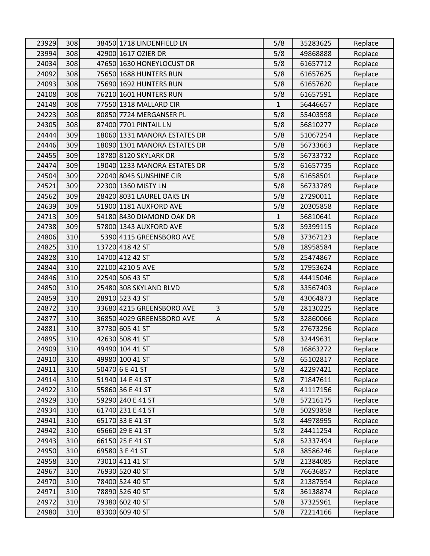| 23929 | 308 | 38450 1718 LINDENFIELD LN      | 5/8 | 35283625 | Replace |
|-------|-----|--------------------------------|-----|----------|---------|
| 23994 | 308 | 42900 1617 OZIER DR            | 5/8 | 49868888 | Replace |
| 24034 | 308 | 47650 1630 HONEYLOCUST DR      | 5/8 | 61657712 | Replace |
| 24092 | 308 | 75650 1688 HUNTERS RUN         | 5/8 | 61657625 | Replace |
| 24093 | 308 | 75690 1692 HUNTERS RUN         | 5/8 | 61657620 | Replace |
| 24108 | 308 | 76210 1601 HUNTERS RUN         | 5/8 | 61657591 | Replace |
| 24148 | 308 | 77550 1318 MALLARD CIR         | 1   | 56446657 | Replace |
| 24223 | 308 | 80850 7724 MERGANSER PL        | 5/8 | 55403598 | Replace |
| 24305 | 308 | 87400 7701 PINTAIL LN          | 5/8 | 56810277 | Replace |
| 24444 | 309 | 18060 1331 MANORA ESTATES DR   | 5/8 | 51067254 | Replace |
| 24446 | 309 | 18090 1301 MANORA ESTATES DR   | 5/8 | 56733663 | Replace |
| 24455 | 309 | 18780 8120 SKYLARK DR          | 5/8 | 56733732 | Replace |
| 24474 | 309 | 19040 1233 MANORA ESTATES DR   | 5/8 | 61657735 | Replace |
| 24504 | 309 | 22040 8045 SUNSHINE CIR        | 5/8 | 61658501 | Replace |
| 24521 | 309 | 22300 1360 MISTY LN            | 5/8 | 56733789 | Replace |
| 24562 | 309 | 28420 8031 LAUREL OAKS LN      | 5/8 | 27290011 | Replace |
| 24639 | 309 | 51900 1181 AUXFORD AVE         | 5/8 | 20305858 | Replace |
| 24713 | 309 | 54180 8430 DIAMOND OAK DR      | 1   | 56810641 | Replace |
| 24738 | 309 | 57800 1343 AUXFORD AVE         | 5/8 | 59399115 | Replace |
| 24806 | 310 | 5390 4115 GREENSBORO AVE       | 5/8 | 37367123 | Replace |
| 24825 | 310 | 13720 418 42 ST                | 5/8 | 18958584 | Replace |
| 24828 | 310 | 14700 412 42 ST                | 5/8 | 25474867 | Replace |
| 24844 | 310 | 22100 4210 5 AVE               | 5/8 | 17953624 | Replace |
| 24846 | 310 | 22540 506 43 ST                | 5/8 | 44415046 | Replace |
| 24850 | 310 | 25480 308 SKYLAND BLVD         | 5/8 | 33567403 | Replace |
| 24859 | 310 | 28910 523 43 ST                | 5/8 | 43064873 | Replace |
| 24872 | 310 | 3<br>33680 4215 GREENSBORO AVE | 5/8 | 28130225 | Replace |
| 24877 | 310 | 36850 4029 GREENSBORO AVE<br>А | 5/8 | 32860066 | Replace |
| 24881 | 310 | 37730 605 41 ST                | 5/8 | 27673296 | Replace |
| 24895 | 310 | 42630 508 41 ST                | 5/8 | 32449631 | Replace |
| 24909 | 310 | 49490 104 41 ST                | 5/8 | 16863272 | Replace |
| 24910 | 310 | 49980 100 41 ST                | 5/8 | 65102817 | Replace |
| 24911 | 310 | 50470 6 E 41 ST                | 5/8 | 42297421 | Replace |
| 24914 | 310 | 51940 14 E 41 ST               | 5/8 | 71847611 | Replace |
| 24922 | 310 | 55860 36 E 41 ST               | 5/8 | 41117156 | Replace |
| 24929 | 310 | 59290 240 E 41 ST              | 5/8 | 57216175 | Replace |
| 24934 | 310 | 61740 231 E 41 ST              | 5/8 | 50293858 | Replace |
| 24941 | 310 | 65170 33 E 41 ST               | 5/8 | 44978995 | Replace |
| 24942 | 310 | 65660 29 E 41 ST               | 5/8 | 24411254 | Replace |
| 24943 | 310 | 66150 25 E 41 ST               | 5/8 | 52337494 | Replace |
| 24950 | 310 | 69580 3 E 41 ST                | 5/8 | 38586246 | Replace |
| 24958 | 310 | 73010 411 41 ST                | 5/8 | 21384085 | Replace |
| 24967 | 310 | 76930 520 40 ST                | 5/8 | 76636857 | Replace |
| 24970 | 310 | 78400 524 40 ST                | 5/8 | 21387594 | Replace |
| 24971 | 310 | 78890 526 40 ST                | 5/8 | 36138874 | Replace |
| 24972 | 310 | 79380 602 40 ST                | 5/8 | 37325961 | Replace |
| 24980 | 310 | 83300 609 40 ST                | 5/8 | 72214166 | Replace |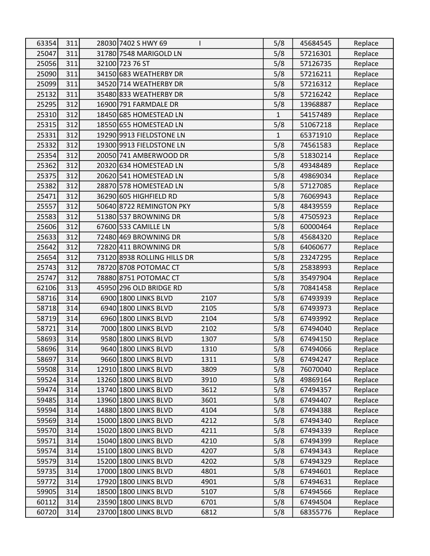| 63354 | 311 | 28030 7402 S HWY 69         |      | 5/8          | 45684545 | Replace |
|-------|-----|-----------------------------|------|--------------|----------|---------|
| 25047 | 311 | 31780 7548 MARIGOLD LN      |      | 5/8          | 57216301 | Replace |
| 25056 | 311 | 32100 723 76 ST             |      | 5/8          | 57126735 | Replace |
| 25090 | 311 | 34150 683 WEATHERBY DR      |      | 5/8          | 57216211 | Replace |
| 25099 | 311 | 34520 714 WEATHERBY DR      |      | 5/8          | 57216312 | Replace |
| 25132 | 311 | 35480 833 WEATHERBY DR      |      | 5/8          | 57216242 | Replace |
| 25295 | 312 | 16900 791 FARMDALE DR       |      | 5/8          | 13968887 | Replace |
| 25310 | 312 | 18450 685 HOMESTEAD LN      |      | $\mathbf{1}$ | 54157489 | Replace |
| 25315 | 312 | 18550 655 HOMESTEAD LN      |      | 5/8          | 51067218 | Replace |
| 25331 | 312 | 19290 9913 FIELDSTONE LN    |      | $\mathbf{1}$ | 65371910 | Replace |
| 25332 | 312 | 19300 9913 FIELDSTONE LN    |      | 5/8          | 74561583 | Replace |
| 25354 | 312 | 20050 741 AMBERWOOD DR      |      | 5/8          | 51830214 | Replace |
| 25362 | 312 | 20320 634 HOMESTEAD LN      |      | 5/8          | 49348489 | Replace |
| 25375 | 312 | 20620 541 HOMESTEAD LN      |      | 5/8          | 49869034 | Replace |
| 25382 | 312 | 28870 578 HOMESTEAD LN      |      | 5/8          | 57127085 | Replace |
| 25471 | 312 | 36290 605 HIGHFIELD RD      |      | 5/8          | 76069943 | Replace |
| 25557 | 312 | 50640 8722 REMINGTON PKY    |      | 5/8          | 48439559 | Replace |
| 25583 | 312 | 51380 537 BROWNING DR       |      | 5/8          | 47505923 | Replace |
| 25606 | 312 | 67600 533 CAMILLE LN        |      | 5/8          | 60000464 | Replace |
| 25633 | 312 | 72480 469 BROWNING DR       |      | 5/8          | 45684320 | Replace |
| 25642 | 312 | 72820 411 BROWNING DR       |      | 5/8          | 64060677 | Replace |
| 25654 | 312 | 73120 8938 ROLLING HILLS DR |      | 5/8          | 23247295 | Replace |
| 25743 | 312 | 78720 8708 POTOMAC CT       |      | 5/8          | 25838993 | Replace |
| 25747 | 312 | 78880 8751 POTOMAC CT       |      | 5/8          | 35497904 | Replace |
| 62106 | 313 | 45950 296 OLD BRIDGE RD     |      | 5/8          | 70841458 | Replace |
| 58716 | 314 | 6900 1800 LINKS BLVD        | 2107 | 5/8          | 67493939 | Replace |
| 58718 | 314 | 6940 1800 LINKS BLVD        | 2105 | 5/8          | 67493973 | Replace |
| 58719 | 314 | 6960 1800 LINKS BLVD        | 2104 | 5/8          | 67493992 | Replace |
| 58721 | 314 | 7000 1800 LINKS BLVD        | 2102 | 5/8          | 67494040 | Replace |
| 58693 | 314 | 9580 1800 LINKS BLVD        | 1307 | 5/8          | 67494150 | Replace |
| 58696 | 314 | 9640 1800 LINKS BLVD        | 1310 | 5/8          | 67494066 | Replace |
| 58697 | 314 | 9660 1800 LINKS BLVD        | 1311 | 5/8          | 67494247 | Replace |
| 59508 | 314 | 12910 1800 LINKS BLVD       | 3809 | 5/8          | 76070040 | Replace |
| 59524 | 314 | 13260 1800 LINKS BLVD       | 3910 | 5/8          | 49869164 | Replace |
| 59474 | 314 | 13740 1800 LINKS BLVD       | 3612 | 5/8          | 67494357 | Replace |
| 59485 | 314 | 13960 1800 LINKS BLVD       | 3601 | 5/8          | 67494407 | Replace |
| 59594 | 314 | 14880 1800 LINKS BLVD       | 4104 | 5/8          | 67494388 | Replace |
| 59569 | 314 | 15000 1800 LINKS BLVD       | 4212 | 5/8          | 67494340 | Replace |
| 59570 | 314 | 15020 1800 LINKS BLVD       | 4211 | 5/8          | 67494339 | Replace |
| 59571 | 314 | 15040 1800 LINKS BLVD       | 4210 | 5/8          | 67494399 | Replace |
| 59574 | 314 | 15100 1800 LINKS BLVD       | 4207 | 5/8          | 67494343 | Replace |
| 59579 | 314 | 15200 1800 LINKS BLVD       | 4202 | 5/8          | 67494329 | Replace |
| 59735 | 314 | 17000 1800 LINKS BLVD       | 4801 | 5/8          | 67494601 | Replace |
| 59772 | 314 | 17920 1800 LINKS BLVD       | 4901 | 5/8          | 67494631 | Replace |
| 59905 | 314 | 18500 1800 LINKS BLVD       | 5107 | 5/8          | 67494566 | Replace |
| 60112 | 314 | 23590 1800 LINKS BLVD       | 6701 | 5/8          | 67494504 | Replace |
| 60720 | 314 | 23700 1800 LINKS BLVD       | 6812 | 5/8          | 68355776 | Replace |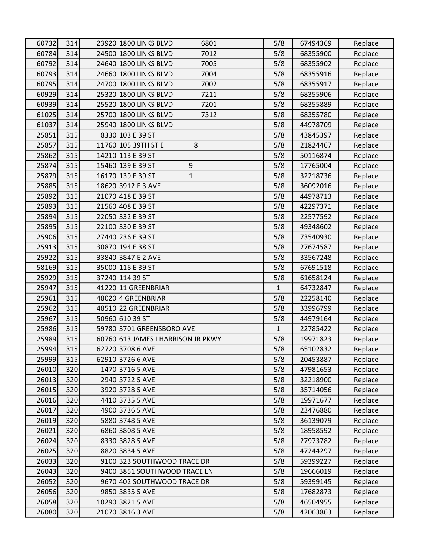| 60732 | 314 | 23920 1800 LINKS BLVD<br>6801      | 5/8          | 67494369 | Replace |
|-------|-----|------------------------------------|--------------|----------|---------|
| 60784 | 314 | 24500 1800 LINKS BLVD<br>7012      | 5/8          | 68355900 | Replace |
| 60792 | 314 | 24640 1800 LINKS BLVD<br>7005      | 5/8          | 68355902 | Replace |
| 60793 | 314 | 24660 1800 LINKS BLVD<br>7004      | 5/8          | 68355916 | Replace |
| 60795 | 314 | 24700 1800 LINKS BLVD<br>7002      | 5/8          | 68355917 | Replace |
| 60929 | 314 | 25320 1800 LINKS BLVD<br>7211      | 5/8          | 68355906 | Replace |
| 60939 | 314 | 25520 1800 LINKS BLVD<br>7201      | 5/8          | 68355889 | Replace |
| 61025 | 314 | 25700 1800 LINKS BLVD<br>7312      | 5/8          | 68355780 | Replace |
| 61037 | 314 | 25940 1800 LINKS BLVD              | 5/8          | 44978709 | Replace |
| 25851 | 315 | 8330 103 E 39 ST                   | 5/8          | 43845397 | Replace |
| 25857 | 315 | 11760 105 39TH ST E<br>8           | 5/8          | 21824467 | Replace |
| 25862 | 315 | 14210 113 E 39 ST                  | 5/8          | 50116874 | Replace |
| 25874 | 315 | 15460 139 E 39 ST<br>9             | 5/8          | 17765004 | Replace |
| 25879 | 315 | 16170 139 E 39 ST<br>$\mathbf{1}$  | 5/8          | 32218736 | Replace |
| 25885 | 315 | 18620 3912 E 3 AVE                 | 5/8          | 36092016 | Replace |
| 25892 | 315 | 21070 418 E 39 ST                  | 5/8          | 44978713 | Replace |
| 25893 | 315 | 21560 408 E 39 ST                  | 5/8          | 42297371 | Replace |
| 25894 | 315 | 22050 332 E 39 ST                  | 5/8          | 22577592 | Replace |
| 25895 | 315 | 22100 330 E 39 ST                  | 5/8          | 49348602 | Replace |
| 25906 | 315 | 27440 236 E 39 ST                  | 5/8          | 73540930 | Replace |
| 25913 | 315 | 30870 194 E 38 ST                  | 5/8          | 27674587 | Replace |
| 25922 | 315 | 33840 3847 E 2 AVE                 | 5/8          | 33567248 | Replace |
| 58169 | 315 | 35000 118 E 39 ST                  | 5/8          | 67691518 | Replace |
| 25929 | 315 | 37240 114 39 ST                    | 5/8          | 61658124 | Replace |
| 25947 | 315 | 41220 11 GREENBRIAR                | 1            | 64732847 | Replace |
| 25961 | 315 | 48020 4 GREENBRIAR                 | 5/8          | 22258140 | Replace |
| 25962 | 315 | 48510 22 GREENBRIAR                | 5/8          | 33996799 | Replace |
| 25967 | 315 | 50960 610 39 ST                    | 5/8          | 44979164 | Replace |
| 25986 | 315 | 59780 3701 GREENSBORO AVE          | $\mathbf{1}$ | 22785422 | Replace |
| 25989 | 315 | 60760 613 JAMES I HARRISON JR PKWY | 5/8          | 19971823 | Replace |
| 25994 | 315 | 62720 3708 6 AVE                   | 5/8          | 65102832 | Replace |
| 25999 | 315 | 62910 3726 6 AVE                   | 5/8          | 20453887 | Replace |
| 26010 | 320 | 1470 3716 5 AVE                    | 5/8          | 47981653 | Replace |
| 26013 | 320 | 2940 3722 5 AVE                    | 5/8          | 32218900 | Replace |
| 26015 | 320 | 3920 3728 5 AVE                    | 5/8          | 35714056 | Replace |
| 26016 | 320 | 4410 3735 5 AVE                    | 5/8          | 19971677 | Replace |
| 26017 | 320 | 4900 3736 5 AVE                    | 5/8          | 23476880 | Replace |
| 26019 | 320 | 5880 3748 5 AVE                    | 5/8          | 36139079 | Replace |
| 26021 | 320 | 6860 3808 5 AVE                    | 5/8          | 18958592 | Replace |
| 26024 | 320 | 8330 3828 5 AVE                    | 5/8          | 27973782 | Replace |
| 26025 | 320 | 8820 3834 5 AVE                    | 5/8          | 47244297 | Replace |
| 26033 | 320 | 9100 323 SOUTHWOOD TRACE DR        | 5/8          | 59399227 | Replace |
| 26043 | 320 | 9400 3851 SOUTHWOOD TRACE LN       | 5/8          | 19666019 | Replace |
| 26052 | 320 | 9670 402 SOUTHWOOD TRACE DR        | 5/8          | 59399145 | Replace |
| 26056 | 320 | 9850 3835 5 AVE                    | 5/8          | 17682873 | Replace |
| 26058 | 320 | 10290 3821 5 AVE                   | 5/8          | 46504955 | Replace |
| 26080 | 320 | 21070 3816 3 AVE                   | 5/8          | 42063863 | Replace |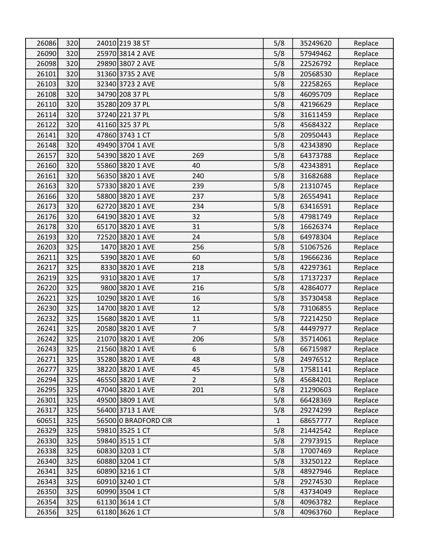| 26086 | 320 | 24010 219 38 ST                    | 5/8          | 35249620 | Replace |
|-------|-----|------------------------------------|--------------|----------|---------|
| 26090 | 320 | 25970 3814 2 AVE                   | 5/8          | 57949462 | Replace |
| 26098 | 320 | 29890 3807 2 AVE                   | 5/8          | 22526792 | Replace |
| 26101 | 320 | 31360 3735 2 AVE                   | 5/8          | 20568530 | Replace |
| 26103 | 320 | 32340 3723 2 AVE                   | 5/8          | 22258265 | Replace |
| 26108 | 320 | 34790 208 37 PL                    | 5/8          | 46095709 | Replace |
| 26110 | 320 | 35280 209 37 PL                    | 5/8          | 42196629 | Replace |
| 26114 | 320 | 37240 221 37 PL                    | 5/8          | 31611459 | Replace |
| 26122 | 320 | 41160 325 37 PL                    | 5/8          | 45684322 | Replace |
| 26141 | 320 | 47860 3743 1 CT                    | 5/8          | 20950443 | Replace |
| 26148 | 320 | 49490 3704 1 AVE                   | 5/8          | 42343890 | Replace |
| 26157 | 320 | 54390 3820 1 AVE<br>269            | 5/8          | 64373788 | Replace |
| 26160 | 320 | 55860 3820 1 AVE<br>40             | 5/8          | 42343891 | Replace |
| 26161 | 320 | 56350 3820 1 AVE<br>240            | 5/8          | 31682688 | Replace |
| 26163 | 320 | 57330 3820 1 AVE<br>239            | 5/8          | 21310745 | Replace |
| 26166 | 320 | 58800 3820 1 AVE<br>237            | 5/8          | 26554941 | Replace |
| 26173 | 320 | 62720 3820 1 AVE<br>234            | 5/8          | 63416591 | Replace |
| 26176 | 320 | 64190 3820 1 AVE<br>32             | 5/8          | 47981749 | Replace |
| 26178 | 320 | 65170 3820 1 AVE<br>31             | 5/8          | 16626374 | Replace |
| 26193 | 320 | 72520 3820 1 AVE<br>24             | 5/8          | 64978304 | Replace |
| 26203 | 325 | 1470 3820 1 AVE<br>256             | 5/8          | 51067526 | Replace |
| 26211 | 325 | 5390 3820 1 AVE<br>60              | 5/8          | 19666236 | Replace |
| 26217 | 325 | 8330 3820 1 AVE<br>218             | 5/8          | 42297361 | Replace |
| 26219 | 325 | 9310 3820 1 AVE<br>17              | 5/8          | 17137237 | Replace |
| 26220 | 325 | 9800 3820 1 AVE<br>216             | 5/8          | 42864077 | Replace |
| 26221 | 325 | 10290 3820 1 AVE<br>16             | 5/8          | 35730458 | Replace |
| 26230 | 325 | 14700 3820 1 AVE<br>12             | 5/8          | 73106855 | Replace |
| 26232 | 325 | 11<br>15680 3820 1 AVE             | 5/8          | 72214250 | Replace |
| 26241 | 325 | $\overline{7}$<br>20580 3820 1 AVE | 5/8          | 44497977 | Replace |
| 26242 | 325 | 21070 3820 1 AVE<br>206            | 5/8          | 35714061 | Replace |
| 26243 | 325 | 21560 3820 1 AVE<br>6              | 5/8          | 66715987 | Replace |
| 26271 | 325 | 35280 3820 1 AVE<br>48             | 5/8          | 24976512 | Replace |
| 26277 | 325 | 38220 3820 1 AVE<br>45             | 5/8          | 17581141 | Replace |
| 26294 | 325 | 46550 3820 1 AVE<br>$\overline{2}$ | 5/8          | 45684201 | Replace |
| 26295 | 325 | 47040 3820 1 AVE<br>201            | 5/8          | 21290603 | Replace |
| 26301 | 325 | 49500 3809 1 AVE                   | 5/8          | 66428369 | Replace |
| 26317 | 325 | 56400 3713 1 AVE                   | 5/8          | 29274299 | Replace |
| 60651 | 325 | 56500 0 BRADFORD CIR               | $\mathbf{1}$ | 68657777 | Replace |
| 26329 | 325 | 59810 3525 1 CT                    | 5/8          | 21442542 | Replace |
| 26330 | 325 | 59840 3515 1 CT                    | 5/8          | 27973915 | Replace |
| 26338 | 325 | 60830 3203 1 CT                    | 5/8          | 17007469 | Replace |
| 26340 | 325 | 60880 3204 1 CT                    | 5/8          | 33250122 | Replace |
| 26341 | 325 | 60890 3216 1 CT                    | 5/8          | 48927946 | Replace |
| 26343 | 325 | 60910 3240 1 CT                    | 5/8          | 29274530 | Replace |
| 26350 | 325 | 60990 3504 1 CT                    | 5/8          | 43734049 | Replace |
| 26354 | 325 | 61130 3614 1 CT                    | 5/8          | 40963782 | Replace |
| 26356 | 325 | 61180 3626 1 CT                    | 5/8          | 40963760 | Replace |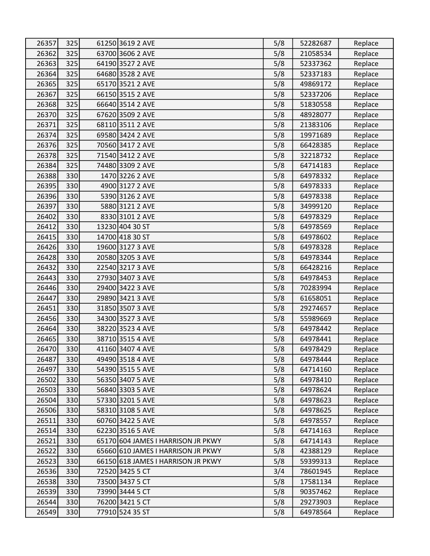| 26357 | 325 | 61250 3619 2 AVE                   | 5/8 | 52282687 | Replace |
|-------|-----|------------------------------------|-----|----------|---------|
| 26362 | 325 | 63700 3606 2 AVE                   | 5/8 | 21058534 | Replace |
| 26363 | 325 | 64190 3527 2 AVE                   | 5/8 | 52337362 | Replace |
| 26364 | 325 | 64680 3528 2 AVE                   | 5/8 | 52337183 | Replace |
| 26365 | 325 | 65170 3521 2 AVE                   | 5/8 | 49869172 | Replace |
| 26367 | 325 | 66150 3515 2 AVE                   | 5/8 | 52337206 | Replace |
| 26368 | 325 | 66640 3514 2 AVE                   | 5/8 | 51830558 | Replace |
| 26370 | 325 | 67620 3509 2 AVE                   | 5/8 | 48928077 | Replace |
| 26371 | 325 | 68110 3511 2 AVE                   | 5/8 | 21383106 | Replace |
| 26374 | 325 | 69580 3424 2 AVE                   | 5/8 | 19971689 | Replace |
| 26376 | 325 | 70560 3417 2 AVE                   | 5/8 | 66428385 | Replace |
| 26378 | 325 | 71540 3412 2 AVE                   | 5/8 | 32218732 | Replace |
| 26384 | 325 | 74480 3309 2 AVE                   | 5/8 | 64714183 | Replace |
| 26388 | 330 | 1470 3226 2 AVE                    | 5/8 | 64978332 | Replace |
| 26395 | 330 | 4900 3127 2 AVE                    | 5/8 | 64978333 | Replace |
| 26396 | 330 | 5390 3126 2 AVE                    | 5/8 | 64978338 | Replace |
| 26397 | 330 | 5880 3121 2 AVE                    | 5/8 | 34999120 | Replace |
| 26402 | 330 | 8330 3101 2 AVE                    | 5/8 | 64978329 | Replace |
| 26412 | 330 | 13230 404 30 ST                    | 5/8 | 64978569 | Replace |
| 26415 | 330 | 14700 418 30 ST                    | 5/8 | 64978602 | Replace |
| 26426 | 330 | 19600 3127 3 AVE                   | 5/8 | 64978328 | Replace |
| 26428 | 330 | 20580 3205 3 AVE                   | 5/8 | 64978344 | Replace |
| 26432 | 330 | 22540 3217 3 AVE                   | 5/8 | 66428216 | Replace |
| 26443 | 330 | 27930 3407 3 AVE                   | 5/8 | 64978453 | Replace |
| 26446 | 330 | 29400 3422 3 AVE                   | 5/8 | 70283994 | Replace |
| 26447 | 330 | 29890 3421 3 AVE                   | 5/8 | 61658051 | Replace |
| 26451 | 330 | 31850 3507 3 AVE                   | 5/8 | 29274657 | Replace |
| 26456 | 330 | 34300 3527 3 AVE                   | 5/8 | 55989669 | Replace |
| 26464 | 330 | 38220 3523 4 AVE                   | 5/8 | 64978442 | Replace |
| 26465 | 330 | 38710 3515 4 AVE                   | 5/8 | 64978441 | Replace |
| 26470 | 330 | 41160 3407 4 AVE                   | 5/8 | 64978429 | Replace |
| 26487 | 330 | 49490 3518 4 AVE                   | 5/8 | 64978444 | Replace |
| 26497 | 330 | 54390 3515 5 AVE                   | 5/8 | 64714160 | Replace |
| 26502 | 330 | 56350 3407 5 AVE                   | 5/8 | 64978410 | Replace |
| 26503 | 330 | 56840 3303 5 AVE                   | 5/8 | 64978624 | Replace |
| 26504 | 330 | 57330 3201 5 AVE                   | 5/8 | 64978623 | Replace |
| 26506 | 330 | 58310 3108 5 AVE                   | 5/8 | 64978625 | Replace |
| 26511 | 330 | 60760 3422 5 AVE                   | 5/8 | 64978557 | Replace |
| 26514 | 330 | 62230 3516 5 AVE                   | 5/8 | 64714163 | Replace |
| 26521 | 330 | 65170 604 JAMES I HARRISON JR PKWY | 5/8 | 64714143 | Replace |
| 26522 | 330 | 65660 610 JAMES I HARRISON JR PKWY | 5/8 | 42388129 | Replace |
| 26523 | 330 | 66150 618 JAMES I HARRISON JR PKWY | 5/8 | 59399313 | Replace |
| 26536 | 330 | 72520 3425 5 CT                    | 3/4 | 78601945 | Replace |
| 26538 | 330 | 73500 3437 5 CT                    | 5/8 | 17581134 | Replace |
| 26539 | 330 | 73990 3444 5 CT                    | 5/8 | 90357462 | Replace |
| 26544 | 330 | 76200 3421 5 CT                    | 5/8 | 29273903 | Replace |
| 26549 | 330 | 77910 524 35 ST                    | 5/8 | 64978564 | Replace |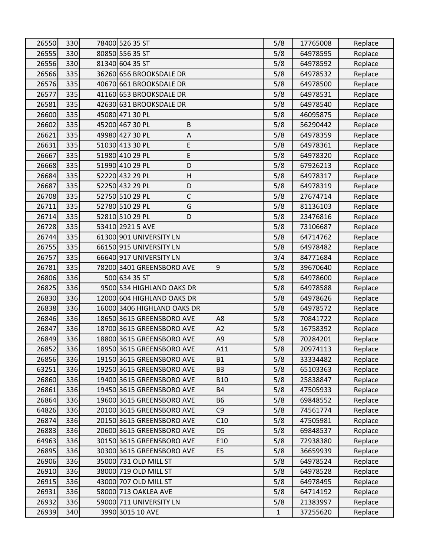| 26550 | 330 | 78400 526 35 ST                |                | 5/8          | 17765008 | Replace |
|-------|-----|--------------------------------|----------------|--------------|----------|---------|
| 26555 | 330 | 80850 556 35 ST                |                | 5/8          | 64978595 | Replace |
| 26556 | 330 | 81340 604 35 ST                |                | 5/8          | 64978592 | Replace |
| 26566 | 335 | 36260 656 BROOKSDALE DR        | 5/8            | 64978532     | Replace  |         |
| 26576 | 335 | 40670 661 BROOKSDALE DR        |                | 5/8          | 64978500 | Replace |
| 26577 | 335 | 41160 653 BROOKSDALE DR        |                | 5/8          | 64978531 | Replace |
| 26581 | 335 | 42630 631 BROOKSDALE DR        |                | 5/8          | 64978540 | Replace |
| 26600 | 335 | 45080 471 30 PL                |                | 5/8          | 46095875 | Replace |
| 26602 | 335 | 45200 467 30 PL<br>$\sf B$     |                | 5/8          | 56290442 | Replace |
| 26621 | 335 | 49980 427 30 PL<br>$\mathsf A$ |                | 5/8          | 64978359 | Replace |
| 26631 | 335 | 51030 413 30 PL<br>E           |                | 5/8          | 64978361 | Replace |
| 26667 | 335 | 51980 410 29 PL<br>E           |                | 5/8          | 64978320 | Replace |
| 26668 | 335 | D<br>51990 410 29 PL           |                | 5/8          | 67926213 | Replace |
| 26684 | 335 | 52220 432 29 PL<br>H           |                | 5/8          | 64978317 | Replace |
| 26687 | 335 | 52250 432 29 PL<br>D           |                | 5/8          | 64978319 | Replace |
| 26708 | 335 | 52750 510 29 PL<br>C           |                | 5/8          | 27674714 | Replace |
| 26711 | 335 | 52780 510 29 PL<br>G           |                | 5/8          | 81136103 | Replace |
| 26714 | 335 | 52810 510 29 PL<br>D           |                | 5/8          | 23476816 | Replace |
| 26728 | 335 | 53410 2921 5 AVE               |                | 5/8          | 73106687 | Replace |
| 26744 | 335 | 61300 901 UNIVERSITY LN        |                | 5/8          | 64714762 | Replace |
| 26755 | 335 | 66150 915 UNIVERSITY LN        |                | 5/8          | 64978482 | Replace |
| 26757 | 335 | 66640 917 UNIVERSITY LN        |                | 3/4          | 84771684 | Replace |
| 26781 | 335 | 78200 3401 GREENSBORO AVE      | 9              | 5/8          | 39670640 | Replace |
| 26806 | 336 | 500 634 35 ST                  |                | 5/8          | 64978600 | Replace |
| 26825 | 336 | 9500 534 HIGHLAND OAKS DR      |                | 5/8          | 64978588 | Replace |
| 26830 | 336 | 12000 604 HIGHLAND OAKS DR     |                | 5/8          | 64978626 | Replace |
| 26838 | 336 | 16000 3406 HIGHLAND OAKS DR    |                | 5/8          | 64978572 | Replace |
| 26846 | 336 | 18650 3615 GREENSBORO AVE      | A8             | 5/8          | 70841722 | Replace |
| 26847 | 336 | 18700 3615 GREENSBORO AVE      | A2             | 5/8          | 16758392 | Replace |
| 26849 | 336 | 18800 3615 GREENSBORO AVE      | A9             | 5/8          | 70284201 | Replace |
| 26852 | 336 | 18950 3615 GREENSBORO AVE      | A11            | 5/8          | 20974113 | Replace |
| 26856 | 336 | 19150 3615 GREENSBORO AVE      | <b>B1</b>      | 5/8          | 33334482 | Replace |
| 63251 | 336 | 19250 3615 GREENSBORO AVE      | B <sub>3</sub> | 5/8          | 65103363 | Replace |
| 26860 | 336 | 19400 3615 GREENSBORO AVE      | <b>B10</b>     | 5/8          | 25838847 | Replace |
| 26861 | 336 | 19450 3615 GREENSBORO AVE      | <b>B4</b>      | 5/8          | 47505933 | Replace |
| 26864 | 336 | 19600 3615 GREENSBORO AVE      | <b>B6</b>      | 5/8          | 69848552 | Replace |
| 64826 | 336 | 20100 3615 GREENSBORO AVE      | C <sub>9</sub> | 5/8          | 74561774 | Replace |
| 26874 | 336 | 20150 3615 GREENSBORO AVE      | C10            | 5/8          | 47505981 | Replace |
| 26883 | 336 | 20600 3615 GREENSBORO AVE      | D <sub>5</sub> | 5/8          | 69848537 | Replace |
| 64963 | 336 | 30150 3615 GREENSBORO AVE      | E10            | 5/8          | 72938380 | Replace |
| 26895 | 336 | 30300 3615 GREENSBORO AVE      | E <sub>5</sub> | 5/8          | 36659939 | Replace |
| 26906 | 336 | 35000 731 OLD MILL ST          |                | 5/8          | 64978524 | Replace |
| 26910 | 336 | 38000 719 OLD MILL ST          |                | 5/8          | 64978528 | Replace |
| 26915 | 336 | 43000 707 OLD MILL ST          |                | 5/8          | 64978495 | Replace |
| 26931 | 336 | 58000 713 OAKLEA AVE           |                | 5/8          | 64714192 | Replace |
| 26932 | 336 | 59000 711 UNIVERSITY LN        |                | 5/8          | 21383997 | Replace |
| 26939 | 340 | 3990 3015 10 AVE               |                | $\mathbf{1}$ | 37255620 | Replace |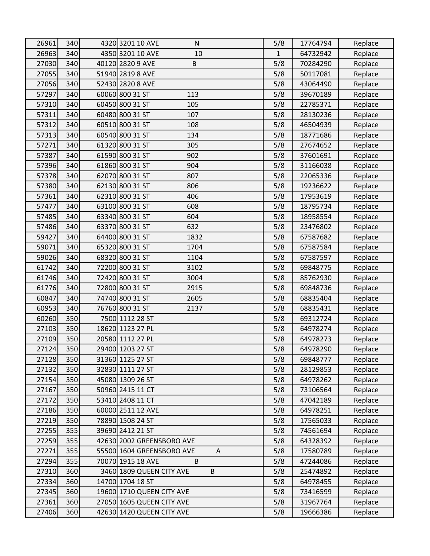| 26961 | 340 | 4320 3201 10 AVE<br>N          | 5/8          | 17764794 | Replace |
|-------|-----|--------------------------------|--------------|----------|---------|
| 26963 | 340 | 4350 3201 10 AVE<br>10         | $\mathbf{1}$ | 64732942 | Replace |
| 27030 | 340 | B<br>40120 2820 9 AVE          | 5/8          | 70284290 | Replace |
| 27055 | 340 | 51940 2819 8 AVE               | 5/8          | 50117081 | Replace |
| 27056 | 340 | 52430 2820 8 AVE               | 5/8          | 43064490 | Replace |
| 57297 | 340 | 60060 800 31 ST<br>113         | 5/8          | 39670189 | Replace |
| 57310 | 340 | 60450 800 31 ST<br>105         | 5/8          | 22785371 | Replace |
| 57311 | 340 | 60480 800 31 ST<br>107         | 5/8          | 28130236 | Replace |
| 57312 | 340 | 60510 800 31 ST<br>108         | 5/8          | 46504939 | Replace |
| 57313 | 340 | 60540 800 31 ST<br>134         | 5/8          | 18771686 | Replace |
| 57271 | 340 | 61320 800 31 ST<br>305         | 5/8          | 27674652 | Replace |
| 57387 | 340 | 61590 800 31 ST<br>902         | 5/8          | 37601691 | Replace |
| 57396 | 340 | 61860 800 31 ST<br>904         | 5/8          | 31166038 | Replace |
| 57378 | 340 | 62070 800 31 ST<br>807         | 5/8          | 22065336 | Replace |
| 57380 | 340 | 62130 800 31 ST<br>806         | 5/8          | 19236622 | Replace |
| 57361 | 340 | 62310 800 31 ST<br>406         | 5/8          | 17953619 | Replace |
| 57477 | 340 | 63100 800 31 ST<br>608         | 5/8          | 18795734 | Replace |
| 57485 | 340 | 63340 800 31 ST<br>604         | 5/8          | 18958554 | Replace |
| 57486 | 340 | 63370 800 31 ST<br>632         | 5/8          | 23476802 | Replace |
| 59427 | 340 | 64400 800 31 ST<br>1832        | 5/8          | 67587682 | Replace |
| 59071 | 340 | 65320 800 31 ST<br>1704        | 5/8          | 67587584 | Replace |
| 59026 | 340 | 68320 800 31 ST<br>1104        | 5/8          | 67587597 | Replace |
| 61742 | 340 | 72200 800 31 ST<br>3102        | 5/8          | 69848775 | Replace |
| 61746 | 340 | 72420 800 31 ST<br>3004        | 5/8          | 85762930 | Replace |
| 61776 | 340 | 72800 800 31 ST<br>2915        | 5/8          | 69848736 | Replace |
| 60847 | 340 | 74740 800 31 ST<br>2605        | 5/8          | 68835404 | Replace |
| 60953 | 340 | 76760 800 31 ST<br>2137        | 5/8          | 68835431 | Replace |
| 60260 | 350 | 7500 1112 28 ST                | 5/8          | 69312724 | Replace |
| 27103 | 350 | 18620 1123 27 PL               | 5/8          | 64978274 | Replace |
| 27109 | 350 | 20580 1112 27 PL               | 5/8          | 64978273 | Replace |
| 27124 | 350 | 29400 1203 27 ST               | 5/8          | 64978290 | Replace |
| 27128 | 350 | 31360 1125 27 ST               | 5/8          | 69848777 | Replace |
| 27132 | 350 | 32830 1111 27 ST               | 5/8          | 28129853 | Replace |
| 27154 | 350 | 45080 1309 26 ST               | 5/8          | 64978262 | Replace |
| 27167 | 350 | 50960 2415 11 CT               | 5/8          | 73106564 | Replace |
| 27172 | 350 | 53410 2408 11 CT               | 5/8          | 47042189 | Replace |
| 27186 | 350 | 60000 2511 12 AVE              | 5/8          | 64978251 | Replace |
| 27219 | 350 | 78890 1508 24 ST               | 5/8          | 17565033 | Replace |
| 27255 | 355 | 39690 2412 21 ST               | 5/8          | 74561694 | Replace |
| 27259 | 355 | 42630 2002 GREENSBORO AVE      | 5/8          | 64328392 | Replace |
| 27271 | 355 | A<br>55500 1604 GREENSBORO AVE | 5/8          | 17580789 | Replace |
| 27294 | 355 | 70070 1915 18 AVE<br>B         | 5/8          | 47244086 | Replace |
| 27310 | 360 | 3460 1809 QUEEN CITY AVE<br>B  | 5/8          | 25474892 | Replace |
| 27334 | 360 | 14700 1704 18 ST               | 5/8          | 64978455 | Replace |
| 27345 | 360 | 19600 1710 QUEEN CITY AVE      | 5/8          | 73416599 | Replace |
| 27361 | 360 | 27050 1605 QUEEN CITY AVE      | 5/8          | 31967764 | Replace |
| 27406 | 360 | 42630 1420 QUEEN CITY AVE      | 5/8          | 19666386 | Replace |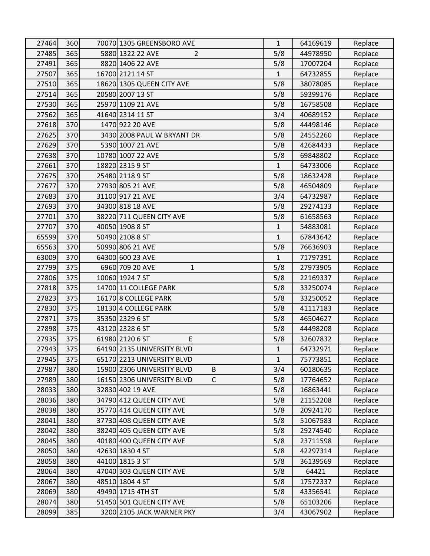| 27464 | 360 | 70070 1305 GREENSBORO AVE                  | $\mathbf{1}$ | 64169619 | Replace |
|-------|-----|--------------------------------------------|--------------|----------|---------|
| 27485 | 365 | 5880 1322 22 AVE<br>$\overline{2}$         | 5/8          | 44978950 | Replace |
| 27491 | 365 | 8820 1406 22 AVE                           | 5/8          | 17007204 | Replace |
| 27507 | 365 | 16700 2121 14 ST                           | 1            | 64732855 | Replace |
| 27510 | 365 | 18620 1305 QUEEN CITY AVE                  | 5/8          | 38078085 | Replace |
| 27514 | 365 | 20580 2007 13 ST                           | 5/8          | 59399176 | Replace |
| 27530 | 365 | 25970 1109 21 AVE                          | 5/8          | 16758508 | Replace |
| 27562 | 365 | 41640 2314 11 ST                           | 3/4          | 40689152 | Replace |
| 27618 | 370 | 1470 922 20 AVE                            | 5/8          | 44498146 | Replace |
| 27625 | 370 | 3430 2008 PAUL W BRYANT DR                 | 5/8          | 24552260 | Replace |
| 27629 | 370 | 5390 1007 21 AVE                           | 5/8          | 42684433 | Replace |
| 27638 | 370 | 10780 1007 22 AVE                          | 5/8          | 69848802 | Replace |
| 27661 | 370 | 18820 2315 9 ST                            | 1            | 64733006 | Replace |
| 27675 | 370 | 25480 2118 9 ST                            | 5/8          | 18632428 | Replace |
| 27677 | 370 | 27930 805 21 AVE                           | 5/8          | 46504809 | Replace |
| 27683 | 370 | 31100 917 21 AVE                           | 3/4          | 64732987 | Replace |
| 27693 | 370 | 34300 818 18 AVE                           | 5/8          | 29274133 | Replace |
| 27701 | 370 | 38220 711 QUEEN CITY AVE                   | 5/8          | 61658563 | Replace |
| 27707 | 370 | 40050 1908 8 ST                            | $\mathbf{1}$ | 54883081 | Replace |
| 65599 | 370 | 50490 2108 8 ST                            | $\mathbf{1}$ | 67843642 | Replace |
| 65563 | 370 | 50990 806 21 AVE                           | 5/8          | 76636903 | Replace |
| 63009 | 370 | 64300 600 23 AVE                           | $\mathbf{1}$ | 71797391 | Replace |
| 27799 | 375 | 6960 709 20 AVE<br>$\mathbf{1}$            | 5/8          | 27973905 | Replace |
| 27806 | 375 | 10060 1924 7 ST                            | 5/8          | 22169337 | Replace |
| 27818 | 375 | 14700 11 COLLEGE PARK                      | 5/8          | 33250074 | Replace |
| 27823 | 375 | 16170 8 COLLEGE PARK                       | 5/8          | 33250052 | Replace |
| 27830 | 375 | 18130 4 COLLEGE PARK                       | 5/8          | 41117183 | Replace |
| 27871 | 375 | 35350 2329 6 ST                            | 5/8          | 46504627 | Replace |
| 27898 | 375 | 43120 2328 6 ST                            | 5/8          | 44498208 | Replace |
| 27935 | 375 | 61980 2120 6 ST<br>E                       | 5/8          | 32607832 | Replace |
| 27943 | 375 | 64190 2135 UNIVERSITY BLVD                 | $\mathbf{1}$ | 64732971 | Replace |
| 27945 | 375 | 65170 2213 UNIVERSITY BLVD                 | $\mathbf 1$  | 75773851 | Replace |
| 27987 | 380 | 15900 2306 UNIVERSITY BLVD<br>B            | 3/4          | 60180635 | Replace |
| 27989 | 380 | $\mathsf{C}$<br>16150 2306 UNIVERSITY BLVD | 5/8          | 17764652 | Replace |
| 28033 | 380 | 32830 402 19 AVE                           | 5/8          | 16863441 | Replace |
| 28036 | 380 | 34790 412 QUEEN CITY AVE                   | 5/8          | 21152208 | Replace |
| 28038 | 380 | 35770 414 QUEEN CITY AVE                   | 5/8          | 20924170 | Replace |
| 28041 | 380 | 37730 408 QUEEN CITY AVE                   | 5/8          | 51067583 | Replace |
| 28042 | 380 | 38240 405 QUEEN CITY AVE                   | 5/8          | 29274540 | Replace |
| 28045 | 380 | 40180 400 QUEEN CITY AVE                   | 5/8          | 23711598 | Replace |
| 28050 | 380 | 42630 1830 4 ST                            | 5/8          | 42297314 | Replace |
| 28058 | 380 | 44100 1815 3 ST                            | 5/8          | 36139569 | Replace |
| 28064 | 380 | 47040 303 QUEEN CITY AVE                   | 5/8          | 64421    | Replace |
| 28067 | 380 | 48510 1804 4 ST                            | 5/8          | 17572337 | Replace |
| 28069 | 380 | 49490 1715 4TH ST                          | 5/8          | 43356541 | Replace |
| 28074 | 380 | 51450 501 QUEEN CITY AVE                   | 5/8          | 65103206 | Replace |
| 28099 | 385 | 3200 2105 JACK WARNER PKY                  | 3/4          | 43067902 | Replace |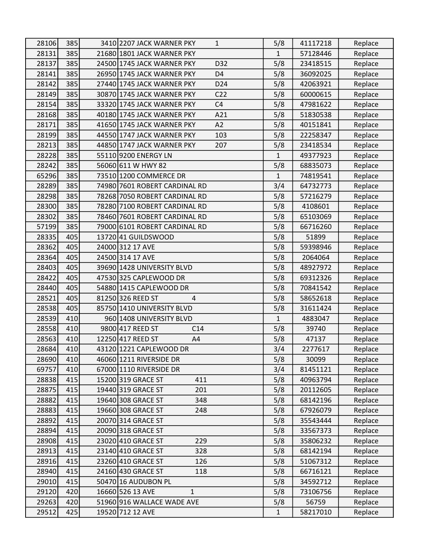| 28106 | 385 | 3410 2207 JACK WARNER PKY<br>$\mathbf{1}$     | 5/8          | 41117218 | Replace |
|-------|-----|-----------------------------------------------|--------------|----------|---------|
| 28131 | 385 | 21680 1801 JACK WARNER PKY                    | $\mathbf{1}$ | 57128446 | Replace |
| 28137 | 385 | D32<br>24500 1745 JACK WARNER PKY             | 5/8          | 23418515 | Replace |
| 28141 | 385 | 26950 1745 JACK WARNER PKY<br>D <sub>4</sub>  | 5/8          | 36092025 | Replace |
| 28142 | 385 | 27440 1745 JACK WARNER PKY<br>D <sub>24</sub> | 5/8          | 42063921 | Replace |
| 28149 | 385 | 30870 1745 JACK WARNER PKY<br>C <sub>22</sub> | 5/8          | 60000615 | Replace |
| 28154 | 385 | 33320 1745 JACK WARNER PKY<br>C <sub>4</sub>  | 5/8          | 47981622 | Replace |
| 28168 | 385 | 40180 1745 JACK WARNER PKY<br>A21             | 5/8          | 51830538 | Replace |
| 28171 | 385 | 41650 1745 JACK WARNER PKY<br>A2              | 5/8          | 40151841 | Replace |
| 28199 | 385 | 44550 1747 JACK WARNER PKY<br>103             | 5/8          | 22258347 | Replace |
| 28213 | 385 | 44850 1747 JACK WARNER PKY<br>207             | 5/8          | 23418534 | Replace |
| 28228 | 385 | 55110 9200 ENERGY LN                          | $\mathbf{1}$ | 49377923 | Replace |
| 28242 | 385 | 56060 611 W HWY 82                            | 5/8          | 68835073 | Replace |
| 65296 | 385 | 73510 1200 COMMERCE DR                        | $\mathbf{1}$ | 74819541 | Replace |
| 28289 | 385 | 74980 7601 ROBERT CARDINAL RD                 | 3/4          | 64732773 | Replace |
| 28298 | 385 | 78268 7050 ROBERT CARDINAL RD                 | 5/8          | 57216279 | Replace |
| 28300 | 385 | 78280 7100 ROBERT CARDINAL RD                 | 5/8          | 4108601  | Replace |
| 28302 | 385 | 78460 7601 ROBERT CARDINAL RD                 | 5/8          | 65103069 | Replace |
| 57199 | 385 | 79000 6101 ROBERT CARDINAL RD                 | 5/8          | 66716260 | Replace |
| 28335 | 405 | 13720 41 GUILDSWOOD                           | 5/8          | 51899    | Replace |
| 28362 | 405 | 24000 312 17 AVE                              | 5/8          | 59398946 | Replace |
| 28364 | 405 | 24500 314 17 AVE                              | 5/8          | 2064064  | Replace |
| 28403 | 405 | 39690 1428 UNIVERSITY BLVD                    | 5/8          | 48927972 | Replace |
| 28422 | 405 | 47530 325 CAPLEWOOD DR                        | 5/8          | 69312326 | Replace |
| 28440 | 405 | 54880 1415 CAPLEWOOD DR                       | 5/8          | 70841542 | Replace |
| 28521 | 405 | 81250 326 REED ST<br>4                        | 5/8          | 58652618 | Replace |
| 28538 | 405 | 85750 1410 UNIVERSITY BLVD                    | 5/8          | 31611424 | Replace |
| 28539 | 410 | 960 1408 UNIVERSITY BLVD                      | $\mathbf{1}$ | 4883047  | Replace |
| 28558 | 410 | 9800 417 REED ST<br>C14                       | 5/8          | 39740    | Replace |
| 28563 | 410 | 12250 417 REED ST<br>A4                       | 5/8          | 47137    | Replace |
| 28684 | 410 | 43120 1221 CAPLEWOOD DR                       | 3/4          | 2277617  | Replace |
| 28690 | 410 | 46060 1211 RIVERSIDE DR                       | 5/8          | 30099    | Replace |
| 69757 | 410 | 67000 1110 RIVERSIDE DR                       | 3/4          | 81451121 | Replace |
| 28838 | 415 | 15200 319 GRACE ST<br>411                     | 5/8          | 40963794 | Replace |
| 28875 | 415 | 19440 319 GRACE ST<br>201                     | 5/8          | 20112605 | Replace |
| 28882 | 415 | 19640 308 GRACE ST<br>348                     | 5/8          | 68142196 | Replace |
| 28883 | 415 | 19660 308 GRACE ST<br>248                     | 5/8          | 67926079 | Replace |
| 28892 | 415 | 20070 314 GRACE ST                            | 5/8          | 35543444 | Replace |
| 28894 | 415 | 20090 318 GRACE ST                            | 5/8          | 33567373 | Replace |
| 28908 | 415 | 23020 410 GRACE ST<br>229                     | 5/8          | 35806232 | Replace |
| 28913 | 415 | 23140 410 GRACE ST<br>328                     | 5/8          | 68142194 | Replace |
| 28916 | 415 | 23260 410 GRACE ST<br>126                     | 5/8          | 51067312 | Replace |
| 28940 | 415 | 24160 430 GRACE ST<br>118                     | 5/8          | 66716121 | Replace |
| 29010 | 415 | 50470 16 AUDUBON PL                           | 5/8          | 34592712 | Replace |
| 29120 | 420 | 16660 526 13 AVE<br>$\mathbf{1}$              | 5/8          | 73106756 | Replace |
| 29263 | 420 | 51960 916 WALLACE WADE AVE                    | 5/8          | 56759    | Replace |
| 29512 | 425 | 19520 712 12 AVE                              | $\mathbf 1$  | 58217010 | Replace |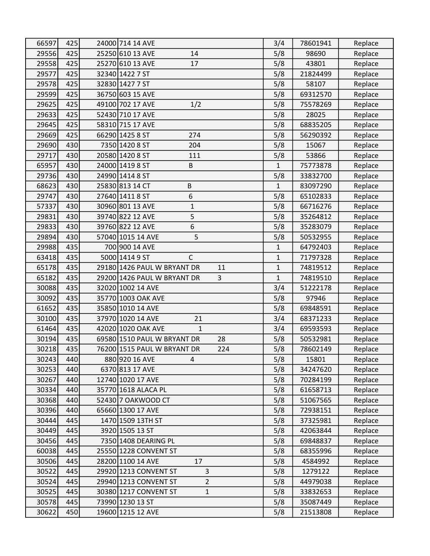| 66597 | 425 | 24000 714 14 AVE                        | 3/4          | 78601941 | Replace |
|-------|-----|-----------------------------------------|--------------|----------|---------|
| 29556 | 425 | 25250 610 13 AVE<br>14                  | 5/8          | 98690    | Replace |
| 29558 | 425 | 25270 610 13 AVE<br>17                  | 5/8          | 43801    | Replace |
| 29577 | 425 | 32340 1422 7 ST                         | 5/8          | 21824499 | Replace |
| 29578 | 425 | 32830 1427 7 ST                         | 5/8          | 58107    | Replace |
| 29599 | 425 | 36750 603 15 AVE                        | 5/8          | 69312570 | Replace |
| 29625 | 425 | 49100 702 17 AVE<br>1/2                 | 5/8          | 75578269 | Replace |
| 29633 | 425 | 52430 710 17 AVE                        | 5/8          | 28025    | Replace |
| 29645 | 425 | 58310 715 17 AVE                        | 5/8          | 68835205 | Replace |
| 29669 | 425 | 66290 1425 8 ST<br>274                  | 5/8          | 56290392 | Replace |
| 29690 | 430 | 7350 1420 8 ST<br>204                   | 5/8          | 15067    | Replace |
| 29717 | 430 | 20580 1420 8 ST<br>111                  | 5/8          | 53866    | Replace |
| 65957 | 430 | 24000 1419 8 ST<br>B                    | $\mathbf{1}$ | 75773878 | Replace |
| 29736 | 430 | 24990 1414 8 ST                         | 5/8          | 33832700 | Replace |
| 68623 | 430 | 25830 813 14 CT<br>B                    | $\mathbf{1}$ | 83097290 | Replace |
| 29747 | 430 | 6<br>27640 1411 8 ST                    | 5/8          | 65102833 | Replace |
| 57337 | 430 | 30960 801 13 AVE<br>$\mathbf 1$         | 5/8          | 66716276 | Replace |
| 29831 | 430 | 39740 822 12 AVE<br>5                   | 5/8          | 35264812 | Replace |
| 29833 | 430 | 39760 822 12 AVE<br>6                   | 5/8          | 35283079 | Replace |
| 29894 | 430 | 5<br>57040 1015 14 AVE                  | 5/8          | 50532955 | Replace |
| 29988 | 435 | 700 900 14 AVE                          | $\mathbf{1}$ | 64792403 | Replace |
| 63418 | 435 | 5000 1414 9 ST<br>$\mathsf{C}$          | $\mathbf 1$  | 71797328 | Replace |
| 65178 | 435 | 29180 1426 PAUL W BRYANT DR<br>11       | $\mathbf{1}$ | 74819512 | Replace |
| 65182 | 435 | 29200 1426 PAUL W BRYANT DR<br>3        | $\mathbf{1}$ | 74819510 | Replace |
| 30088 | 435 | 32020 1002 14 AVE                       | 3/4          | 51222178 | Replace |
| 30092 | 435 | 35770 1003 OAK AVE                      | 5/8          | 97946    | Replace |
| 61652 | 435 | 35850 1010 14 AVE                       | 5/8          | 69848591 | Replace |
| 30100 | 435 | 37970 1020 14 AVE<br>21                 | 3/4          | 68371233 | Replace |
| 61464 | 435 | 42020 1020 OAK AVE<br>$\mathbf{1}$      | 3/4          | 69593593 | Replace |
| 30194 | 435 | 69580 1510 PAUL W BRYANT DR<br>28       | 5/8          | 50532981 | Replace |
| 30218 | 435 | 76200 1515 PAUL W BRYANT DR<br>224      | 5/8          | 78602149 | Replace |
| 30243 | 440 | 880 920 16 AVE<br>4                     | 5/8          | 15801    | Replace |
| 30253 | 440 | 6370 813 17 AVE                         | 5/8          | 34247620 | Replace |
| 30267 | 440 | 12740 1020 17 AVE                       | 5/8          | 70284199 | Replace |
| 30334 | 440 | 35770 1618 ALACA PL                     | 5/8          | 61658713 | Replace |
| 30368 | 440 | 52430 7 OAKWOOD CT                      | 5/8          | 51067565 | Replace |
| 30396 | 440 | 65660 1300 17 AVE                       | 5/8          | 72938151 | Replace |
| 30444 | 445 | 1470 1509 13TH ST                       | 5/8          | 37325981 | Replace |
| 30449 | 445 | 3920 1505 13 ST                         | 5/8          | 42063844 | Replace |
| 30456 | 445 | 7350 1408 DEARING PL                    | 5/8          | 69848837 | Replace |
| 60038 | 445 | 25550 1228 CONVENT ST                   | 5/8          | 68355996 | Replace |
| 30506 | 445 | 28200 1100 14 AVE<br>17                 | 5/8          | 4584992  | Replace |
| 30522 | 445 | 3<br>29920 1213 CONVENT ST              | 5/8          | 1279122  | Replace |
| 30524 | 445 | $\overline{2}$<br>29940 1213 CONVENT ST | 5/8          | 44979038 | Replace |
| 30525 | 445 | $\mathbf{1}$<br>30380 1217 CONVENT ST   | 5/8          | 33832653 | Replace |
| 30578 | 445 | 73990 1230 13 ST                        | 5/8          | 35087449 | Replace |
| 30622 | 450 | 19600 1215 12 AVE                       | 5/8          | 21513808 | Replace |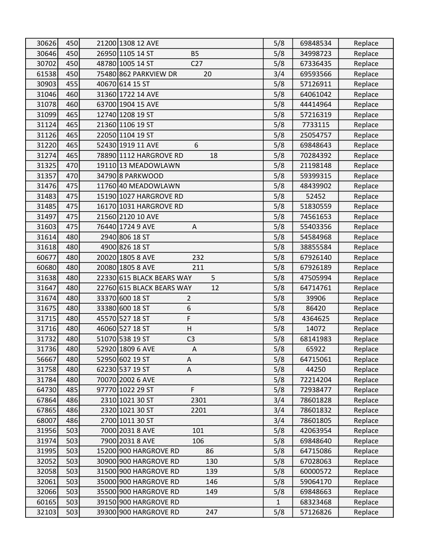| 30626 | 450 | 21200 1308 12 AVE                   | 5/8          | 69848534 | Replace |
|-------|-----|-------------------------------------|--------------|----------|---------|
| 30646 | 450 | 26950 1105 14 ST<br><b>B5</b>       | 5/8          | 34998723 | Replace |
| 30702 | 450 | 48780 1005 14 ST<br>C <sub>27</sub> | 5/8          | 67336435 | Replace |
| 61538 | 450 | 75480 862 PARKVIEW DR<br>20         | 3/4          | 69593566 | Replace |
| 30903 | 455 | 40670 614 15 ST                     | 5/8          | 57126911 | Replace |
| 31046 | 460 | 31360 1722 14 AVE                   | 5/8          | 64061042 | Replace |
| 31078 | 460 | 63700 1904 15 AVE                   | 5/8          | 44414964 | Replace |
| 31099 | 465 | 12740 1208 19 ST                    | 5/8          | 57216319 | Replace |
| 31124 | 465 | 21360 1106 19 ST                    | 5/8          | 7733115  | Replace |
| 31126 | 465 | 22050 1104 19 ST                    | 5/8          | 25054757 | Replace |
| 31220 | 465 | 52430 1919 11 AVE<br>6              | 5/8          | 69848643 | Replace |
| 31274 | 465 | 78890 1112 HARGROVE RD<br>18        | 5/8          | 70284392 | Replace |
| 31325 | 470 | 19110 13 MEADOWLAWN                 | 5/8          | 21198148 | Replace |
| 31357 | 470 | 34790 8 PARKWOOD                    | 5/8          | 59399315 | Replace |
| 31476 | 475 | 11760 40 MEADOWLAWN                 | 5/8          | 48439902 | Replace |
| 31483 | 475 | 15190 1027 HARGROVE RD              | 5/8          | 52452    | Replace |
| 31485 | 475 | 16170 1031 HARGROVE RD              | 5/8          | 51830559 | Replace |
| 31497 | 475 | 21560 2120 10 AVE                   | 5/8          | 74561653 | Replace |
| 31603 | 475 | 76440 1724 9 AVE<br>A               | 5/8          | 55403356 | Replace |
| 31614 | 480 | 2940 806 18 ST                      | 5/8          | 54584968 | Replace |
| 31618 | 480 | 4900 826 18 ST                      | 5/8          | 38855584 | Replace |
| 60677 | 480 | 20020 1805 8 AVE<br>232             | 5/8          | 67926140 | Replace |
| 60680 | 480 | 20080 1805 8 AVE<br>211             | 5/8          | 67926189 | Replace |
| 31638 | 480 | 5<br>22330 615 BLACK BEARS WAY      | 5/8          | 47505994 | Replace |
| 31647 | 480 | 22760 615 BLACK BEARS WAY<br>12     | 5/8          | 64714761 | Replace |
| 31674 | 480 | 33370 600 18 ST<br>$\overline{2}$   | 5/8          | 39906    | Replace |
| 31675 | 480 | $\,$ 6 $\,$<br>33380 600 18 ST      | 5/8          | 86420    | Replace |
| 31715 | 480 | F<br>45570 527 18 ST                | 5/8          | 4364625  | Replace |
| 31716 | 480 | 46060 527 18 ST<br>H                | 5/8          | 14072    | Replace |
| 31732 | 480 | 51070 538 19 ST<br>C <sub>3</sub>   | 5/8          | 68141983 | Replace |
| 31736 | 480 | 52920 1809 6 AVE<br>Α               | 5/8          | 65922    | Replace |
| 56667 | 480 | 52950 602 19 ST<br>Α                | 5/8          | 64715061 | Replace |
| 31758 | 480 | 62230 537 19 ST<br>$\mathsf A$      | 5/8          | 44250    | Replace |
| 31784 | 480 | 70070 2002 6 AVE                    | 5/8          | 72214204 | Replace |
| 64730 | 485 | 97770 1022 29 ST<br>F               | 5/8          | 72938477 | Replace |
| 67864 | 486 | 2310 1021 30 ST<br>2301             | 3/4          | 78601828 | Replace |
| 67865 | 486 | 2320 1021 30 ST<br>2201             | 3/4          | 78601832 | Replace |
| 68007 | 486 | 2700 1011 30 ST                     | 3/4          | 78601805 | Replace |
| 31956 | 503 | 7000 2031 8 AVE<br>101              | 5/8          | 42063954 | Replace |
| 31974 | 503 | 7900 2031 8 AVE<br>106              | 5/8          | 69848640 | Replace |
| 31995 | 503 | 15200 900 HARGROVE RD<br>86         | 5/8          | 64715086 | Replace |
| 32052 | 503 | 30900 900 HARGROVE RD<br>130        | 5/8          | 67028063 | Replace |
| 32058 | 503 | 31500 900 HARGROVE RD<br>139        | 5/8          | 60000572 | Replace |
| 32061 | 503 | 35000 900 HARGROVE RD<br>146        | 5/8          | 59064170 | Replace |
| 32066 | 503 | 35500 900 HARGROVE RD<br>149        | 5/8          | 69848663 | Replace |
| 60165 | 503 | 39150 900 HARGROVE RD               | $\mathbf{1}$ | 68323468 | Replace |
| 32103 | 503 | 39300 900 HARGROVE RD<br>247        | 5/8          | 57126826 | Replace |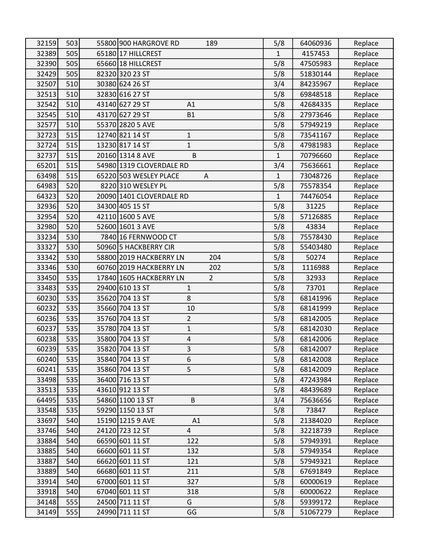| 32159 | 503 | 55800 900 HARGROVE RD<br>189               | 5/8          | 64060936 | Replace |
|-------|-----|--------------------------------------------|--------------|----------|---------|
| 32389 | 505 | 65180 17 HILLCREST                         | $\mathbf{1}$ | 4157453  | Replace |
| 32390 | 505 | 65660 18 HILLCREST                         | 5/8          | 47505983 | Replace |
| 32429 | 505 | 82320 320 23 ST                            | 5/8          | 51830144 | Replace |
| 32507 | 510 | 30380 624 26 ST                            | 3/4          | 84235967 | Replace |
| 32513 | 510 | 32830 616 27 ST                            | 5/8          | 69848518 | Replace |
| 32542 | 510 | 43140 627 29 ST<br>A1                      | 5/8          | 42684335 | Replace |
| 32545 | 510 | 43170 627 29 ST<br><b>B1</b>               | 5/8          | 27973646 | Replace |
| 32577 | 510 | 55370 2820 5 AVE                           | 5/8          | 57949219 | Replace |
| 32723 | 515 | 12740 821 14 ST<br>$\mathbf{1}$            | 5/8          | 73541167 | Replace |
| 32724 | 515 | 13230 817 14 ST<br>$\mathbf{1}$            | 5/8          | 47981983 | Replace |
| 32737 | 515 | 20160 1314 8 AVE<br>B                      | $\mathbf{1}$ | 70796660 | Replace |
| 65201 | 515 | 54980 1319 CLOVERDALE RD                   | 3/4          | 75636661 | Replace |
| 63498 | 515 | 65220 503 WESLEY PLACE<br>A                | $\mathbf{1}$ | 73048726 | Replace |
| 64983 | 520 | 8220 310 WESLEY PL                         | 5/8          | 75578354 | Replace |
| 64323 | 520 | 20090 1401 CLOVERDALE RD                   | 1            | 74476054 | Replace |
| 32936 | 520 | 34300 405 15 ST                            | 5/8          | 31225    | Replace |
| 32954 | 520 | 42110 1600 5 AVE                           | 5/8          | 57126885 | Replace |
| 32980 | 520 | 52600 1601 3 AVE                           | 5/8          | 43834    | Replace |
| 33234 | 530 | 7840 16 FERNWOOD CT                        | 5/8          | 75578430 | Replace |
| 33327 | 530 | 50960 5 HACKBERRY CIR                      | 5/8          | 55403480 | Replace |
| 33342 | 530 | 58800 2019 HACKBERRY LN<br>204             | 5/8          | 50274    | Replace |
| 33346 | 530 | 60760 2019 HACKBERRY LN<br>202             | 5/8          | 1116988  | Replace |
| 33450 | 535 | $\overline{2}$<br>17840 1605 HACKBERRY LN  | 5/8          | 32933    | Replace |
| 33483 | 535 | 29400 610 13 ST<br>$\mathbf{1}$            | 5/8          | 73701    | Replace |
| 60230 | 535 | 35620 704 13 ST<br>8                       | 5/8          | 68141996 | Replace |
| 60232 | 535 | 35660 704 13 ST<br>10                      | 5/8          | 68141999 | Replace |
| 60236 | 535 | $\overline{2}$<br>35760 704 13 ST          | 5/8          | 68142005 | Replace |
| 60237 | 535 | 35780 704 13 ST<br>$\mathbf{1}$            | 5/8          | 68142030 | Replace |
| 60238 | 535 | 35800 704 13 ST<br>4                       | 5/8          | 68142006 | Replace |
| 60239 | 535 | 3<br>35820 704 13 ST                       | 5/8          | 68142007 | Replace |
| 60240 | 535 | 35840 704 13 ST<br>6                       | 5/8          | 68142008 | Replace |
| 60241 | 535 | 5<br>35860 704 13 ST                       | 5/8          | 68142009 | Replace |
| 33498 | 535 | 36400 716 13 ST                            | 5/8          | 47243984 | Replace |
| 33513 | 535 | 43610 912 13 ST                            | 5/8          | 48439689 | Replace |
| 64495 | 535 | 54860 1100 13 ST<br>B                      | 3/4          | 75636656 | Replace |
| 33548 | 535 | 59290 1150 13 ST                           | 5/8          | 73847    | Replace |
| 33697 | 540 | 15190 1215 9 AVE<br>A1                     | 5/8          | 21384020 | Replace |
| 33746 | 540 | $\overline{\mathbf{4}}$<br>24120 723 12 ST | 5/8          | 32218739 | Replace |
| 33884 | 540 | 66590 601 11 ST<br>122                     | 5/8          | 57949391 | Replace |
| 33885 | 540 | 66600 601 11 ST<br>132                     | 5/8          | 57949354 | Replace |
| 33887 | 540 | 66620 601 11 ST<br>121                     | 5/8          | 57949321 | Replace |
| 33889 | 540 | 66680 601 11 ST<br>211                     | 5/8          | 67691849 | Replace |
| 33914 | 540 | 67000 601 11 ST<br>327                     | 5/8          | 60000619 | Replace |
| 33918 | 540 | 67040 601 11 ST<br>318                     | 5/8          | 60000622 | Replace |
| 34148 | 555 | G<br>24500 711 11 ST                       | 5/8          | 59399172 | Replace |
| 34149 | 555 | 24990 711 11 ST<br>GG                      | 5/8          | 51067279 | Replace |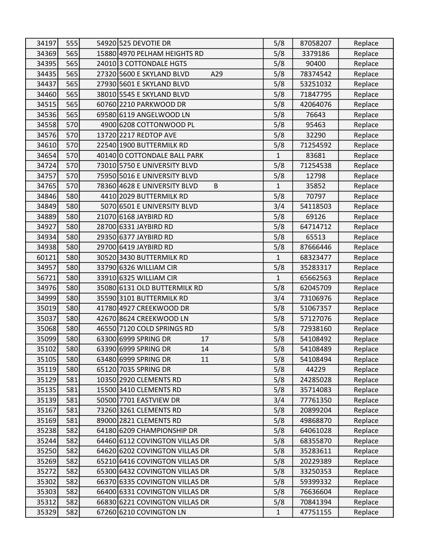| 34197 | 555 | 54920 525 DEVOTIE DR              | 5/8          | 87058207 | Replace |
|-------|-----|-----------------------------------|--------------|----------|---------|
| 34369 | 565 | 15880 4970 PELHAM HEIGHTS RD      | 5/8          | 3379186  | Replace |
| 34395 | 565 | 24010 3 COTTONDALE HGTS           | 5/8          | 90400    | Replace |
| 34435 | 565 | 27320 5600 E SKYLAND BLVD<br>A29  | 5/8          | 78374542 | Replace |
| 34437 | 565 | 27930 5601 E SKYLAND BLVD         | 5/8          | 53251032 | Replace |
| 34460 | 565 | 38010 5545 E SKYLAND BLVD         | 5/8          | 71847795 | Replace |
| 34515 | 565 | 60760 2210 PARKWOOD DR            | 5/8          | 42064076 | Replace |
| 34536 | 565 | 69580 6119 ANGELWOOD LN           | 5/8          | 76643    | Replace |
| 34558 | 570 | 4900 6208 COTTONWOOD PL           | 5/8          | 95463    | Replace |
| 34576 | 570 | 13720 2217 REDTOP AVE             | 5/8          | 32290    | Replace |
| 34610 | 570 | 22540 1900 BUTTERMILK RD          | 5/8          | 71254592 | Replace |
| 34654 | 570 | 40140 O COTTONDALE BALL PARK      | $\mathbf{1}$ | 83681    | Replace |
| 34724 | 570 | 73010 5750 E UNIVERSITY BLVD      | 5/8          | 71254538 | Replace |
| 34757 | 570 | 75950 5016 E UNIVERSITY BLVD      | 5/8          | 12798    | Replace |
| 34765 | 570 | B<br>78360 4628 E UNIVERSITY BLVD | 1            | 35852    | Replace |
| 34846 | 580 | 4410 2029 BUTTERMILK RD           | 5/8          | 70797    | Replace |
| 34849 | 580 | 5070 6501 E UNIVERSITY BLVD       | 3/4          | 54118503 | Replace |
| 34889 | 580 | 21070 6168 JAYBIRD RD             | 5/8          | 69126    | Replace |
| 34927 | 580 | 28700 6331 JAYBIRD RD             | 5/8          | 64714712 | Replace |
| 34934 | 580 | 29350 6377 JAYBIRD RD             | 5/8          | 65513    | Replace |
| 34938 | 580 | 29700 6419 JAYBIRD RD             | 5/8          | 87666446 | Replace |
| 60121 | 580 | 30520 3430 BUTTERMILK RD          | $\mathbf{1}$ | 68323477 | Replace |
| 34957 | 580 | 33790 6326 WILLIAM CIR            | 5/8          | 35283317 | Replace |
| 56721 | 580 | 33910 6325 WILLIAM CIR            | $\mathbf{1}$ | 65662563 | Replace |
| 34976 | 580 | 35080 6131 OLD BUTTERMILK RD      | 5/8          | 62045709 | Replace |
| 34999 | 580 | 35590 3101 BUTTERMILK RD          | 3/4          | 73106976 | Replace |
| 35019 | 580 | 41780 4927 CREEKWOOD DR           | 5/8          | 51067357 | Replace |
| 35037 | 580 | 42670 8624 CREEKWOOD LN           | 5/8          | 57127076 | Replace |
| 35068 | 580 | 46550 7120 COLD SPRINGS RD        | 5/8          | 72938160 | Replace |
| 35099 | 580 | 63300 6999 SPRING DR<br>17        | 5/8          | 54108492 | Replace |
| 35102 | 580 | 63390 6999 SPRING DR<br>14        | 5/8          | 54108489 | Replace |
| 35105 | 580 | 63480 6999 SPRING DR<br>11        | 5/8          | 54108494 | Replace |
| 35119 | 580 | 65120 7035 SPRING DR              | 5/8          | 44229    | Replace |
| 35129 | 581 | 10350 2920 CLEMENTS RD            | 5/8          | 24285028 | Replace |
| 35135 | 581 | 15500 3410 CLEMENTS RD            | 5/8          | 35714083 | Replace |
| 35139 | 581 | 50500 7701 EASTVIEW DR            | 3/4          | 77761350 | Replace |
| 35167 | 581 | 73260 3261 CLEMENTS RD            | 5/8          | 20899204 | Replace |
| 35169 | 581 | 89000 2821 CLEMENTS RD            | 5/8          | 49868870 | Replace |
| 35238 | 582 | 64180 6209 CHAMPIONSHIP DR        | 5/8          | 64061028 | Replace |
| 35244 | 582 | 64460 6112 COVINGTON VILLAS DR    | 5/8          | 68355870 | Replace |
| 35250 | 582 | 64620 6202 COVINGTON VILLAS DR    | 5/8          | 35283611 | Replace |
| 35269 | 582 | 65210 6416 COVINGTON VILLAS DR    | 5/8          | 20229389 | Replace |
| 35272 | 582 | 65300 6432 COVINGTON VILLAS DR    | 5/8          | 33250353 | Replace |
| 35302 | 582 | 66370 6335 COVINGTON VILLAS DR    | 5/8          | 59399332 | Replace |
| 35303 | 582 | 66400 6331 COVINGTON VILLAS DR    | 5/8          | 76636604 | Replace |
| 35312 | 582 | 66830 6221 COVINGTON VILLAS DR    | 5/8          | 70841394 | Replace |
| 35329 | 582 | 67260 6210 COVINGTON LN           | $\mathbf{1}$ | 47751155 | Replace |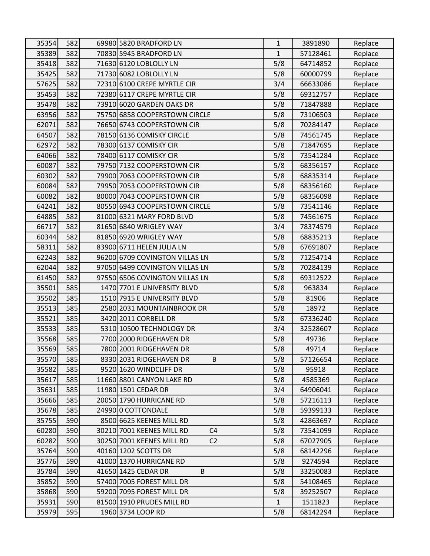| 35354 | 582 | 69980 5820 BRADFORD LN                      | $\mathbf{1}$ | 3891890  | Replace |
|-------|-----|---------------------------------------------|--------------|----------|---------|
| 35389 | 582 | 70830 5945 BRADFORD LN                      | $\mathbf{1}$ | 57128461 | Replace |
| 35418 | 582 | 71630 6120 LOBLOLLY LN                      | 5/8          | 64714852 | Replace |
| 35425 | 582 | 71730 6082 LOBLOLLY LN                      | 5/8          | 60000799 | Replace |
| 57625 | 582 | 72310 6100 CREPE MYRTLE CIR                 | 3/4          | 66633086 | Replace |
| 35453 | 582 | 72380 6117 CREPE MYRTLE CIR                 | 5/8          | 69312757 | Replace |
| 35478 | 582 | 73910 6020 GARDEN OAKS DR                   | 5/8          | 71847888 | Replace |
| 63956 | 582 | 75750 6858 COOPERSTOWN CIRCLE               | 5/8          | 73106503 | Replace |
| 62071 | 582 | 76650 6743 COOPERSTOWN CIR                  | 5/8          | 70284147 | Replace |
| 64507 | 582 | 78150 6136 COMISKY CIRCLE                   | 5/8          | 74561745 | Replace |
| 62972 | 582 | 78300 6137 COMISKY CIR                      | 5/8          | 71847695 | Replace |
| 64066 | 582 | 78400 6117 COMISKY CIR                      | 5/8          | 73541284 | Replace |
| 60087 | 582 | 79750 7132 COOPERSTOWN CIR                  | 5/8          | 68356157 | Replace |
| 60302 | 582 | 79900 7063 COOPERSTOWN CIR                  | 5/8          | 68835314 | Replace |
| 60084 | 582 | 79950 7053 COOPERSTOWN CIR                  | 5/8          | 68356160 | Replace |
| 60082 | 582 | 80000 7043 COOPERSTOWN CIR                  | 5/8          | 68356098 | Replace |
| 64241 | 582 | 80550 6943 COOPERSTOWN CIRCLE               | 5/8          | 73541146 | Replace |
| 64885 | 582 | 81000 6321 MARY FORD BLVD                   | 5/8          | 74561675 | Replace |
| 66717 | 582 | 81650 6840 WRIGLEY WAY                      | 3/4          | 78374579 | Replace |
| 60344 | 582 | 81850 6920 WRIGLEY WAY                      | 5/8          | 68835213 | Replace |
| 58311 | 582 | 83900 6711 HELEN JULIA LN                   | 5/8          | 67691807 | Replace |
| 62243 | 582 | 96200 6709 COVINGTON VILLAS LN              | 5/8          | 71254714 | Replace |
| 62044 | 582 | 97050 6499 COVINGTON VILLAS LN              | 5/8          | 70284139 | Replace |
| 61450 | 582 | 97550 6506 COVINGTON VILLAS LN              | 5/8          | 69312522 | Replace |
| 35501 | 585 | 1470 7701 E UNIVERSITY BLVD                 | 5/8          | 963834   | Replace |
| 35502 | 585 | 1510 7915 E UNIVERSITY BLVD                 | 5/8          | 81906    | Replace |
| 35513 | 585 | 2580 2031 MOUNTAINBROOK DR                  | 5/8          | 18972    | Replace |
| 35521 | 585 | 3420 2011 CORBELL DR                        | 5/8          | 67336240 | Replace |
| 35533 | 585 | 5310 10500 TECHNOLOGY DR                    | 3/4          | 32528607 | Replace |
| 35568 | 585 | 7700 2000 RIDGEHAVEN DR                     | 5/8          | 49736    | Replace |
| 35569 | 585 | 7800 2001 RIDGEHAVEN DR                     | 5/8          | 49714    | Replace |
| 35570 | 585 | 8330 2031 RIDGEHAVEN DR<br>B                | 5/8          | 57126654 | Replace |
| 35582 | 585 | 9520 1620 WINDCLIFF DR                      | 5/8          | 95918    | Replace |
| 35617 | 585 | 11660 8801 CANYON LAKE RD                   | 5/8          | 4585369  | Replace |
| 35631 | 585 | 11980 1501 CEDAR DR                         | 3/4          | 64906041 | Replace |
| 35666 | 585 | 20050 1790 HURRICANE RD                     | 5/8          | 57216113 | Replace |
| 35678 | 585 | 24990 0 COTTONDALE                          | 5/8          | 59399133 | Replace |
| 35755 | 590 | 8500 6625 KEENES MILL RD                    | 5/8          | 42863697 | Replace |
| 60280 | 590 | 30210 7001 KEENES MILL RD<br>C <sub>4</sub> | 5/8          | 73541099 | Replace |
| 60282 | 590 | 30250 7001 KEENES MILL RD<br>C <sub>2</sub> | 5/8          | 67027905 | Replace |
| 35764 | 590 | 40160 1202 SCOTTS DR                        | 5/8          | 68142296 | Replace |
| 35776 | 590 | 41000 1370 HURRICANE RD                     | 5/8          | 9274594  | Replace |
| 35784 | 590 | 41650 1425 CEDAR DR<br>B                    | 5/8          | 33250083 | Replace |
| 35852 | 590 | 57400 7005 FOREST MILL DR                   | 5/8          | 54108465 | Replace |
| 35868 | 590 | 59200 7095 FOREST MILL DR                   | 5/8          | 39252507 | Replace |
| 35931 | 590 | 81500 1910 PRUDES MILL RD                   | $\mathbf{1}$ | 1511823  | Replace |
| 35979 | 595 | 1960 3734 LOOP RD                           | 5/8          | 68142294 | Replace |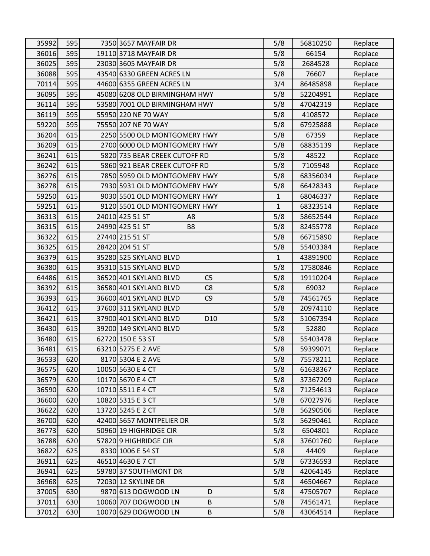| 35992 | 595 | 7350 3657 MAYFAIR DR                      | 5/8          | 56810250 | Replace |
|-------|-----|-------------------------------------------|--------------|----------|---------|
| 36016 | 595 | 19110 3718 MAYFAIR DR                     | 5/8          | 66154    | Replace |
| 36025 | 595 | 23030 3605 MAYFAIR DR                     | 5/8          | 2684528  | Replace |
| 36088 | 595 | 43540 6330 GREEN ACRES LN                 | 5/8          | 76607    | Replace |
| 70114 | 595 | 44600 6355 GREEN ACRES LN                 | 3/4          | 86485898 | Replace |
| 36095 | 595 | 45080 6208 OLD BIRMINGHAM HWY             | 5/8          | 52204991 | Replace |
| 36114 | 595 | 53580 7001 OLD BIRMINGHAM HWY             | 5/8          | 47042319 | Replace |
| 36119 | 595 | 55950 220 NE 70 WAY                       | 5/8          | 4108572  | Replace |
| 59220 | 595 | 75550 207 NE 70 WAY                       | 5/8          | 67925888 | Replace |
| 36204 | 615 | 2250 5500 OLD MONTGOMERY HWY              | 5/8          | 67359    | Replace |
| 36209 | 615 | 2700 6000 OLD MONTGOMERY HWY              | 5/8          | 68835139 | Replace |
| 36241 | 615 | 5820 735 BEAR CREEK CUTOFF RD             | 5/8          | 48522    | Replace |
| 36242 | 615 | 5860 921 BEAR CREEK CUTOFF RD             | 5/8          | 7105948  | Replace |
| 36276 | 615 | 7850 5959 OLD MONTGOMERY HWY              | 5/8          | 68356034 | Replace |
| 36278 | 615 | 7930 5931 OLD MONTGOMERY HWY              | 5/8          | 66428343 | Replace |
| 59250 | 615 | 9030 5501 OLD MONTGOMERY HWY              | $\mathbf{1}$ | 68046337 | Replace |
| 59251 | 615 | 9120 5501 OLD MONTGOMERY HWY              | $\mathbf{1}$ | 68323514 | Replace |
| 36313 | 615 | 24010 425 51 ST<br>A <sub>8</sub>         | 5/8          | 58652544 | Replace |
| 36315 | 615 | 24990 425 51 ST<br>B <sub>8</sub>         | 5/8          | 82455778 | Replace |
| 36322 | 615 | 27440 215 51 ST                           | 5/8          | 66715890 | Replace |
| 36325 | 615 | 28420 204 51 ST                           | 5/8          | 55403384 | Replace |
| 36379 | 615 | 35280 525 SKYLAND BLVD                    | $\mathbf{1}$ | 43891900 | Replace |
| 36380 | 615 | 35310 515 SKYLAND BLVD                    | 5/8          | 17580846 | Replace |
| 64486 | 615 | C <sub>5</sub><br>36520 401 SKYLAND BLVD  | 5/8          | 19110204 | Replace |
| 36392 | 615 | 36580 401 SKYLAND BLVD<br>C <sub>8</sub>  | 5/8          | 69032    | Replace |
| 36393 | 615 | 36600 401 SKYLAND BLVD<br>C <sub>9</sub>  | 5/8          | 74561765 | Replace |
| 36412 | 615 | 37600 311 SKYLAND BLVD                    | 5/8          | 20974110 | Replace |
| 36421 | 615 | 37900 401 SKYLAND BLVD<br>D <sub>10</sub> | 5/8          | 51067394 | Replace |
| 36430 | 615 | 39200 149 SKYLAND BLVD                    | 5/8          | 52880    | Replace |
| 36480 | 615 | 62720 150 E 53 ST                         | 5/8          | 55403478 | Replace |
| 36481 | 615 | 63210 5275 E 2 AVE                        | 5/8          | 59399071 | Replace |
| 36533 | 620 | 8170 5304 E 2 AVE                         | 5/8          | 75578211 | Replace |
| 36575 | 620 | 10050 5630 E 4 CT                         | 5/8          | 61638367 | Replace |
| 36579 | 620 | 10170 5670 E 4 CT                         | 5/8          | 37367209 | Replace |
| 36590 | 620 | 10710 5511 E 4 CT                         | 5/8          | 71254613 | Replace |
| 36600 | 620 | 10820 5315 E 3 CT                         | 5/8          | 67027976 | Replace |
| 36622 | 620 | 13720 5245 E 2 CT                         | 5/8          | 56290506 | Replace |
| 36700 | 620 | 42400 5657 MONTPELIER DR                  | 5/8          | 56290461 | Replace |
| 36773 | 620 | 50960 19 HIGHRIDGE CIR                    | 5/8          | 6504801  | Replace |
| 36788 | 620 | 57820 9 HIGHRIDGE CIR                     | 5/8          | 37601760 | Replace |
| 36822 | 625 | 8330 1006 E 54 ST                         | 5/8          | 44409    | Replace |
| 36911 | 625 | 46510 4630 E 7 CT                         | 5/8          | 67336593 | Replace |
| 36941 | 625 | 59780 37 SOUTHMONT DR                     | 5/8          | 42064145 | Replace |
| 36968 | 625 | 72030 12 SKYLINE DR                       | 5/8          | 46504667 | Replace |
| 37005 | 630 | 9870 613 DOGWOOD LN<br>D                  | 5/8          | 47505707 | Replace |
| 37011 | 630 | 10060 707 DOGWOOD LN<br>B                 | 5/8          | 74561471 | Replace |
| 37012 | 630 | 10070 629 DOGWOOD LN<br>B                 | 5/8          | 43064514 | Replace |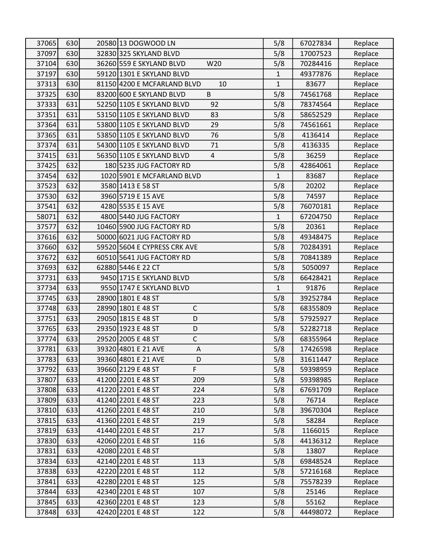| 37065 | 630 | 20580 13 DOGWOOD LN               | 5/8          | 67027834 | Replace |
|-------|-----|-----------------------------------|--------------|----------|---------|
| 37097 | 630 | 32830 325 SKYLAND BLVD            | 5/8          | 17007523 | Replace |
| 37104 | 630 | 36260 559 E SKYLAND BLVD<br>W20   | 5/8          | 70284416 | Replace |
| 37197 | 630 | 59120 1301 E SKYLAND BLVD         | 1            | 49377876 | Replace |
| 37313 | 630 | 81150 4200 E MCFARLAND BLVD<br>10 | $\mathbf{1}$ | 83677    | Replace |
| 37325 | 630 | 83200 600 E SKYLAND BLVD<br>B     | 5/8          | 74561768 | Replace |
| 37333 | 631 | 52250 1105 E SKYLAND BLVD<br>92   | 5/8          | 78374564 | Replace |
| 37351 | 631 | 53150 1105 E SKYLAND BLVD<br>83   | 5/8          | 58652529 | Replace |
| 37364 | 631 | 53800 1105 E SKYLAND BLVD<br>29   | 5/8          | 74561661 | Replace |
| 37365 | 631 | 53850 1105 E SKYLAND BLVD<br>76   | 5/8          | 4136414  | Replace |
| 37374 | 631 | 54300 1105 E SKYLAND BLVD<br>71   | 5/8          | 4136335  | Replace |
| 37415 | 631 | 56350 1105 E SKYLAND BLVD<br>4    | 5/8          | 36259    | Replace |
| 37425 | 632 | 180 5235 JUG FACTORY RD           | 5/8          | 42864061 | Replace |
| 37454 | 632 | 1020 5901 E MCFARLAND BLVD        | $\mathbf{1}$ | 83687    | Replace |
| 37523 | 632 | 3580 1413 E 58 ST                 | 5/8          | 20202    | Replace |
| 37530 | 632 | 3960 5719 E 15 AVE                | 5/8          | 74597    | Replace |
| 37541 | 632 | 4280 5535 E 15 AVE                | 5/8          | 76070181 | Replace |
| 58071 | 632 | 4800 5440 JUG FACTORY             | 1            | 67204750 | Replace |
| 37577 | 632 | 10460 5900 JUG FACTORY RD         | 5/8          | 20361    | Replace |
| 37616 | 632 | 50000 6021 JUG FACTORY RD         | 5/8          | 49348475 | Replace |
| 37660 | 632 | 59520 5604 E CYPRESS CRK AVE      | 5/8          | 70284391 | Replace |
| 37672 | 632 | 60510 5641 JUG FACTORY RD         | 5/8          | 70841389 | Replace |
| 37693 | 632 | 62880 5446 E 22 CT                | 5/8          | 5050097  | Replace |
| 37731 | 633 | 9450 1715 E SKYLAND BLVD          | 5/8          | 66428421 | Replace |
| 37734 | 633 | 9550 1747 E SKYLAND BLVD          | $\mathbf{1}$ | 91876    | Replace |
| 37745 | 633 | 28900 1801 E 48 ST                | 5/8          | 39252784 | Replace |
| 37748 | 633 | $\mathsf C$<br>28990 1801 E 48 ST | 5/8          | 68355809 | Replace |
| 37751 | 633 | 29050 1815 E 48 ST<br>D           | 5/8          | 57925927 | Replace |
| 37765 | 633 | 29350 1923 E 48 ST<br>D           | 5/8          | 52282718 | Replace |
| 37774 | 633 | $\mathsf C$<br>29520 2005 E 48 ST | 5/8          | 68355964 | Replace |
| 37781 | 633 | 39320 4801 E 21 AVE<br>A          | 5/8          | 17426598 | Replace |
| 37783 | 633 | 39360 4801 E 21 AVE<br>D          | 5/8          | 31611447 | Replace |
| 37792 | 633 | 39660 2129 E 48 ST<br>F           | 5/8          | 59398959 | Replace |
| 37807 | 633 | 209<br>41200 2201 E 48 ST         | 5/8          | 59398985 | Replace |
| 37808 | 633 | 41220 2201 E 48 ST<br>224         | 5/8          | 67691709 | Replace |
| 37809 | 633 | 41240 2201 E 48 ST<br>223         | 5/8          | 76714    | Replace |
| 37810 | 633 | 210<br>41260 2201 E 48 ST         | 5/8          | 39670304 | Replace |
| 37815 | 633 | 219<br>41360 2201 E 48 ST         | 5/8          | 58284    | Replace |
| 37819 | 633 | 41440 2201 E 48 ST<br>217         | 5/8          | 1166015  | Replace |
| 37830 | 633 | 42060 2201 E 48 ST<br>116         | 5/8          | 44136312 | Replace |
| 37831 | 633 | 42080 2201 E 48 ST                | 5/8          | 13807    | Replace |
| 37834 | 633 | 42140 2201 E 48 ST<br>113         | 5/8          | 69848524 | Replace |
| 37838 | 633 | 42220 2201 E 48 ST<br>112         | 5/8          | 57216168 | Replace |
| 37841 | 633 | 42280 2201 E 48 ST<br>125         | 5/8          | 75578239 | Replace |
| 37844 | 633 | 42340 2201 E 48 ST<br>107         | 5/8          | 25146    | Replace |
| 37845 | 633 | 42360 2201 E 48 ST<br>123         | 5/8          | 55162    | Replace |
| 37848 | 633 | 42420 2201 E 48 ST<br>122         | 5/8          | 44498072 | Replace |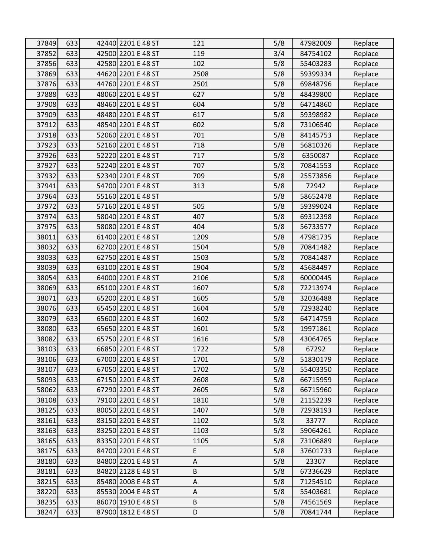| 37849 | 633 | 42440 2201 E 48 ST | 121     | 5/8 | 47982009 | Replace |
|-------|-----|--------------------|---------|-----|----------|---------|
| 37852 | 633 | 42500 2201 E 48 ST | 119     | 3/4 | 84754102 | Replace |
| 37856 | 633 | 42580 2201 E 48 ST | 102     | 5/8 | 55403283 | Replace |
| 37869 | 633 | 44620 2201 E 48 ST | 2508    | 5/8 | 59399334 | Replace |
| 37876 | 633 | 44760 2201 E 48 ST | 2501    | 5/8 | 69848796 | Replace |
| 37888 | 633 | 48060 2201 E 48 ST | 627     | 5/8 | 48439800 | Replace |
| 37908 | 633 | 48460 2201 E 48 ST | 604     | 5/8 | 64714860 | Replace |
| 37909 | 633 | 48480 2201 E 48 ST | 617     | 5/8 | 59398982 | Replace |
| 37912 | 633 | 48540 2201 E 48 ST | 602     | 5/8 | 73106540 | Replace |
| 37918 | 633 | 52060 2201 E 48 ST | 701     | 5/8 | 84145753 | Replace |
| 37923 | 633 | 52160 2201 E 48 ST | 718     | 5/8 | 56810326 | Replace |
| 37926 | 633 | 52220 2201 E 48 ST | 717     | 5/8 | 6350087  | Replace |
| 37927 | 633 | 52240 2201 E 48 ST | 707     | 5/8 | 70841553 | Replace |
| 37932 | 633 | 52340 2201 E 48 ST | 709     | 5/8 | 25573856 | Replace |
| 37941 | 633 | 54700 2201 E 48 ST | 313     | 5/8 | 72942    | Replace |
| 37964 | 633 | 55160 2201 E 48 ST |         | 5/8 | 58652478 | Replace |
| 37972 | 633 | 57160 2201 E 48 ST | 505     | 5/8 | 59399024 | Replace |
| 37974 | 633 | 58040 2201 E 48 ST | 407     | 5/8 | 69312398 | Replace |
| 37975 | 633 | 58080 2201 E 48 ST | 404     | 5/8 | 56733577 | Replace |
| 38011 | 633 | 61400 2201 E 48 ST | 1209    | 5/8 | 47981735 | Replace |
| 38032 | 633 | 62700 2201 E 48 ST | 1504    | 5/8 | 70841482 | Replace |
| 38033 | 633 | 62750 2201 E 48 ST | 1503    | 5/8 | 70841487 | Replace |
| 38039 | 633 | 63100 2201 E 48 ST | 1904    | 5/8 | 45684497 | Replace |
| 38054 | 633 | 64000 2201 E 48 ST | 2106    | 5/8 | 60000445 | Replace |
| 38069 | 633 | 65100 2201 E 48 ST | 1607    | 5/8 | 72213974 | Replace |
| 38071 | 633 | 65200 2201 E 48 ST | 1605    | 5/8 | 32036488 | Replace |
| 38076 | 633 | 65450 2201 E 48 ST | 1604    | 5/8 | 72938240 | Replace |
| 38079 | 633 | 65600 2201 E 48 ST | 1602    | 5/8 | 64714759 | Replace |
| 38080 | 633 | 65650 2201 E 48 ST | 1601    | 5/8 | 19971861 | Replace |
| 38082 | 633 | 65750 2201 E 48 ST | 1616    | 5/8 | 43064765 | Replace |
| 38103 | 633 | 66850 2201 E 48 ST | 1722    | 5/8 | 67292    | Replace |
| 38106 | 633 | 67000 2201 E 48 ST | 1701    | 5/8 | 51830179 | Replace |
| 38107 | 633 | 67050 2201 E 48 ST | 1702    | 5/8 | 55403350 | Replace |
| 58093 | 633 | 67150 2201 E 48 ST | 2608    | 5/8 | 66715959 | Replace |
| 58062 | 633 | 67290 2201 E 48 ST | 2605    | 5/8 | 66715960 | Replace |
| 38108 | 633 | 79100 2201 E 48 ST | 1810    | 5/8 | 21152239 | Replace |
| 38125 | 633 | 80050 2201 E 48 ST | 1407    | 5/8 | 72938193 | Replace |
| 38161 | 633 | 83150 2201 E 48 ST | 1102    | 5/8 | 33777    | Replace |
| 38163 | 633 | 83250 2201 E 48 ST | 1103    | 5/8 | 59064261 | Replace |
| 38165 | 633 | 83350 2201 E 48 ST | 1105    | 5/8 | 73106889 | Replace |
| 38175 | 633 | 84700 2201 E 48 ST | E       | 5/8 | 37601733 | Replace |
| 38180 | 633 | 84800 2201 E 48 ST | A       | 5/8 | 23307    | Replace |
| 38181 | 633 | 84820 2128 E 48 ST | $\sf B$ | 5/8 | 67336629 | Replace |
| 38215 | 633 | 85480 2008 E 48 ST | Α       | 5/8 | 71254510 | Replace |
| 38220 | 633 | 85530 2004 E 48 ST | A       | 5/8 | 55403681 | Replace |
| 38235 | 633 | 86070 1910 E 48 ST | B       | 5/8 | 74561569 | Replace |
| 38247 | 633 | 87900 1812 E 48 ST | D       | 5/8 | 70841744 | Replace |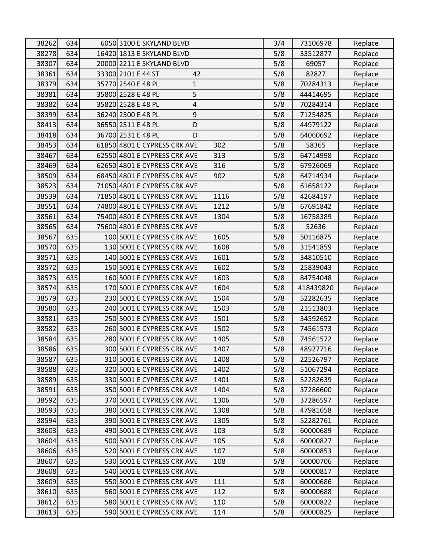| 38262          | 634        | 6050 3100 E SKYLAND BLVD                                 |      | 3/4 | 73106978             | Replace |
|----------------|------------|----------------------------------------------------------|------|-----|----------------------|---------|
| 38278          | 634        | 16420 1813 E SKYLAND BLVD                                |      | 5/8 | 33512877             | Replace |
| 38307          | 634        | 20000 2211 E SKYLAND BLVD                                |      | 5/8 | 69057                | Replace |
| 38361          | 634        | 33300 2101 E 44 ST<br>42                                 |      | 5/8 | 82827                | Replace |
| 38379          | 634        | 35770 2540 E 48 PL<br>$\mathbf{1}$                       |      | 5/8 | 70284313             | Replace |
| 38381          | 634        | 35800 2528 E 48 PL<br>5                                  |      | 5/8 | 44414695             | Replace |
| 38382          | 634        | 35820 2528 E 48 PL<br>4                                  |      | 5/8 | 70284314             | Replace |
| 38399          | 634        | $\boldsymbol{9}$<br>36240 2500 E 48 PL                   |      | 5/8 | 71254825             | Replace |
| 38413          | 634        | 36550 2511 E 48 PL<br>D                                  |      | 5/8 | 44979122             | Replace |
| 38418          | 634        | 36700 2531 E 48 PL<br>D                                  |      | 5/8 | 64060692             | Replace |
| 38453          | 634        | 61850 4801 E CYPRESS CRK AVE                             | 302  | 5/8 | 58365                | Replace |
| 38467          | 634        | 62550 4801 E CYPRESS CRK AVE                             | 313  | 5/8 | 64714998             | Replace |
| 38469          | 634        | 62650 4801 E CYPRESS CRK AVE                             | 316  | 5/8 | 67926069             | Replace |
| 38509          | 634        | 68450 4801 E CYPRESS CRK AVE                             | 902  | 5/8 | 64714934             | Replace |
| 38523          | 634        | 71050 4801 E CYPRESS CRK AVE                             |      | 5/8 | 61658122             | Replace |
| 38539          | 634        | 71850 4801 E CYPRESS CRK AVE                             | 1116 | 5/8 | 42684197             | Replace |
| 38551          | 634        | 74800 4801 E CYPRESS CRK AVE                             | 1212 | 5/8 | 67691842             | Replace |
| 38561          | 634        | 75400 4801 E CYPRESS CRK AVE                             | 1304 | 5/8 | 16758389             | Replace |
| 38565          | 634        | 75600 4801 E CYPRESS CRK AVE                             |      | 5/8 | 52636                | Replace |
| 38567          | 635        | 100 5001 E CYPRESS CRK AVE                               | 1605 | 5/8 | 50116875             | Replace |
| 38570          | 635        | 130 5001 E CYPRESS CRK AVE                               | 1608 | 5/8 | 31541859             | Replace |
| 38571          | 635        | 140 5001 E CYPRESS CRK AVE                               | 1601 | 5/8 | 34810510             | Replace |
| 38572          | 635        | 150 5001 E CYPRESS CRK AVE                               | 1602 | 5/8 | 25839043             | Replace |
| 38573          | 635        | 160 5001 E CYPRESS CRK AVE                               | 1603 | 5/8 | 84754048             | Replace |
| 38574          | 635        | 170 5001 E CYPRESS CRK AVE                               | 1604 | 5/8 | 418439820            | Replace |
| 38579          | 635        | 230 5001 E CYPRESS CRK AVE                               | 1504 | 5/8 | 52282635             | Replace |
| 38580          | 635        | 240 5001 E CYPRESS CRK AVE                               | 1503 | 5/8 | 21513803             | Replace |
| 38581          | 635        | 250 5001 E CYPRESS CRK AVE                               | 1501 | 5/8 | 34592652             | Replace |
| 38582          | 635        | 260 5001 E CYPRESS CRK AVE                               | 1502 | 5/8 | 74561573             | Replace |
| 38584          | 635        | 280 5001 E CYPRESS CRK AVE                               | 1405 | 5/8 | 74561572             | Replace |
| 38586          | 635        | 300 5001 E CYPRESS CRK AVE                               | 1407 | 5/8 | 48927716             | Replace |
| 38587          | 635        | 310 5001 E CYPRESS CRK AVE                               | 1408 | 5/8 | 22526797             | Replace |
| 38588          | 635        | 320 5001 E CYPRESS CRK AVE                               | 1402 | 5/8 | 51067294             | Replace |
| 38589          | 635        | 330 5001 E CYPRESS CRK AVE                               | 1401 | 5/8 | 52282639             | Replace |
| 38591          | 635        | 350 5001 E CYPRESS CRK AVE                               | 1404 | 5/8 | 37286600             | Replace |
| 38592          | 635        | 370 5001 E CYPRESS CRK AVE                               | 1306 | 5/8 | 37286597             | Replace |
| 38593          | 635        | 380 5001 E CYPRESS CRK AVE                               | 1308 | 5/8 | 47981658             | Replace |
| 38594          | 635        | 390 5001 E CYPRESS CRK AVE                               | 1305 | 5/8 | 52282761             | Replace |
| 38603          | 635        | 490 5001 E CYPRESS CRK AVE                               | 103  | 5/8 | 60000689             | Replace |
| 38604          | 635        | 500 5001 E CYPRESS CRK AVE                               | 105  | 5/8 | 60000827             | Replace |
| 38606          | 635        | 520 5001 E CYPRESS CRK AVE                               | 107  | 5/8 | 60000853             | Replace |
| 38607          | 635        | 530 5001 E CYPRESS CRK AVE                               | 108  | 5/8 | 60000706             | Replace |
| 38608<br>38609 | 635        | 540 5001 E CYPRESS CRK AVE                               | 111  | 5/8 | 60000817<br>60000686 | Replace |
|                | 635<br>635 | 550 5001 E CYPRESS CRK AVE<br>560 5001 E CYPRESS CRK AVE | 112  | 5/8 |                      | Replace |
| 38610          |            |                                                          |      | 5/8 | 60000688             | Replace |
| 38612          | 635        | 580 5001 E CYPRESS CRK AVE                               | 110  | 5/8 | 60000822             | Replace |
| 38613          | 635        | 590 5001 E CYPRESS CRK AVE                               | 114  | 5/8 | 60000825             | Replace |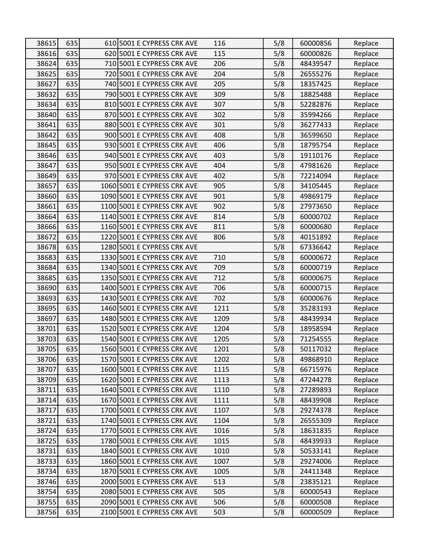| 38615 | 635 | 610 5001 E CYPRESS CRK AVE  | 116  | 5/8 | 60000856 | Replace |
|-------|-----|-----------------------------|------|-----|----------|---------|
| 38616 | 635 | 620 5001 E CYPRESS CRK AVE  | 115  | 5/8 | 60000826 | Replace |
| 38624 | 635 | 710 5001 E CYPRESS CRK AVE  | 206  | 5/8 | 48439547 | Replace |
| 38625 | 635 | 720 5001 E CYPRESS CRK AVE  | 204  | 5/8 | 26555276 | Replace |
| 38627 | 635 | 740 5001 E CYPRESS CRK AVE  | 205  | 5/8 | 18357425 | Replace |
| 38632 | 635 | 790 5001 E CYPRESS CRK AVE  | 309  | 5/8 | 18825488 | Replace |
| 38634 | 635 | 810 5001 E CYPRESS CRK AVE  | 307  | 5/8 | 52282876 | Replace |
| 38640 | 635 | 870 5001 E CYPRESS CRK AVE  | 302  | 5/8 | 35994266 | Replace |
| 38641 | 635 | 880 5001 E CYPRESS CRK AVE  | 301  | 5/8 | 36277433 | Replace |
| 38642 | 635 | 900 5001 E CYPRESS CRK AVE  | 408  | 5/8 | 36599650 | Replace |
| 38645 | 635 | 930 5001 E CYPRESS CRK AVE  | 406  | 5/8 | 18795754 | Replace |
| 38646 | 635 | 940 5001 E CYPRESS CRK AVE  | 403  | 5/8 | 19110176 | Replace |
| 38647 | 635 | 950 5001 E CYPRESS CRK AVE  | 404  | 5/8 | 47981626 | Replace |
| 38649 | 635 | 970 5001 E CYPRESS CRK AVE  | 402  | 5/8 | 72214094 | Replace |
| 38657 | 635 | 1060 5001 E CYPRESS CRK AVE | 905  | 5/8 | 34105445 | Replace |
| 38660 | 635 | 1090 5001 E CYPRESS CRK AVE | 901  | 5/8 | 49869179 | Replace |
| 38661 | 635 | 1100 5001 E CYPRESS CRK AVE | 902  | 5/8 | 27973650 | Replace |
| 38664 | 635 | 1140 5001 E CYPRESS CRK AVE | 814  | 5/8 | 60000702 | Replace |
| 38666 | 635 | 1160 5001 E CYPRESS CRK AVE | 811  | 5/8 | 60000680 | Replace |
| 38672 | 635 | 1220 5001 E CYPRESS CRK AVE | 806  | 5/8 | 40151892 | Replace |
| 38678 | 635 | 1280 5001 E CYPRESS CRK AVE |      | 5/8 | 67336642 | Replace |
| 38683 | 635 | 1330 5001 E CYPRESS CRK AVE | 710  | 5/8 | 60000672 | Replace |
| 38684 | 635 | 1340 5001 E CYPRESS CRK AVE | 709  | 5/8 | 60000719 | Replace |
| 38685 | 635 | 1350 5001 E CYPRESS CRK AVE | 712  | 5/8 | 60000675 | Replace |
| 38690 | 635 | 1400 5001 E CYPRESS CRK AVE | 706  | 5/8 | 60000715 | Replace |
| 38693 | 635 | 1430 5001 E CYPRESS CRK AVE | 702  | 5/8 | 60000676 | Replace |
| 38695 | 635 | 1460 5001 E CYPRESS CRK AVE | 1211 | 5/8 | 35283193 | Replace |
| 38697 | 635 | 1480 5001 E CYPRESS CRK AVE | 1209 | 5/8 | 48439934 | Replace |
| 38701 | 635 | 1520 5001 E CYPRESS CRK AVE | 1204 | 5/8 | 18958594 | Replace |
| 38703 | 635 | 1540 5001 E CYPRESS CRK AVE | 1205 | 5/8 | 71254555 | Replace |
| 38705 | 635 | 1560 5001 E CYPRESS CRK AVE | 1201 | 5/8 | 50117032 | Replace |
| 38706 | 635 | 1570 5001 E CYPRESS CRK AVE | 1202 | 5/8 | 49868910 | Replace |
| 38707 | 635 | 1600 5001 E CYPRESS CRK AVE | 1115 | 5/8 | 66715976 | Replace |
| 38709 | 635 | 1620 5001 E CYPRESS CRK AVE | 1113 | 5/8 | 47244278 | Replace |
| 38711 | 635 | 1640 5001 E CYPRESS CRK AVE | 1110 | 5/8 | 27289893 | Replace |
| 38714 | 635 | 1670 5001 E CYPRESS CRK AVE | 1111 | 5/8 | 48439908 | Replace |
| 38717 | 635 | 1700 5001 E CYPRESS CRK AVE | 1107 | 5/8 | 29274378 | Replace |
| 38721 | 635 | 1740 5001 E CYPRESS CRK AVE | 1104 | 5/8 | 26555309 | Replace |
| 38724 | 635 | 1770 5001 E CYPRESS CRK AVE | 1016 | 5/8 | 18631835 | Replace |
| 38725 | 635 | 1780 5001 E CYPRESS CRK AVE | 1015 | 5/8 | 48439933 | Replace |
| 38731 | 635 | 1840 5001 E CYPRESS CRK AVE | 1010 | 5/8 | 50533141 | Replace |
| 38733 | 635 | 1860 5001 E CYPRESS CRK AVE | 1007 | 5/8 | 29274006 | Replace |
| 38734 | 635 | 1870 5001 E CYPRESS CRK AVE | 1005 | 5/8 | 24411348 | Replace |
| 38746 | 635 | 2000 5001 E CYPRESS CRK AVE | 513  | 5/8 | 23835121 | Replace |
| 38754 | 635 | 2080 5001 E CYPRESS CRK AVE | 505  | 5/8 | 60000543 | Replace |
| 38755 | 635 | 2090 5001 E CYPRESS CRK AVE | 506  | 5/8 | 60000508 | Replace |
| 38756 | 635 | 2100 5001 E CYPRESS CRK AVE | 503  | 5/8 | 60000509 | Replace |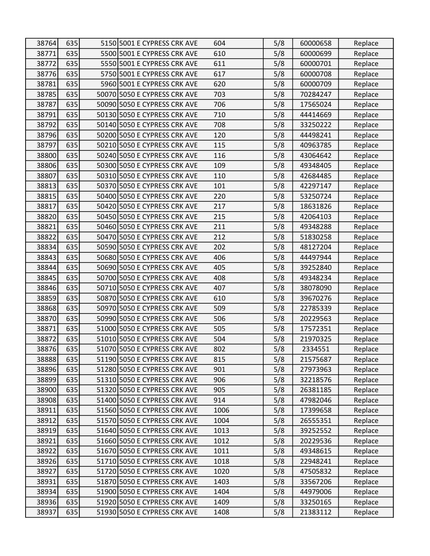| 38764 | 635 | 5150 5001 E CYPRESS CRK AVE  | 604  | 5/8 | 60000658 | Replace |
|-------|-----|------------------------------|------|-----|----------|---------|
| 38771 | 635 | 5500 5001 E CYPRESS CRK AVE  | 610  | 5/8 | 60000699 | Replace |
| 38772 | 635 | 5550 5001 E CYPRESS CRK AVE  | 611  | 5/8 | 60000701 | Replace |
| 38776 | 635 | 5750 5001 E CYPRESS CRK AVE  | 617  | 5/8 | 60000708 | Replace |
| 38781 | 635 | 5960 5001 E CYPRESS CRK AVE  | 620  | 5/8 | 60000709 | Replace |
| 38785 | 635 | 50070 5050 E CYPRESS CRK AVE | 703  | 5/8 | 70284247 | Replace |
| 38787 | 635 | 50090 5050 E CYPRESS CRK AVE | 706  | 5/8 | 17565024 | Replace |
| 38791 | 635 | 50130 5050 E CYPRESS CRK AVE | 710  | 5/8 | 44414669 | Replace |
| 38792 | 635 | 50140 5050 E CYPRESS CRK AVE | 708  | 5/8 | 33250222 | Replace |
| 38796 | 635 | 50200 5050 E CYPRESS CRK AVE | 120  | 5/8 | 44498241 | Replace |
| 38797 | 635 | 50210 5050 E CYPRESS CRK AVE | 115  | 5/8 | 40963785 | Replace |
| 38800 | 635 | 50240 5050 E CYPRESS CRK AVE | 116  | 5/8 | 43064642 | Replace |
| 38806 | 635 | 50300 5050 E CYPRESS CRK AVE | 109  | 5/8 | 49348405 | Replace |
| 38807 | 635 | 50310 5050 E CYPRESS CRK AVE | 110  | 5/8 | 42684485 | Replace |
| 38813 | 635 | 50370 5050 E CYPRESS CRK AVE | 101  | 5/8 | 42297147 | Replace |
| 38815 | 635 | 50400 5050 E CYPRESS CRK AVE | 220  | 5/8 | 53250724 | Replace |
| 38817 | 635 | 50420 5050 E CYPRESS CRK AVE | 217  | 5/8 | 18631826 | Replace |
| 38820 | 635 | 50450 5050 E CYPRESS CRK AVE | 215  | 5/8 | 42064103 | Replace |
| 38821 | 635 | 50460 5050 E CYPRESS CRK AVE | 211  | 5/8 | 49348288 | Replace |
| 38822 | 635 | 50470 5050 E CYPRESS CRK AVE | 212  | 5/8 | 51830258 | Replace |
| 38834 | 635 | 50590 5050 E CYPRESS CRK AVE | 202  | 5/8 | 48127204 | Replace |
| 38843 | 635 | 50680 5050 E CYPRESS CRK AVE | 406  | 5/8 | 44497944 | Replace |
| 38844 | 635 | 50690 5050 E CYPRESS CRK AVE | 405  | 5/8 | 39252840 | Replace |
| 38845 | 635 | 50700 5050 E CYPRESS CRK AVE | 408  | 5/8 | 49348234 | Replace |
| 38846 | 635 | 50710 5050 E CYPRESS CRK AVE | 407  | 5/8 | 38078090 | Replace |
| 38859 | 635 | 50870 5050 E CYPRESS CRK AVE | 610  | 5/8 | 39670276 | Replace |
| 38868 | 635 | 50970 5050 E CYPRESS CRK AVE | 509  | 5/8 | 22785339 | Replace |
| 38870 | 635 | 50990 5050 E CYPRESS CRK AVE | 506  | 5/8 | 20229563 | Replace |
| 38871 | 635 | 51000 5050 E CYPRESS CRK AVE | 505  | 5/8 | 17572351 | Replace |
| 38872 | 635 | 51010 5050 E CYPRESS CRK AVE | 504  | 5/8 | 21970325 | Replace |
| 38876 | 635 | 51070 5050 E CYPRESS CRK AVE | 802  | 5/8 | 2334551  | Replace |
| 38888 | 635 | 51190 5050 E CYPRESS CRK AVE | 815  | 5/8 | 21575687 | Replace |
| 38896 | 635 | 51280 5050 E CYPRESS CRK AVE | 901  | 5/8 | 27973963 | Replace |
| 38899 | 635 | 51310 5050 E CYPRESS CRK AVE | 906  | 5/8 | 32218576 | Replace |
| 38900 | 635 | 51320 5050 E CYPRESS CRK AVE | 905  | 5/8 | 26381185 | Replace |
| 38908 | 635 | 51400 5050 E CYPRESS CRK AVE | 914  | 5/8 | 47982046 | Replace |
| 38911 | 635 | 51560 5050 E CYPRESS CRK AVE | 1006 | 5/8 | 17399658 | Replace |
| 38912 | 635 | 51570 5050 E CYPRESS CRK AVE | 1004 | 5/8 | 26555351 | Replace |
| 38919 | 635 | 51640 5050 E CYPRESS CRK AVE | 1013 | 5/8 | 39252552 | Replace |
| 38921 | 635 | 51660 5050 E CYPRESS CRK AVE | 1012 | 5/8 | 20229536 | Replace |
| 38922 | 635 | 51670 5050 E CYPRESS CRK AVE | 1011 | 5/8 | 49348615 | Replace |
| 38926 | 635 | 51710 5050 E CYPRESS CRK AVE | 1018 | 5/8 | 22948241 | Replace |
| 38927 | 635 | 51720 5050 E CYPRESS CRK AVE | 1020 | 5/8 | 47505832 | Replace |
| 38931 | 635 | 51870 5050 E CYPRESS CRK AVE | 1403 | 5/8 | 33567206 | Replace |
| 38934 | 635 | 51900 5050 E CYPRESS CRK AVE | 1404 | 5/8 | 44979006 | Replace |
| 38936 | 635 | 51920 5050 E CYPRESS CRK AVE | 1409 | 5/8 | 33250165 | Replace |
| 38937 | 635 | 51930 5050 E CYPRESS CRK AVE | 1408 | 5/8 | 21383112 | Replace |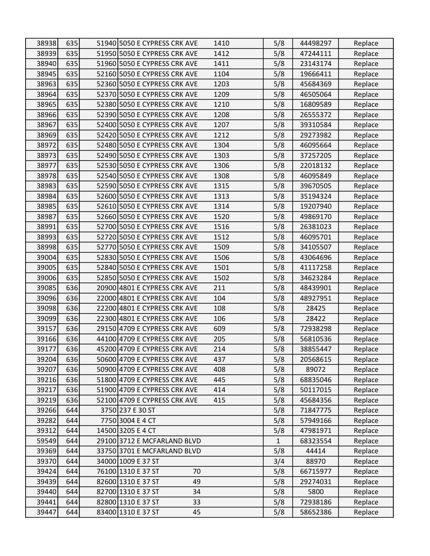| 38938 | 635 | 51940 5050 E CYPRESS CRK AVE | 1410 | 5/8          | 44498297 | Replace |
|-------|-----|------------------------------|------|--------------|----------|---------|
| 38939 | 635 | 51950 5050 E CYPRESS CRK AVE | 1412 | 5/8          | 47244111 | Replace |
| 38940 | 635 | 51960 5050 E CYPRESS CRK AVE | 1411 | 5/8          | 23143174 | Replace |
| 38945 | 635 | 52160 5050 E CYPRESS CRK AVE | 1104 | 5/8          | 19666411 | Replace |
| 38963 | 635 | 52360 5050 E CYPRESS CRK AVE | 1203 | 5/8          | 45684369 | Replace |
| 38964 | 635 | 52370 5050 E CYPRESS CRK AVE | 1209 | 5/8          | 46505064 | Replace |
| 38965 | 635 | 52380 5050 E CYPRESS CRK AVE | 1210 | 5/8          | 16809589 | Replace |
| 38966 | 635 | 52390 5050 E CYPRESS CRK AVE | 1208 | 5/8          | 26555372 | Replace |
| 38967 | 635 | 52400 5050 E CYPRESS CRK AVE | 1207 | 5/8          | 39310584 | Replace |
| 38969 | 635 | 52420 5050 E CYPRESS CRK AVE | 1212 | 5/8          | 29273982 | Replace |
| 38972 | 635 | 52480 5050 E CYPRESS CRK AVE | 1304 | 5/8          | 46095664 | Replace |
| 38973 | 635 | 52490 5050 E CYPRESS CRK AVE | 1303 | 5/8          | 37257205 | Replace |
| 38977 | 635 | 52530 5050 E CYPRESS CRK AVE | 1306 | 5/8          | 22018132 | Replace |
| 38978 | 635 | 52540 5050 E CYPRESS CRK AVE | 1308 | 5/8          | 46095849 | Replace |
| 38983 | 635 | 52590 5050 E CYPRESS CRK AVE | 1315 | 5/8          | 39670505 | Replace |
| 38984 | 635 | 52600 5050 E CYPRESS CRK AVE | 1313 | 5/8          | 35194324 | Replace |
| 38985 | 635 | 52610 5050 E CYPRESS CRK AVE | 1314 | 5/8          | 19207940 | Replace |
| 38987 | 635 | 52660 5050 E CYPRESS CRK AVE | 1520 | 5/8          | 49869170 | Replace |
| 38991 | 635 | 52700 5050 E CYPRESS CRK AVE | 1516 | 5/8          | 26381023 | Replace |
| 38993 | 635 | 52720 5050 E CYPRESS CRK AVE | 1512 | 5/8          | 46095701 | Replace |
| 38998 | 635 | 52770 5050 E CYPRESS CRK AVE | 1509 | 5/8          | 34105507 | Replace |
| 39004 | 635 | 52830 5050 E CYPRESS CRK AVE | 1506 | 5/8          | 43064696 | Replace |
| 39005 | 635 | 52840 5050 E CYPRESS CRK AVE | 1501 | 5/8          | 41117258 | Replace |
| 39006 | 635 | 52850 5050 E CYPRESS CRK AVE | 1502 | 5/8          | 34623284 | Replace |
| 39085 | 636 | 20900 4801 E CYPRESS CRK AVE | 211  | 5/8          | 48439901 | Replace |
| 39096 | 636 | 22000 4801 E CYPRESS CRK AVE | 104  | 5/8          | 48927951 | Replace |
| 39098 | 636 | 22200 4801 E CYPRESS CRK AVE | 108  | 5/8          | 28425    | Replace |
| 39099 | 636 | 22300 4801 E CYPRESS CRK AVE | 106  | 5/8          | 28422    | Replace |
| 39157 | 636 | 29150 4709 E CYPRESS CRK AVE | 609  | 5/8          | 72938298 | Replace |
| 39166 | 636 | 44100 4709 E CYPRESS CRK AVE | 205  | 5/8          | 56810536 | Replace |
| 39177 | 636 | 45200 4709 E CYPRESS CRK AVE | 214  | 5/8          | 38855447 | Replace |
| 39204 | 636 | 50600 4709 E CYPRESS CRK AVE | 437  | 5/8          | 20568615 | Replace |
| 39207 | 636 | 50900 4709 E CYPRESS CRK AVE | 408  | 5/8          | 89072    | Replace |
| 39216 | 636 | 51800 4709 E CYPRESS CRK AVE | 445  | 5/8          | 68835046 | Replace |
| 39217 | 636 | 51900 4709 E CYPRESS CRK AVE | 414  | 5/8          | 50117015 | Replace |
| 39219 | 636 | 52100 4709 E CYPRESS CRK AVE | 415  | 5/8          | 45684356 | Replace |
| 39266 | 644 | 3750 237 E 30 ST             |      | 5/8          | 71847775 | Replace |
| 39282 | 644 | 7750 3004 E 4 CT             |      | 5/8          | 57949166 | Replace |
| 39312 | 644 | 14500 3205 E 4 CT            |      | 5/8          | 47981971 | Replace |
| 59549 | 644 | 29100 3712 E MCFARLAND BLVD  |      | $\mathbf{1}$ | 68323554 | Replace |
| 39369 | 644 | 33750 3701 E MCFARLAND BLVD  |      | 5/8          | 44414    | Replace |
| 39370 | 644 | 34000 1009 E 37 ST           |      | 3/4          | 88970    | Replace |
| 39424 | 644 | 76100 1310 E 37 ST<br>70     |      | 5/8          | 66715977 | Replace |
| 39439 | 644 | 82600 1310 E 37 ST<br>49     |      | 5/8          | 29274031 | Replace |
| 39440 | 644 | 82700 1310 E 37 ST<br>34     |      | 5/8          | 5800     | Replace |
| 39441 | 644 | 82800 1310 E 37 ST<br>33     |      | 5/8          | 72938186 | Replace |
| 39447 | 644 | 83400 1310 E 37 ST<br>45     |      | 5/8          | 58652386 | Replace |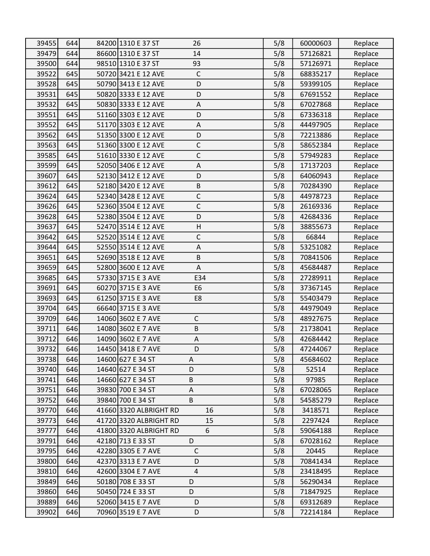| 39455 | 644 | 84200 1310 E 37 ST<br>26                               | 5/8 | 60000603 | Replace |
|-------|-----|--------------------------------------------------------|-----|----------|---------|
| 39479 | 644 | 86600 1310 E 37 ST<br>14                               | 5/8 | 57126821 | Replace |
| 39500 | 644 | 98510 1310 E 37 ST<br>93                               | 5/8 | 57126971 | Replace |
| 39522 | 645 | 50720 3421 E 12 AVE<br>$\mathsf C$                     | 5/8 | 68835217 | Replace |
| 39528 | 645 | D<br>50790 3413 E 12 AVE                               | 5/8 | 59399105 | Replace |
| 39531 | 645 | 50820 3333 E 12 AVE<br>D                               | 5/8 | 67691552 | Replace |
| 39532 | 645 | 50830 3333 E 12 AVE<br>A                               | 5/8 | 67027868 | Replace |
| 39551 | 645 | 51160 3303 E 12 AVE<br>D                               | 5/8 | 67336318 | Replace |
| 39552 | 645 | 51170 3303 E 12 AVE<br>$\mathsf A$                     | 5/8 | 44497905 | Replace |
| 39562 | 645 | 51350 3300 E 12 AVE<br>D                               | 5/8 | 72213886 | Replace |
| 39563 | 645 | 51360 3300 E 12 AVE<br>$\mathsf C$                     | 5/8 | 58652384 | Replace |
| 39585 | 645 | $\mathsf{C}$<br>51610 3330 E 12 AVE                    | 5/8 | 57949283 | Replace |
| 39599 | 645 | 52050 3406 E 12 AVE<br>A                               | 5/8 | 17137203 | Replace |
| 39607 | 645 | 52130 3412 E 12 AVE<br>D                               | 5/8 | 64060943 | Replace |
| 39612 | 645 | $\sf B$<br>52180 3420 E 12 AVE                         | 5/8 | 70284390 | Replace |
| 39624 | 645 | 52340 3428 E 12 AVE<br>$\mathsf C$                     | 5/8 | 44978723 | Replace |
| 39626 | 645 | $\mathsf C$<br>52360 3504 E 12 AVE                     | 5/8 | 26169336 | Replace |
| 39628 | 645 | 52380 3504 E 12 AVE<br>D                               | 5/8 | 42684336 | Replace |
| 39637 | 645 | 52470 3514 E 12 AVE<br>H                               | 5/8 | 38855673 | Replace |
| 39642 | 645 | 52520 3514 E 12 AVE<br>$\mathsf C$                     | 5/8 | 66844    | Replace |
| 39644 | 645 | 52550 3514 E 12 AVE<br>$\boldsymbol{\mathsf{\Lambda}}$ | 5/8 | 53251082 | Replace |
| 39651 | 645 | 52690 3518 E 12 AVE<br>$\sf B$                         | 5/8 | 70841506 | Replace |
| 39659 | 645 | 52800 3600 E 12 AVE<br>$\boldsymbol{\mathsf{\Lambda}}$ | 5/8 | 45684487 | Replace |
| 39685 | 645 | 57330 3715 E 3 AVE<br>E34                              | 5/8 | 27289911 | Replace |
| 39691 | 645 | 60270 3715 E 3 AVE<br>E <sub>6</sub>                   | 5/8 | 37367145 | Replace |
| 39693 | 645 | 61250 3715 E 3 AVE<br>E8                               | 5/8 | 55403479 | Replace |
| 39704 | 645 | 66640 3715 E 3 AVE                                     | 5/8 | 44979049 | Replace |
| 39709 | 646 | $\mathsf{C}$<br>14060 3602 E 7 AVE                     | 5/8 | 48927675 | Replace |
| 39711 | 646 | 14080 3602 E 7 AVE<br>$\sf B$                          | 5/8 | 21738041 | Replace |
| 39712 | 646 | 14090 3602 E 7 AVE<br>Α                                | 5/8 | 42684442 | Replace |
| 39732 | 646 | 14450 3418 E 7 AVE<br>D                                | 5/8 | 47244067 | Replace |
| 39738 | 646 | 14600 627 E 34 ST<br>A                                 | 5/8 | 45684602 | Replace |
| 39740 | 646 | 14640 627 E 34 ST<br>D                                 | 5/8 | 52514    | Replace |
| 39741 | 646 | 14660 627 E 34 ST<br>B                                 | 5/8 | 97985    | Replace |
| 39751 | 646 | 39830 700 E 34 ST<br>A                                 | 5/8 | 67028065 | Replace |
| 39752 | 646 | 39840 700 E 34 ST<br>B                                 | 5/8 | 54585279 | Replace |
| 39770 | 646 | 41660 3320 ALBRIGHT RD<br>16                           | 5/8 | 3418571  | Replace |
| 39773 | 646 | 41720 3320 ALBRIGHT RD<br>15                           | 5/8 | 2297424  | Replace |
| 39777 | 646 | 41800 3320 ALBRIGHT RD<br>6                            | 5/8 | 59064188 | Replace |
| 39791 | 646 | D<br>42180 713 E 33 ST                                 | 5/8 | 67028162 | Replace |
| 39795 | 646 | $\mathsf C$<br>42280 3305 E 7 AVE                      | 5/8 | 20445    | Replace |
| 39800 | 646 | 42370 3313 E 7 AVE<br>D                                | 5/8 | 70841434 | Replace |
| 39810 | 646 | 42600 3304 E 7 AVE<br>$\overline{4}$                   | 5/8 | 23418495 | Replace |
| 39849 | 646 | 50180 708 E 33 ST<br>D                                 | 5/8 | 56290434 | Replace |
| 39860 | 646 | 50450 724 E 33 ST<br>D                                 | 5/8 | 71847925 | Replace |
| 39889 | 646 | 52060 3415 E 7 AVE<br>D                                | 5/8 | 69312689 | Replace |
| 39902 | 646 | 70960 3519 E 7 AVE<br>D                                | 5/8 | 72214184 | Replace |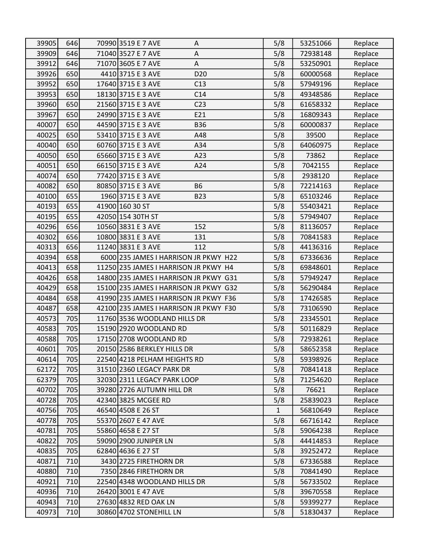| 39905 | 646 | 70990 3519 E 7 AVE<br>Α                | 5/8 | 53251066 | Replace |
|-------|-----|----------------------------------------|-----|----------|---------|
| 39909 | 646 | 71040 3527 E 7 AVE<br>Α                | 5/8 | 72938148 | Replace |
| 39912 | 646 | 71070 3605 E 7 AVE<br>$\mathsf A$      | 5/8 | 53250901 | Replace |
| 39926 | 650 | 4410 3715 E 3 AVE<br>D <sub>20</sub>   | 5/8 | 60000568 | Replace |
| 39952 | 650 | 17640 3715 E 3 AVE<br>C13              | 5/8 | 57949196 | Replace |
| 39953 | 650 | 18130 3715 E 3 AVE<br>C <sub>14</sub>  | 5/8 | 49348586 | Replace |
| 39960 | 650 | 21560 3715 E 3 AVE<br>C <sub>23</sub>  | 5/8 | 61658332 | Replace |
| 39967 | 650 | 24990 3715 E 3 AVE<br>E21              | 5/8 | 16809343 | Replace |
| 40007 | 650 | 44590 3715 E 3 AVE<br><b>B36</b>       | 5/8 | 60000837 | Replace |
| 40025 | 650 | 53410 3715 E 3 AVE<br>A48              | 5/8 | 39500    | Replace |
| 40040 | 650 | 60760 3715 E 3 AVE<br>A34              | 5/8 | 64060975 | Replace |
| 40050 | 650 | 65660 3715 E 3 AVE<br>A23              | 5/8 | 73862    | Replace |
| 40051 | 650 | 66150 3715 E 3 AVE<br>A24              | 5/8 | 7042155  | Replace |
| 40074 | 650 | 77420 3715 E 3 AVE                     | 5/8 | 2938120  | Replace |
| 40082 | 650 | 80850 3715 E 3 AVE<br><b>B6</b>        | 5/8 | 72214163 | Replace |
| 40100 | 655 | 1960 3715 E 3 AVE<br><b>B23</b>        | 5/8 | 65103246 | Replace |
| 40193 | 655 | 41900 160 30 ST                        | 5/8 | 55403421 | Replace |
| 40195 | 655 | 42050 154 30TH ST                      | 5/8 | 57949407 | Replace |
| 40296 | 656 | 152<br>10560 3831 E 3 AVE              | 5/8 | 81136057 | Replace |
| 40302 | 656 | 10800 3831 E 3 AVE<br>131              | 5/8 | 70841583 | Replace |
| 40313 | 656 | 11240 3831 E 3 AVE<br>112              | 5/8 | 44136316 | Replace |
| 40394 | 658 | 6000 235 JAMES I HARRISON JR PKWY H22  | 5/8 | 67336636 | Replace |
| 40413 | 658 | 11250 235 JAMES I HARRISON JR PKWY H4  | 5/8 | 69848601 | Replace |
| 40426 | 658 | 14800 235 JAMES I HARRISON JR PKWY G31 | 5/8 | 57949247 | Replace |
| 40429 | 658 | 15100 235 JAMES I HARRISON JR PKWY G32 | 5/8 | 56290484 | Replace |
| 40484 | 658 | 41990 235 JAMES I HARRISON JR PKWY F36 | 5/8 | 17426585 | Replace |
| 40487 | 658 | 42100 235 JAMES I HARRISON JR PKWY F30 | 5/8 | 73106590 | Replace |
| 40573 | 705 | 11760 3536 WOODLAND HILLS DR           | 5/8 | 23345501 | Replace |
| 40583 | 705 | 15190 2920 WOODLAND RD                 | 5/8 | 50116829 | Replace |
| 40588 | 705 | 17150 2708 WOODLAND RD                 | 5/8 | 72938261 | Replace |
| 40601 | 705 | 20150 2586 BERKLEY HILLS DR            | 5/8 | 58652358 | Replace |
| 40614 | 705 | 22540 4218 PELHAM HEIGHTS RD           | 5/8 | 59398926 | Replace |
| 62172 | 705 | 31510 2360 LEGACY PARK DR              | 5/8 | 70841418 | Replace |
| 62379 | 705 | 32030 2311 LEGACY PARK LOOP            | 5/8 | 71254620 | Replace |
| 40702 | 705 | 39280 2726 AUTUMN HILL DR              | 5/8 | 76621    | Replace |
| 40728 | 705 | 42340 3825 MCGEE RD                    | 5/8 | 25839023 | Replace |
| 40756 | 705 | 46540 4508 E 26 ST                     | 1   | 56810649 | Replace |
| 40778 | 705 | 55370 2607 E 47 AVE                    | 5/8 | 66716142 | Replace |
| 40781 | 705 | 55860 4658 E 27 ST                     | 5/8 | 59064238 | Replace |
| 40822 | 705 | 59090 2900 JUNIPER LN                  | 5/8 | 44414853 | Replace |
| 40835 | 705 | 62840 4636 E 27 ST                     | 5/8 | 39252472 | Replace |
| 40871 | 710 | 3430 2725 FIRETHORN DR                 | 5/8 | 67336588 | Replace |
| 40880 | 710 | 7350 2846 FIRETHORN DR                 | 5/8 | 70841490 | Replace |
| 40921 | 710 | 22540 4348 WOODLAND HILLS DR           | 5/8 | 56733502 | Replace |
| 40936 | 710 | 26420 3001 E 47 AVE                    | 5/8 | 39670558 | Replace |
| 40943 | 710 | 27630 4832 RED OAK LN                  | 5/8 | 59399277 | Replace |
| 40973 | 710 | 30860 4702 STONEHILL LN                | 5/8 | 51830437 | Replace |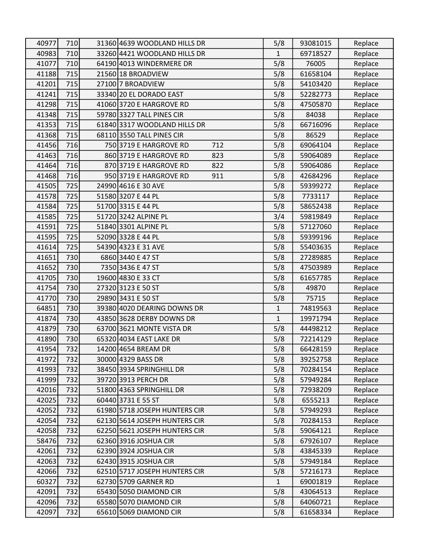| 40977 | 710 | 31360 4639 WOODLAND HILLS DR  | 5/8          | 93081015 | Replace |
|-------|-----|-------------------------------|--------------|----------|---------|
| 40983 | 710 | 33260 4421 WOODLAND HILLS DR  | $\mathbf{1}$ | 69718527 | Replace |
| 41077 | 710 | 64190 4013 WINDERMERE DR      | 5/8          | 76005    | Replace |
| 41188 | 715 | 21560 18 BROADVIEW            | 5/8          | 61658104 | Replace |
| 41201 | 715 | 27100 7 BROADVIEW             | 5/8          | 54103420 | Replace |
| 41241 | 715 | 33340 20 EL DORADO EAST       | 5/8          | 52282773 | Replace |
| 41298 | 715 | 41060 3720 E HARGROVE RD      | 5/8          | 47505870 | Replace |
| 41348 | 715 | 59780 3327 TALL PINES CIR     | 5/8          | 84038    | Replace |
| 41353 | 715 | 61840 3317 WOODLAND HILLS DR  | 5/8          | 66716096 | Replace |
| 41368 | 715 | 68110 3550 TALL PINES CIR     | 5/8          | 86529    | Replace |
| 41456 | 716 | 750 3719 E HARGROVE RD<br>712 | 5/8          | 69064104 | Replace |
| 41463 | 716 | 860 3719 E HARGROVE RD<br>823 | 5/8          | 59064089 | Replace |
| 41464 | 716 | 870 3719 E HARGROVE RD<br>822 | 5/8          | 59064086 | Replace |
| 41468 | 716 | 950 3719 E HARGROVE RD<br>911 | 5/8          | 42684296 | Replace |
| 41505 | 725 | 24990 4616 E 30 AVE           | 5/8          | 59399272 | Replace |
| 41578 | 725 | 51580 3207 E 44 PL            | 5/8          | 7733117  | Replace |
| 41584 | 725 | 51700 3315 E 44 PL            | 5/8          | 58652438 | Replace |
| 41585 | 725 | 51720 3242 ALPINE PL          | 3/4          | 59819849 | Replace |
| 41591 | 725 | 51840 3301 ALPINE PL          | 5/8          | 57127060 | Replace |
| 41595 | 725 | 52090 3328 E 44 PL            | 5/8          | 59399196 | Replace |
| 41614 | 725 | 54390 4323 E 31 AVE           | 5/8          | 55403635 | Replace |
| 41651 | 730 | 6860 3440 E 47 ST             | 5/8          | 27289885 | Replace |
| 41652 | 730 | 7350 3436 E 47 ST             | 5/8          | 47503989 | Replace |
| 41705 | 730 | 19600 4830 E 33 CT            | 5/8          | 61657785 | Replace |
| 41754 | 730 | 27320 3123 E 50 ST            | 5/8          | 49870    | Replace |
| 41770 | 730 | 29890 3431 E 50 ST            | 5/8          | 75715    | Replace |
| 64851 | 730 | 39380 4020 DEARING DOWNS DR   | $\mathbf 1$  | 74819563 | Replace |
| 41874 | 730 | 43850 3628 DERBY DOWNS DR     | $\mathbf{1}$ | 19971794 | Replace |
| 41879 | 730 | 63700 3621 MONTE VISTA DR     | 5/8          | 44498212 | Replace |
| 41890 | 730 | 65320 4034 EAST LAKE DR       | 5/8          | 72214129 | Replace |
| 41954 | 732 | 14200 4654 BREAM DR           | 5/8          | 66428159 | Replace |
| 41972 | 732 | 30000 4329 BASS DR            | 5/8          | 39252758 | Replace |
| 41993 | 732 | 38450 3934 SPRINGHILL DR      | 5/8          | 70284154 | Replace |
| 41999 | 732 | 39720 3913 PERCH DR           | 5/8          | 57949284 | Replace |
| 42016 | 732 | 51800 4363 SPRINGHILL DR      | 5/8          | 72938209 | Replace |
| 42025 | 732 | 60440 3731 E 55 ST            | 5/8          | 6555213  | Replace |
| 42052 | 732 | 61980 5718 JOSEPH HUNTERS CIR | 5/8          | 57949293 | Replace |
| 42054 | 732 | 62130 5614 JOSEPH HUNTERS CIR | 5/8          | 70284153 | Replace |
| 42058 | 732 | 62250 5621 JOSEPH HUNTERS CIR | 5/8          | 59064121 | Replace |
| 58476 | 732 | 62360 3916 JOSHUA CIR         | 5/8          | 67926107 | Replace |
| 42061 | 732 | 62390 3924 JOSHUA CIR         | 5/8          | 43845339 | Replace |
| 42063 | 732 | 62430 3915 JOSHUA CIR         | 5/8          | 57949184 | Replace |
| 42066 | 732 | 62510 5717 JOSEPH HUNTERS CIR | 5/8          | 57216173 | Replace |
| 60327 | 732 | 62730 5709 GARNER RD          | 1            | 69001819 | Replace |
| 42091 | 732 | 65430 5050 DIAMOND CIR        | 5/8          | 43064513 | Replace |
| 42096 | 732 | 65580 5070 DIAMOND CIR        | 5/8          | 64060721 | Replace |
| 42097 | 732 | 65610 5069 DIAMOND CIR        | 5/8          | 61658334 | Replace |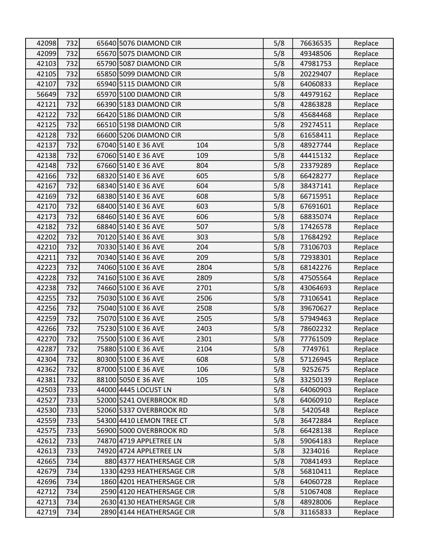| 42098 | 732 | 65640 5076 DIAMOND CIR      | 5/8 | 76636535 | Replace |
|-------|-----|-----------------------------|-----|----------|---------|
| 42099 | 732 | 65670 5075 DIAMOND CIR      | 5/8 | 49348506 | Replace |
| 42103 | 732 | 65790 5087 DIAMOND CIR      | 5/8 | 47981753 | Replace |
| 42105 | 732 | 65850 5099 DIAMOND CIR      | 5/8 | 20229407 | Replace |
| 42107 | 732 | 65940 5115 DIAMOND CIR      | 5/8 | 64060833 | Replace |
| 56649 | 732 | 65970 5100 DIAMOND CIR      | 5/8 | 44979162 | Replace |
| 42121 | 732 | 66390 5183 DIAMOND CIR      | 5/8 | 42863828 | Replace |
| 42122 | 732 | 66420 5186 DIAMOND CIR      | 5/8 | 45684468 | Replace |
| 42125 | 732 | 66510 5198 DIAMOND CIR      | 5/8 | 29274511 | Replace |
| 42128 | 732 | 66600 5206 DIAMOND CIR      | 5/8 | 61658411 | Replace |
| 42137 | 732 | 67040 5140 E 36 AVE<br>104  | 5/8 | 48927744 | Replace |
| 42138 | 732 | 67060 5140 E 36 AVE<br>109  | 5/8 | 44415132 | Replace |
| 42148 | 732 | 67660 5140 E 36 AVE<br>804  | 5/8 | 23379289 | Replace |
| 42166 | 732 | 68320 5140 E 36 AVE<br>605  | 5/8 | 66428277 | Replace |
| 42167 | 732 | 68340 5140 E 36 AVE<br>604  | 5/8 | 38437141 | Replace |
| 42169 | 732 | 68380 5140 E 36 AVE<br>608  | 5/8 | 66715951 | Replace |
| 42170 | 732 | 68400 5140 E 36 AVE<br>603  | 5/8 | 67691601 | Replace |
| 42173 | 732 | 68460 5140 E 36 AVE<br>606  | 5/8 | 68835074 | Replace |
| 42182 | 732 | 68840 5140 E 36 AVE<br>507  | 5/8 | 17426578 | Replace |
| 42202 | 732 | 70120 5140 E 36 AVE<br>303  | 5/8 | 17684292 | Replace |
| 42210 | 732 | 70330 5140 E 36 AVE<br>204  | 5/8 | 73106703 | Replace |
| 42211 | 732 | 70340 5140 E 36 AVE<br>209  | 5/8 | 72938301 | Replace |
| 42223 | 732 | 74060 5100 E 36 AVE<br>2804 | 5/8 | 68142276 | Replace |
| 42228 | 732 | 74160 5100 E 36 AVE<br>2809 | 5/8 | 47505564 | Replace |
| 42238 | 732 | 74660 5100 E 36 AVE<br>2701 | 5/8 | 43064693 | Replace |
| 42255 | 732 | 75030 5100 E 36 AVE<br>2506 | 5/8 | 73106541 | Replace |
| 42256 | 732 | 75040 5100 E 36 AVE<br>2508 | 5/8 | 39670627 | Replace |
| 42259 | 732 | 75070 5100 E 36 AVE<br>2505 | 5/8 | 57949463 | Replace |
| 42266 | 732 | 75230 5100 E 36 AVE<br>2403 | 5/8 | 78602232 | Replace |
| 42270 | 732 | 75500 5100 E 36 AVE<br>2301 | 5/8 | 77761509 | Replace |
| 42287 | 732 | 75880 5100 E 36 AVE<br>2104 | 5/8 | 7749761  | Replace |
| 42304 | 732 | 80300 5100 E 36 AVE<br>608  | 5/8 | 57126945 | Replace |
| 42362 | 732 | 87000 5100 E 36 AVE<br>106  | 5/8 | 9252675  | Replace |
| 42381 | 732 | 88100 5050 E 36 AVE<br>105  | 5/8 | 33250139 | Replace |
| 42503 | 733 | 44000 4445 LOCUST LN        | 5/8 | 64060903 | Replace |
| 42527 | 733 | 52000 5241 OVERBROOK RD     | 5/8 | 64060910 | Replace |
| 42530 | 733 | 52060 5337 OVERBROOK RD     | 5/8 | 5420548  | Replace |
| 42559 | 733 | 54300 4410 LEMON TREE CT    | 5/8 | 36472884 | Replace |
| 42575 | 733 | 56900 5000 OVERBROOK RD     | 5/8 | 66428138 | Replace |
| 42612 | 733 | 74870 4719 APPLETREE LN     | 5/8 | 59064183 | Replace |
| 42613 | 733 | 74920 4724 APPLETREE LN     | 5/8 | 3234016  | Replace |
| 42665 | 734 | 880 4377 HEATHERSAGE CIR    | 5/8 | 70841493 | Replace |
| 42679 | 734 | 1330 4293 HEATHERSAGE CIR   | 5/8 | 56810411 | Replace |
| 42696 | 734 | 1860 4201 HEATHERSAGE CIR   | 5/8 | 64060728 | Replace |
| 42712 | 734 | 2590 4120 HEATHERSAGE CIR   | 5/8 | 51067408 | Replace |
| 42713 | 734 | 2630 4130 HEATHERSAGE CIR   | 5/8 | 48928006 | Replace |
| 42719 | 734 | 2890 4144 HEATHERSAGE CIR   | 5/8 | 31165833 | Replace |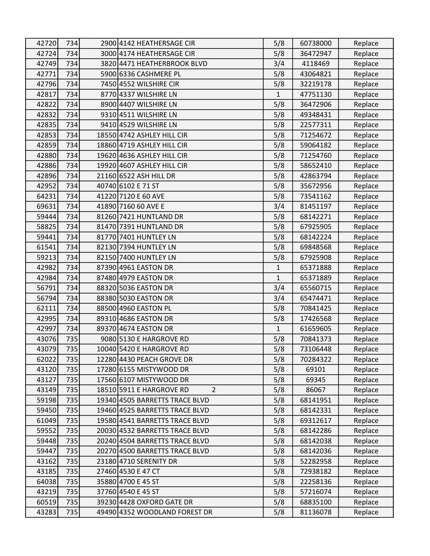| 42720 | 734 | 2900 4142 HEATHERSAGE CIR                  | 5/8          | 60738000 | Replace |
|-------|-----|--------------------------------------------|--------------|----------|---------|
| 42724 | 734 | 3000 4174 HEATHERSAGE CIR                  | 5/8          | 36472947 | Replace |
| 42749 | 734 | 3820 4471 HEATHERBROOK BLVD                | 3/4          | 4118469  | Replace |
| 42771 | 734 | 5900 6336 CASHMERE PL                      | 5/8          | 43064821 | Replace |
| 42796 | 734 | 7450 4552 WILSHIRE CIR                     | 5/8          | 32219178 | Replace |
| 42817 | 734 | 8770 4337 WILSHIRE LN                      | 1            | 47751130 | Replace |
| 42822 | 734 | 8900 4407 WILSHIRE LN                      | 5/8          | 36472906 | Replace |
| 42832 | 734 | 9310 4511 WILSHIRE LN                      | 5/8          | 49348431 | Replace |
| 42835 | 734 | 9410 4529 WILSHIRE LN                      | 5/8          | 22577311 | Replace |
| 42853 | 734 | 18550 4742 ASHLEY HILL CIR                 | 5/8          | 71254672 | Replace |
| 42859 | 734 | 18860 4719 ASHLEY HILL CIR                 | 5/8          | 59064182 | Replace |
| 42880 | 734 | 19620 4636 ASHLEY HILL CIR                 | 5/8          | 71254760 | Replace |
| 42886 | 734 | 19920 4607 ASHLEY HILL CIR                 | 5/8          | 58652410 | Replace |
| 42896 | 734 | 21160 6522 ASH HILL DR                     | 5/8          | 42863794 | Replace |
| 42952 | 734 | 40740 6102 E 71 ST                         | 5/8          | 35672956 | Replace |
| 64231 | 734 | 41220 7120 E 60 AVE                        | 5/8          | 73541162 | Replace |
| 69631 | 734 | 41890 7160 60 AVE E                        | 3/4          | 81451197 | Replace |
| 59444 | 734 | 81260 7421 HUNTLAND DR                     | 5/8          | 68142271 | Replace |
| 58825 | 734 | 81470 7391 HUNTLAND DR                     | 5/8          | 67925905 | Replace |
| 59441 | 734 | 81770 7401 HUNTLEY LN                      | 5/8          | 68142224 | Replace |
| 61541 | 734 | 82130 7394 HUNTLEY LN                      | 5/8          | 69848568 | Replace |
| 59213 | 734 | 82150 7400 HUNTLEY LN                      | 5/8          | 67925908 | Replace |
| 42982 | 734 | 87390 4961 EASTON DR                       | $\mathbf{1}$ | 65371888 | Replace |
| 42984 | 734 | 87480 4979 EASTON DR                       | $\mathbf{1}$ | 65371889 | Replace |
| 56791 | 734 | 88320 5036 EASTON DR                       | 3/4          | 65560715 | Replace |
| 56794 | 734 | 88380 5030 EASTON DR                       | 3/4          | 65474471 | Replace |
| 62111 | 734 | 88500 4960 EASTON PL                       | 5/8          | 70841425 | Replace |
| 42995 | 734 | 89310 4686 EASTON DR                       | 5/8          | 17426568 | Replace |
| 42997 | 734 | 89370 4674 EASTON DR                       | $\mathbf{1}$ | 61659605 | Replace |
| 43076 | 735 | 9080 5130 E HARGROVE RD                    | 5/8          | 70841373 | Replace |
| 43079 | 735 | 10040 5420 E HARGROVE RD                   | 5/8          | 73106448 | Replace |
| 62022 | 735 | 12280 4430 PEACH GROVE DR                  | 5/8          | 70284322 | Replace |
| 43120 | 735 | 17280 6155 MISTYWOOD DR                    | 5/8          | 69101    | Replace |
| 43127 | 735 | 17560 6107 MISTYWOOD DR                    | 5/8          | 69345    | Replace |
| 43149 | 735 | 18510 5911 E HARGROVE RD<br>$\overline{2}$ | 5/8          | 86067    | Replace |
| 59198 | 735 | 19340 4505 BARRETTS TRACE BLVD             | 5/8          | 68141951 | Replace |
| 59450 | 735 | 19460 4525 BARRETTS TRACE BLVD             | 5/8          | 68142331 | Replace |
| 61049 | 735 | 19580 4541 BARRETTS TRACE BLVD             | 5/8          | 69312617 | Replace |
| 59552 | 735 | 20030 4532 BARRETTS TRACE BLVD             | 5/8          | 68142286 | Replace |
| 59448 | 735 | 20240 4504 BARRETTS TRACE BLVD             | 5/8          | 68142038 | Replace |
| 59447 | 735 | 20270 4500 BARRETTS TRACE BLVD             | 5/8          | 68142036 | Replace |
| 43162 | 735 | 23180 4710 SERENITY DR                     | 5/8          | 52282958 | Replace |
| 43185 | 735 | 27460 4530 E 47 CT                         | 5/8          | 72938182 | Replace |
| 64038 | 735 | 35880 4700 E 45 ST                         | 5/8          | 22258136 | Replace |
| 43219 | 735 | 37760 4540 E 45 ST                         | 5/8          | 57216074 | Replace |
| 60519 | 735 | 39230 4428 OXFORD GATE DR                  | 5/8          | 68835100 | Replace |
| 43283 | 735 | 49490 4352 WOODLAND FOREST DR              | 5/8          | 81136078 | Replace |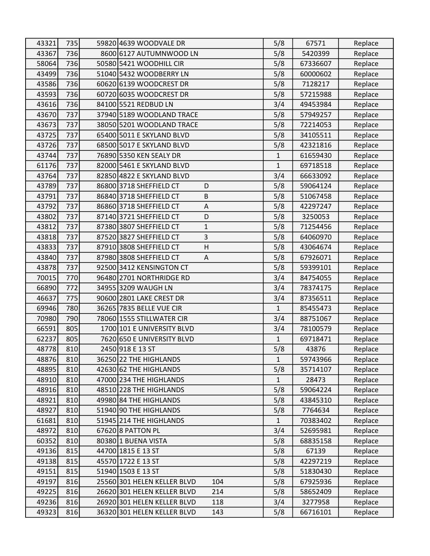| 43321 | 735 | 59820 4639 WOODVALE DR                  | 5/8          | 67571    | Replace |
|-------|-----|-----------------------------------------|--------------|----------|---------|
| 43367 | 736 | 8600 6127 AUTUMNWOOD LN                 | 5/8          | 5420399  | Replace |
| 58064 | 736 | 50580 5421 WOODHILL CIR                 | 5/8          | 67336607 | Replace |
| 43499 | 736 | 51040 5432 WOODBERRY LN                 | 5/8          | 60000602 | Replace |
| 43586 | 736 | 60620 6139 WOODCREST DR                 | 5/8          | 7128217  | Replace |
| 43593 | 736 | 60720 6035 WOODCREST DR                 | 5/8          | 57215988 | Replace |
| 43616 | 736 | 84100 5521 REDBUD LN                    | 3/4          | 49453984 | Replace |
| 43670 | 737 | 37940 5189 WOODLAND TRACE               | 5/8          | 57949257 | Replace |
| 43673 | 737 | 38050 5201 WOODLAND TRACE               | 5/8          | 72214053 | Replace |
| 43725 | 737 | 65400 5011 E SKYLAND BLVD               | 5/8          | 34105511 | Replace |
| 43726 | 737 | 68500 5017 E SKYLAND BLVD               | 5/8          | 42321816 | Replace |
| 43744 | 737 | 76890 5350 KEN SEALY DR                 | $\mathbf{1}$ | 61659430 | Replace |
| 61176 | 737 | 82000 5461 E SKYLAND BLVD               | $\mathbf 1$  | 69718518 | Replace |
| 43764 | 737 | 82850 4822 E SKYLAND BLVD               | 3/4          | 66633092 | Replace |
| 43789 | 737 | 86800 3718 SHEFFIELD CT<br>D            | 5/8          | 59064124 | Replace |
| 43791 | 737 | 86840 3718 SHEFFIELD CT<br>B            | 5/8          | 51067458 | Replace |
| 43792 | 737 | 86860 3718 SHEFFIELD CT<br>A            | 5/8          | 42297247 | Replace |
| 43802 | 737 | 87140 3721 SHEFFIELD CT<br>D            | 5/8          | 3250053  | Replace |
| 43812 | 737 | 87380 3807 SHEFFIELD CT<br>$\mathbf{1}$ | 5/8          | 71254456 | Replace |
| 43818 | 737 | 3<br>87520 3827 SHEFFIELD CT            | 5/8          | 64060970 | Replace |
| 43833 | 737 | 87910 3808 SHEFFIELD CT<br>H            | 5/8          | 43064674 | Replace |
| 43840 | 737 | 87980 3808 SHEFFIELD CT<br>A            | 5/8          | 67926071 | Replace |
| 43878 | 737 | 92500 3412 KENSINGTON CT                | 5/8          | 59399101 | Replace |
| 70015 | 770 | 96480 2701 NORTHRIDGE RD                | 3/4          | 84754055 | Replace |
| 66890 | 772 | 34955 3209 WAUGH LN                     | 3/4          | 78374175 | Replace |
| 46637 | 775 | 90600 2801 LAKE CREST DR                | 3/4          | 87356511 | Replace |
| 69946 | 780 | 36265 7835 BELLE VUE CIR                | $\mathbf 1$  | 85455473 | Replace |
| 70980 | 790 | 78060 1555 STILLWATER CIR               | 3/4          | 88751067 | Replace |
| 66591 | 805 | 1700 101 E UNIVERSITY BLVD              | 3/4          | 78100579 | Replace |
| 62237 | 805 | 7620 650 E UNIVERSITY BLVD              | 1            | 69718471 | Replace |
| 48778 | 810 | 2450 918 E 13 ST                        | 5/8          | 43876    | Replace |
| 48876 | 810 | 36250 22 THE HIGHLANDS                  | $\mathbf{1}$ | 59743966 | Replace |
| 48895 | 810 | 42630 62 THE HIGHLANDS                  | 5/8          | 35714107 | Replace |
| 48910 | 810 | 47000 234 THE HIGHLANDS                 | $\mathbf{1}$ | 28473    | Replace |
| 48916 | 810 | 48510 228 THE HIGHLANDS                 | 5/8          | 59064224 | Replace |
| 48921 | 810 | 49980 84 THE HIGHLANDS                  | 5/8          | 43845310 | Replace |
| 48927 | 810 | 51940 90 THE HIGHLANDS                  | 5/8          | 7764634  | Replace |
| 61681 | 810 | 51945 214 THE HIGHLANDS                 | $\mathbf{1}$ | 70383402 | Replace |
| 48972 | 810 | 67620 8 PATTON PL                       | 3/4          | 52695981 | Replace |
| 60352 | 810 | 80380 1 BUENA VISTA                     | 5/8          | 68835158 | Replace |
| 49136 | 815 | 44700 1815 E 13 ST                      | 5/8          | 67139    | Replace |
| 49138 | 815 | 45570 1722 E 13 ST                      | 5/8          | 42297219 | Replace |
| 49151 | 815 | 51940 1503 E 13 ST                      | 5/8          | 51830430 | Replace |
| 49197 | 816 | 25560 301 HELEN KELLER BLVD<br>104      | 5/8          | 67925936 | Replace |
| 49225 | 816 | 26620 301 HELEN KELLER BLVD<br>214      | 5/8          | 58652409 | Replace |
| 49236 | 816 | 26920 301 HELEN KELLER BLVD<br>118      | 3/4          | 3277958  | Replace |
| 49323 | 816 | 36320 301 HELEN KELLER BLVD<br>143      | 5/8          | 66716101 | Replace |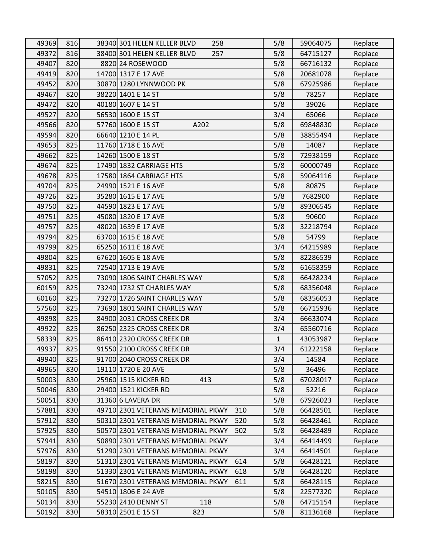| 49369 | 816 | 38340 301 HELEN KELLER BLVD<br>258       | 5/8 | 59064075 | Replace |
|-------|-----|------------------------------------------|-----|----------|---------|
| 49372 | 816 | 38400 301 HELEN KELLER BLVD<br>257       | 5/8 | 64715127 | Replace |
| 49407 | 820 | 8820 24 ROSEWOOD                         | 5/8 | 66716132 | Replace |
| 49419 | 820 | 14700 1317 E 17 AVE                      | 5/8 | 20681078 | Replace |
| 49452 | 820 | 30870 1280 LYNNWOOD PK                   | 5/8 | 67925986 | Replace |
| 49467 | 820 | 38220 1401 E 14 ST                       | 5/8 | 78257    | Replace |
| 49472 | 820 | 40180 1607 E 14 ST                       | 5/8 | 39026    | Replace |
| 49527 | 820 | 56530 1600 E 15 ST                       | 3/4 | 65066    | Replace |
| 49566 | 820 | 57760 1600 E 15 ST<br>A202               | 5/8 | 69848830 | Replace |
| 49594 | 820 | 66640 1210 E 14 PL                       | 5/8 | 38855494 | Replace |
| 49653 | 825 | 11760 1718 E 16 AVE                      | 5/8 | 14087    | Replace |
| 49662 | 825 | 14260 1500 E 18 ST                       | 5/8 | 72938159 | Replace |
| 49674 | 825 | 17490 1832 CARRIAGE HTS                  | 5/8 | 60000749 | Replace |
| 49678 | 825 | 17580 1864 CARRIAGE HTS                  | 5/8 | 59064116 | Replace |
| 49704 | 825 | 24990 1521 E 16 AVE                      | 5/8 | 80875    | Replace |
| 49726 | 825 | 35280 1615 E 17 AVE                      | 5/8 | 7682900  | Replace |
| 49750 | 825 | 44590 1823 E 17 AVE                      | 5/8 | 89306545 | Replace |
| 49751 | 825 | 45080 1820 E 17 AVE                      | 5/8 | 90600    | Replace |
| 49757 | 825 | 48020 1639 E 17 AVE                      | 5/8 | 32218794 | Replace |
| 49794 | 825 | 63700 1615 E 18 AVE                      | 5/8 | 54799    | Replace |
| 49799 | 825 | 65250 1611 E 18 AVE                      | 3/4 | 64215989 | Replace |
| 49804 | 825 | 67620 1605 E 18 AVE                      | 5/8 | 82286539 | Replace |
| 49831 | 825 | 72540 1713 E 19 AVE                      | 5/8 | 61658359 | Replace |
| 57052 | 825 | 73090 1806 SAINT CHARLES WAY             | 5/8 | 66428234 | Replace |
| 60159 | 825 | 73240 1732 ST CHARLES WAY                | 5/8 | 68356048 | Replace |
| 60160 | 825 | 73270 1726 SAINT CHARLES WAY             | 5/8 | 68356053 | Replace |
| 57560 | 825 | 73690 1801 SAINT CHARLES WAY             | 5/8 | 66715936 | Replace |
| 49898 | 825 | 84900 2031 CROSS CREEK DR                | 3/4 | 66633074 | Replace |
| 49922 | 825 | 86250 2325 CROSS CREEK DR                | 3/4 | 65560716 | Replace |
| 58339 | 825 | 86410 2320 CROSS CREEK DR                | 1   | 43053987 | Replace |
| 49937 | 825 | 91550 2100 CROSS CREEK DR                | 3/4 | 61222158 | Replace |
| 49940 | 825 | 91700 2040 CROSS CREEK DR                | 3/4 | 14584    | Replace |
| 49965 | 830 | 19110 1720 E 20 AVE                      | 5/8 | 36496    | Replace |
| 50003 | 830 | 25960 1515 KICKER RD<br>413              | 5/8 | 67028017 | Replace |
| 50046 | 830 | 29400 1521 KICKER RD                     | 5/8 | 52216    | Replace |
| 50051 | 830 | 31360 6 LAVERA DR                        | 5/8 | 67926023 | Replace |
| 57881 | 830 | 49710 2301 VETERANS MEMORIAL PKWY<br>310 | 5/8 | 66428501 | Replace |
| 57912 | 830 | 50310 2301 VETERANS MEMORIAL PKWY<br>520 | 5/8 | 66428461 | Replace |
| 57925 | 830 | 50570 2301 VETERANS MEMORIAL PKWY<br>502 | 5/8 | 66428489 | Replace |
| 57941 | 830 | 50890 2301 VETERANS MEMORIAL PKWY        | 3/4 | 66414499 | Replace |
| 57976 | 830 | 51290 2301 VETERANS MEMORIAL PKWY        | 3/4 | 66414501 | Replace |
| 58197 | 830 | 51310 2301 VETERANS MEMORIAL PKWY<br>614 | 5/8 | 66428121 | Replace |
| 58198 | 830 | 51330 2301 VETERANS MEMORIAL PKWY<br>618 | 5/8 | 66428120 | Replace |
| 58215 | 830 | 51670 2301 VETERANS MEMORIAL PKWY<br>611 | 5/8 | 66428115 | Replace |
| 50105 | 830 | 54510 1806 E 24 AVE                      | 5/8 | 22577320 | Replace |
| 50134 | 830 | 55230 2410 DENNY ST<br>118               | 5/8 | 64715154 | Replace |
| 50192 | 830 | 58310 2501 E 15 ST<br>823                | 5/8 | 81136168 | Replace |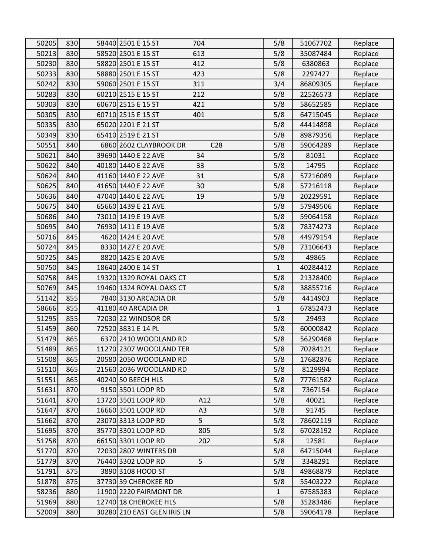| 50205 | 830 | 58440 2501 E 15 ST<br>704                 | 5/8          | 51067702 | Replace |
|-------|-----|-------------------------------------------|--------------|----------|---------|
| 50213 | 830 | 613<br>58520 2501 E 15 ST                 | 5/8          | 35087484 | Replace |
| 50230 | 830 | 58820 2501 E 15 ST<br>412                 | 5/8          | 6380863  | Replace |
| 50233 | 830 | 58880 2501 E 15 ST<br>423                 | 5/8          | 2297427  | Replace |
| 50242 | 830 | 59060 2501 E 15 ST<br>311                 | 3/4          | 86809305 | Replace |
| 50283 | 830 | 60210 2515 E 15 ST<br>212                 | 5/8          | 22526573 | Replace |
| 50303 | 830 | 60670 2515 E 15 ST<br>421                 | 5/8          | 58652585 | Replace |
| 50305 | 830 | 60710 2515 E 15 ST<br>401                 | 5/8          | 64715045 | Replace |
| 50335 | 830 | 65020 2201 E 21 ST                        | 5/8          | 44414898 | Replace |
| 50349 | 830 | 65410 2519 E 21 ST                        | 5/8          | 89879356 | Replace |
| 50551 | 840 | 6860 2602 CLAYBROOK DR<br>C <sub>28</sub> | 5/8          | 59064289 | Replace |
| 50621 | 840 | 39690 1440 E 22 AVE<br>34                 | 5/8          | 81031    | Replace |
| 50622 | 840 | 40180 1440 E 22 AVE<br>33                 | 5/8          | 14795    | Replace |
| 50624 | 840 | 41160 1440 E 22 AVE<br>31                 | 5/8          | 57216089 | Replace |
| 50625 | 840 | 41650 1440 E 22 AVE<br>30                 | 5/8          | 57216118 | Replace |
| 50636 | 840 | 47040 1440 E 22 AVE<br>19                 | 5/8          | 20229591 | Replace |
| 50675 | 840 | 65660 1439 E 21 AVE                       | 5/8          | 57949506 | Replace |
| 50686 | 840 | 73010 1419 E 19 AVE                       | 5/8          | 59064158 | Replace |
| 50695 | 840 | 76930 1411 E 19 AVE                       | 5/8          | 78374273 | Replace |
| 50716 | 845 | 4620 1424 E 20 AVE                        | 5/8          | 44979154 | Replace |
| 50724 | 845 | 8330 1427 E 20 AVE                        | 5/8          | 73106643 | Replace |
| 50725 | 845 | 8820 1425 E 20 AVE                        | 5/8          | 49865    | Replace |
| 50750 | 845 | 18640 2400 E 14 ST                        | $\mathbf{1}$ | 40284412 | Replace |
| 50758 | 845 | 19320 1329 ROYAL OAKS CT                  | 5/8          | 21328400 | Replace |
| 50769 | 845 | 19460 1324 ROYAL OAKS CT                  | 5/8          | 38855716 | Replace |
| 51142 | 855 | 7840 3130 ARCADIA DR                      | 5/8          | 4414903  | Replace |
| 58666 | 855 | 41180 40 ARCADIA DR                       | 1            | 67852473 | Replace |
| 51295 | 855 | 72030 22 WINDSOR DR                       | 5/8          | 29493    | Replace |
| 51459 | 860 | 72520 3831 E 14 PL                        | 5/8          | 60000842 | Replace |
| 51479 | 865 | 6370 2410 WOODLAND RD                     | 5/8          | 56290468 | Replace |
| 51489 | 865 | 11270 2307 WOODLAND TER                   | 5/8          | 70284121 | Replace |
| 51508 | 865 | 20580 2050 WOODLAND RD                    | 5/8          | 17682876 | Replace |
| 51510 | 865 | 21560 2036 WOODLAND RD                    | 5/8          | 8129994  | Replace |
| 51551 | 865 | 40240 50 BEECH HLS                        | 5/8          | 77761582 | Replace |
| 51631 | 870 | 9150 3501 LOOP RD                         | 5/8          | 7367154  | Replace |
| 51641 | 870 | 13720 3501 LOOP RD<br>A12                 | 5/8          | 40021    | Replace |
| 51647 | 870 | 16660 3501 LOOP RD<br>A <sub>3</sub>      | 5/8          | 91745    | Replace |
| 51662 | 870 | 5<br>23070 3313 LOOP RD                   | 5/8          | 78602119 | Replace |
| 51695 | 870 | 35770 3301 LOOP RD<br>805                 | 5/8          | 67028192 | Replace |
| 51758 | 870 | 66150 3301 LOOP RD<br>202                 | 5/8          | 12581    | Replace |
| 51770 | 870 | 72030 2807 WINTERS DR                     | 5/8          | 64715044 | Replace |
| 51779 | 870 | 76440 3302 LOOP RD<br>5                   | 5/8          | 3348291  | Replace |
| 51791 | 875 | 3890 3108 HOOD ST                         | 5/8          | 49868879 | Replace |
| 51878 | 875 | 37730 39 CHEROKEE RD                      | 5/8          | 55403222 | Replace |
| 58236 | 880 | 11900 2220 FAIRMONT DR                    | $\mathbf{1}$ | 67585383 | Replace |
| 51969 | 880 | 12740 18 CHEROKEE HLS                     | 5/8          | 35283486 | Replace |
| 52009 | 880 | 30280 210 EAST GLEN IRIS LN               | 5/8          | 59064178 | Replace |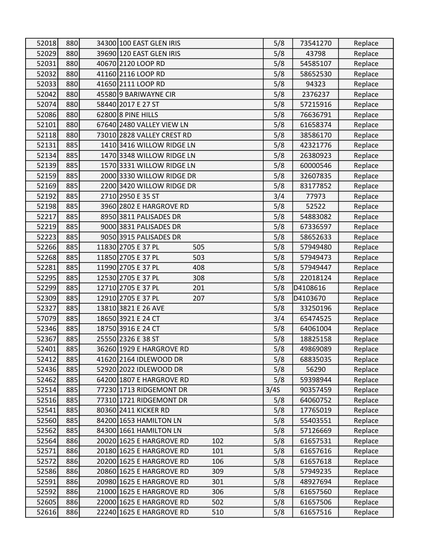| 52018          | 880        | 34300 100 EAST GLEN IRIS                                           | 5/8        | 73541270             | Replace            |
|----------------|------------|--------------------------------------------------------------------|------------|----------------------|--------------------|
| 52029          | 880        | 39690 120 EAST GLEN IRIS                                           | 5/8        | 43798                | Replace            |
| 52031          | 880        | 40670 2120 LOOP RD                                                 | 5/8        | 54585107             | Replace            |
| 52032          | 880        | 41160 2116 LOOP RD                                                 | 5/8        | 58652530             | Replace            |
| 52033          | 880        | 41650 2111 LOOP RD                                                 | 5/8        | 94323                | Replace            |
| 52042          | 880        | 45580 9 BARIWAYNE CIR                                              | 5/8        | 2376237              | Replace            |
| 52074          | 880        | 58440 2017 E 27 ST                                                 | 5/8        | 57215916             | Replace            |
| 52086          | 880        | 62800 8 PINE HILLS                                                 | 5/8        | 76636791             | Replace            |
| 52101          | 880        | 67640 2480 VALLEY VIEW LN                                          | 5/8        | 61658374             | Replace            |
| 52118          | 880        | 73010 2828 VALLEY CREST RD                                         | 5/8        | 38586170             | Replace            |
| 52131          | 885        | 1410 3416 WILLOW RIDGE LN                                          | 5/8        | 42321776             | Replace            |
| 52134          | 885        | 1470 3348 WILLOW RIDGE LN                                          | 5/8        | 26380923             | Replace            |
| 52139          | 885        | 1570 3331 WILLOW RIDGE LN                                          | 5/8        | 60000546             | Replace            |
| 52159          | 885        | 2000 3330 WILLOW RIDGE DR                                          | 5/8        | 32607835             | Replace            |
| 52169          | 885        | 2200 3420 WILLOW RIDGE DR                                          | 5/8        | 83177852             | Replace            |
| 52192          | 885        | 2710 2950 E 35 ST                                                  | 3/4        | 77973                | Replace            |
| 52198          | 885        | 3960 2802 E HARGROVE RD                                            | 5/8        | 52522                | Replace            |
| 52217          | 885        | 8950 3811 PALISADES DR                                             | 5/8        | 54883082             | Replace            |
| 52219          | 885        | 9000 3831 PALISADES DR                                             | 5/8        | 67336597             | Replace            |
| 52223          | 885        | 9050 3915 PALISADES DR                                             | 5/8        | 58652633             | Replace            |
| 52266          | 885        | 11830 2705 E 37 PL<br>505                                          | 5/8        | 57949480             | Replace            |
| 52268          | 885        | 11850 2705 E 37 PL<br>503                                          | 5/8        | 57949473             | Replace            |
| 52281          | 885        | 11990 2705 E 37 PL<br>408                                          | 5/8        | 57949447             | Replace            |
|                |            |                                                                    |            |                      |                    |
| 52295          | 885        | 12530 2705 E 37 PL<br>308                                          | 5/8        | 22018124             | Replace            |
| 52299          | 885        | 12710 2705 E 37 PL<br>201                                          | 5/8        | D4108616             | Replace            |
| 52309          | 885        | 12910 2705 E 37 PL<br>207                                          | 5/8        | D4103670             | Replace            |
| 52327          | 885        | 13810 3821 E 26 AVE                                                | 5/8        | 33250196             | Replace            |
| 57079          | 885        | 18650 3921 E 24 CT                                                 | 3/4        | 65474525             | Replace            |
| 52346          | 885        | 18750 3916 E 24 CT                                                 | 5/8        | 64061004             | Replace            |
| 52367          | 885        | 25550 2326 E 38 ST                                                 | 5/8        | 18825158             | Replace            |
| 52401          | 885        | 36260 1929 E HARGROVE RD                                           | 5/8        | 49869089             | Replace            |
| 52412          | 885        | 41620 2164 IDLEWOOD DR                                             | 5/8        | 68835035             | Replace            |
| 52436          | 885        | 52920 2022 IDLEWOOD DR                                             | 5/8        | 56290                | Replace            |
| 52462          | 885        | 64200 1807 E HARGROVE RD                                           | 5/8        | 59398944             | Replace            |
| 52514          | 885        | 77230 1713 RIDGEMONT DR                                            | 3/4S       | 90357459             | Replace            |
| 52516          | 885        | 77310 1721 RIDGEMONT DR                                            | 5/8        | 64060752             | Replace            |
| 52541          | 885        | 80360 2411 KICKER RD                                               | 5/8        | 17765019             | Replace            |
| 52560          | 885        | 84200 1653 HAMILTON LN                                             | 5/8        | 55403551             | Replace            |
| 52562          | 885        | 84300 1661 HAMILTON LN                                             | 5/8        | 57126669             | Replace            |
| 52564          | 886        | 20020 1625 E HARGROVE RD<br>102                                    | 5/8        | 61657531             | Replace            |
| 52571          | 886        | 101<br>20180 1625 E HARGROVE RD                                    | 5/8        | 61657616             | Replace            |
| 52572          | 886        | 20200 1625 E HARGROVE RD<br>106                                    | 5/8        | 61657618             | Replace            |
| 52586          | 886        | 309<br>20860 1625 E HARGROVE RD                                    | 5/8        | 57949235             | Replace            |
| 52591          | 886        | 20980 1625 E HARGROVE RD<br>301                                    | 5/8        | 48927694             | Replace            |
| 52592          | 886        | 21000 1625 E HARGROVE RD<br>306                                    | 5/8        | 61657560             | Replace            |
| 52605<br>52616 | 886<br>886 | 22000 1625 E HARGROVE RD<br>502<br>22240 1625 E HARGROVE RD<br>510 | 5/8<br>5/8 | 61657506<br>61657516 | Replace<br>Replace |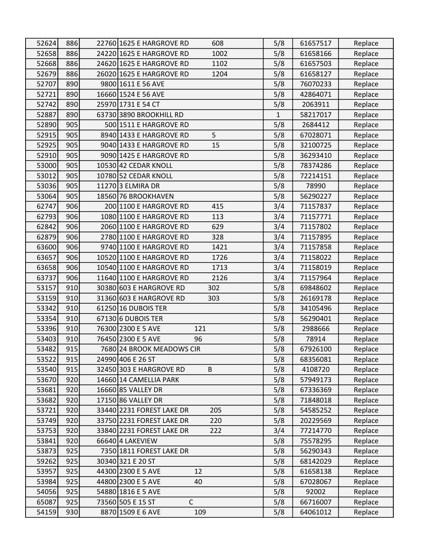| 52624 | 886 | 22760 1625 E HARGROVE RD<br>608  | 5/8          | 61657517 | Replace |
|-------|-----|----------------------------------|--------------|----------|---------|
| 52658 | 886 | 24220 1625 E HARGROVE RD<br>1002 | 5/8          | 61658166 | Replace |
| 52668 | 886 | 24620 1625 E HARGROVE RD<br>1102 | 5/8          | 61657503 | Replace |
| 52679 | 886 | 26020 1625 E HARGROVE RD<br>1204 | 5/8          | 61658127 | Replace |
| 52707 | 890 | 9800 1611 E 56 AVE               | 5/8          | 76070233 | Replace |
| 52721 | 890 | 16660 1524 E 56 AVE              | 5/8          | 42864071 | Replace |
| 52742 | 890 | 25970 1731 E 54 CT               | 5/8          | 2063911  | Replace |
| 52887 | 890 | 63730 3890 BROOKHILL RD          | $\mathbf{1}$ | 58217017 | Replace |
| 52890 | 905 | 500 1511 E HARGROVE RD           | 5/8          | 2684412  | Replace |
| 52915 | 905 | 5<br>8940 1433 E HARGROVE RD     | 5/8          | 67028071 | Replace |
| 52925 | 905 | 9040 1433 E HARGROVE RD<br>15    | 5/8          | 32100725 | Replace |
| 52910 | 905 | 9090 1425 E HARGROVE RD          | 5/8          | 36293410 | Replace |
| 53000 | 905 | 10530 42 CEDAR KNOLL             | 5/8          | 78374286 | Replace |
| 53012 | 905 | 10780 52 CEDAR KNOLL             | 5/8          | 72214151 | Replace |
| 53036 | 905 | 11270 3 ELMIRA DR                | 5/8          | 78990    | Replace |
| 53064 | 905 | 18560 76 BROOKHAVEN              | 5/8          | 56290227 | Replace |
| 62747 | 906 | 200 1100 E HARGROVE RD<br>415    | 3/4          | 71157837 | Replace |
| 62793 | 906 | 1080 1100 E HARGROVE RD<br>113   | 3/4          | 71157771 | Replace |
| 62842 | 906 | 629<br>2060 1100 E HARGROVE RD   | 3/4          | 71157802 | Replace |
| 62879 | 906 | 2780 1100 E HARGROVE RD<br>328   | 3/4          | 71157895 | Replace |
| 63600 | 906 | 9740 1100 E HARGROVE RD<br>1421  | 3/4          | 71157858 | Replace |
| 63657 | 906 | 10520 1100 E HARGROVE RD<br>1726 | 3/4          | 71158022 | Replace |
| 63658 | 906 | 10540 1100 E HARGROVE RD<br>1713 | 3/4          | 71158019 | Replace |
| 63737 | 906 | 11640 1100 E HARGROVE RD<br>2126 | 3/4          | 71157964 | Replace |
| 53157 | 910 | 30380 603 E HARGROVE RD<br>302   | 5/8          | 69848602 | Replace |
| 53159 | 910 | 31360 603 E HARGROVE RD<br>303   | 5/8          | 26169178 | Replace |
| 53342 | 910 | 61250 16 DUBOIS TER              | 5/8          | 34105496 | Replace |
| 53354 | 910 | 67130 6 DUBOIS TER               | 5/8          | 56290401 | Replace |
| 53396 | 910 | 76300 2300 E 5 AVE<br>121        | 5/8          | 2988666  | Replace |
| 53403 | 910 | 76450 2300 E 5 AVE<br>96         | 5/8          | 78914    | Replace |
| 53482 | 915 | 7680 24 BROOK MEADOWS CIR        | 5/8          | 67926100 | Replace |
| 53522 | 915 | 24990 406 E 26 ST                | 5/8          | 68356081 | Replace |
| 53540 | 915 | 32450 303 E HARGROVE RD<br>B     | 5/8          | 4108720  | Replace |
| 53670 | 920 | 14660 14 CAMELLIA PARK           | 5/8          | 57949173 | Replace |
| 53681 | 920 | 16660 85 VALLEY DR               | 5/8          | 67336369 | Replace |
| 53682 | 920 | 17150 86 VALLEY DR               | 5/8          | 71848018 | Replace |
| 53721 | 920 | 33440 2231 FOREST LAKE DR<br>205 | 5/8          | 54585252 | Replace |
| 53749 | 920 | 33750 2231 FOREST LAKE DR<br>220 | 5/8          | 20229569 | Replace |
| 53753 | 920 | 33840 2231 FOREST LAKE DR<br>222 | 3/4          | 77214770 | Replace |
| 53841 | 920 | 66640 4 LAKEVIEW                 | 5/8          | 75578295 | Replace |
| 53873 | 925 | 7350 1811 FOREST LAKE DR         | 5/8          | 56290343 | Replace |
| 59262 | 925 | 30340 321 E 20 ST                | 5/8          | 68142029 | Replace |
| 53957 | 925 | 44300 2300 E 5 AVE<br>12         | 5/8          | 61658138 | Replace |
| 53984 | 925 | 44800 2300 E 5 AVE<br>40         | 5/8          | 67028067 | Replace |
| 54056 | 925 | 54880 1816 E 5 AVE               | 5/8          | 92002    | Replace |
| 65087 | 925 | $\mathsf C$<br>73560 505 E 15 ST | 5/8          | 66716007 | Replace |
| 54159 | 930 | 8870 1509 E 6 AVE<br>109         | 5/8          | 64061012 | Replace |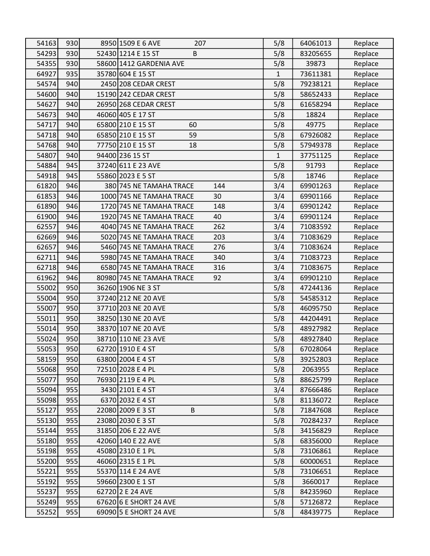| 54163 | 930 | 8950 1509 E 6 AVE<br>207        | 5/8          | 64061013 | Replace |
|-------|-----|---------------------------------|--------------|----------|---------|
| 54293 | 930 | 52430 1214 E 15 ST<br>B         | 5/8          | 83205655 | Replace |
| 54355 | 930 | 58600 1412 GARDENIA AVE         | 5/8          | 39873    | Replace |
| 64927 | 935 | 35780 604 E 15 ST               | 1            | 73611381 | Replace |
| 54574 | 940 | 2450 208 CEDAR CREST            | 5/8          | 79238121 | Replace |
| 54600 | 940 | 15190 242 CEDAR CREST           | 5/8          | 58652433 | Replace |
| 54627 | 940 | 26950 268 CEDAR CREST           | 5/8          | 61658294 | Replace |
| 54673 | 940 | 46060 405 E 17 ST               | 5/8          | 18824    | Replace |
| 54717 | 940 | 65800 210 E 15 ST<br>60         | 5/8          | 49775    | Replace |
| 54718 | 940 | 65850 210 E 15 ST<br>59         | 5/8          | 67926082 | Replace |
| 54768 | 940 | 77750 210 E 15 ST<br>18         | 5/8          | 57949378 | Replace |
| 54807 | 940 | 94400 236 15 ST                 | $\mathbf{1}$ | 37751125 | Replace |
| 54884 | 945 | 37240 611 E 23 AVE              | 5/8          | 91793    | Replace |
| 54918 | 945 | 55860 2023 E 5 ST               | 5/8          | 18746    | Replace |
| 61820 | 946 | 144<br>380 745 NE TAMAHA TRACE  | 3/4          | 69901263 | Replace |
| 61853 | 946 | 1000 745 NE TAMAHA TRACE<br>30  | 3/4          | 69901166 | Replace |
| 61890 | 946 | 1720 745 NE TAMAHA TRACE<br>148 | 3/4          | 69901242 | Replace |
| 61900 | 946 | 1920 745 NE TAMAHA TRACE<br>40  | 3/4          | 69901124 | Replace |
| 62557 | 946 | 262<br>4040 745 NE TAMAHA TRACE | 3/4          | 71083592 | Replace |
| 62669 | 946 | 203<br>5020 745 NE TAMAHA TRACE | 3/4          | 71083629 | Replace |
| 62657 | 946 | 5460 745 NE TAMAHA TRACE<br>276 | 3/4          | 71083624 | Replace |
| 62711 | 946 | 5980 745 NE TAMAHA TRACE<br>340 | 3/4          | 71083723 | Replace |
| 62718 | 946 | 6580 745 NE TAMAHA TRACE<br>316 | 3/4          | 71083675 | Replace |
| 61962 | 946 | 80980 745 NE TAMAHA TRACE<br>92 | 3/4          | 69901210 | Replace |
| 55002 | 950 | 36260 1906 NE 3 ST              | 5/8          | 47244136 | Replace |
| 55004 | 950 | 37240 212 NE 20 AVE             | 5/8          | 54585312 | Replace |
| 55007 | 950 | 37710 203 NE 20 AVE             | 5/8          | 46095750 | Replace |
| 55011 | 950 | 38250 130 NE 20 AVE             | 5/8          | 44204491 | Replace |
| 55014 | 950 | 38370 107 NE 20 AVE             | 5/8          | 48927982 | Replace |
| 55024 | 950 | 38710 110 NE 23 AVE             | 5/8          | 48927840 | Replace |
| 55053 | 950 | 62720 1910 E 4 ST               | 5/8          | 67028064 | Replace |
| 58159 | 950 | 63800 2004 E 4 ST               | 5/8          | 39252803 | Replace |
| 55068 | 950 | 72510 2028 E 4 PL               | 5/8          | 2063955  | Replace |
| 55077 | 950 | 76930 2119 E 4 PL               | 5/8          | 88625799 | Replace |
| 55094 | 955 | 3430 2101 E 4 ST                | 3/4          | 87666486 | Replace |
| 55098 | 955 | 6370 2032 E 4 ST                | 5/8          | 81136072 | Replace |
| 55127 | 955 | 22080 2009 E 3 ST<br>B          | 5/8          | 71847608 | Replace |
| 55130 | 955 | 23080 2030 E 3 ST               | 5/8          | 70284237 | Replace |
| 55144 | 955 | 31850 206 E 22 AVE              | 5/8          | 34156829 | Replace |
| 55180 | 955 | 42060 140 E 22 AVE              | 5/8          | 68356000 | Replace |
| 55198 | 955 | 45080 2310 E 1 PL               | 5/8          | 73106861 | Replace |
| 55200 | 955 | 46060 2315 E 1 PL               | 5/8          | 60000651 | Replace |
| 55221 | 955 | 55370 114 E 24 AVE              | 5/8          | 73106651 | Replace |
| 55192 | 955 | 59660 2300 E 1 ST               | 5/8          | 3660017  | Replace |
| 55237 | 955 | 62720 2 E 24 AVE                | 5/8          | 84235960 | Replace |
| 55249 | 955 | 67620 6 E SHORT 24 AVE          | 5/8          | 57126872 | Replace |
| 55252 | 955 | 69090 5 E SHORT 24 AVE          | 5/8          | 48439775 | Replace |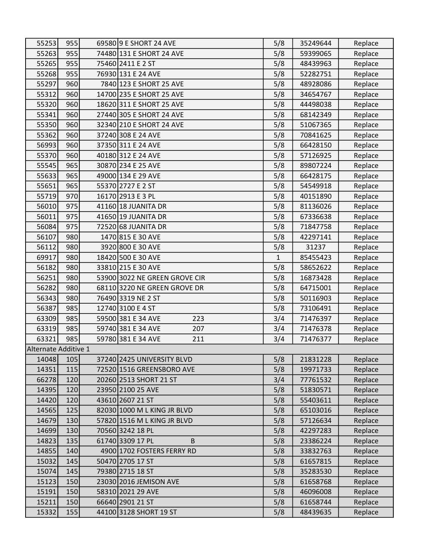| 55253                | 955 | 69580 9 E SHORT 24 AVE        | 5/8          | 35249644 | Replace |
|----------------------|-----|-------------------------------|--------------|----------|---------|
| 55263                | 955 | 74480 131 E SHORT 24 AVE      | 5/8          | 59399065 | Replace |
| 55265                | 955 | 75460 2411 E 2 ST             | 5/8          | 48439963 | Replace |
| 55268                | 955 | 76930 131 E 24 AVE            | 5/8          | 52282751 | Replace |
| 55297                | 960 | 7840 123 E SHORT 25 AVE       | 5/8          | 48928086 | Replace |
| 55312                | 960 | 14700 235 E SHORT 25 AVE      | 5/8          | 34654767 | Replace |
| 55320                | 960 | 18620 311 E SHORT 25 AVE      | 5/8          | 44498038 | Replace |
| 55341                | 960 | 27440 305 E SHORT 24 AVE      | 5/8          | 68142349 | Replace |
| 55350                | 960 | 32340 210 E SHORT 24 AVE      | 5/8          | 51067365 | Replace |
| 55362                | 960 | 37240 308 E 24 AVE            | 5/8          | 70841625 | Replace |
| 56993                | 960 | 37350 311 E 24 AVE            | 5/8          | 66428150 | Replace |
| 55370                | 960 | 40180 312 E 24 AVE            | 5/8          | 57126925 | Replace |
| 55545                | 965 | 30870 234 E 25 AVE            | 5/8          | 89807224 | Replace |
| 55633                | 965 | 49000 134 E 29 AVE            | 5/8          | 66428175 | Replace |
| 55651                | 965 | 55370 2727 E 2 ST             | 5/8          | 54549918 | Replace |
| 55719                | 970 | 16170 2913 E 3 PL             | 5/8          | 40151890 | Replace |
| 56010                | 975 | 41160 18 JUANITA DR           | 5/8          | 81136026 | Replace |
| 56011                | 975 | 41650 19 JUANITA DR           | 5/8          | 67336638 | Replace |
| 56084                | 975 | 72520 68 JUANITA DR           | 5/8          | 71847758 | Replace |
| 56107                | 980 | 1470 815 E 30 AVE             | 5/8          | 42297141 | Replace |
| 56112                | 980 | 3920 800 E 30 AVE             | 5/8          | 31237    | Replace |
| 69917                | 980 | 18420 500 E 30 AVE            | $\mathbf{1}$ | 85455423 | Replace |
| 56182                | 980 | 33810 215 E 30 AVE            | 5/8          | 58652622 | Replace |
| 56251                | 980 | 53900 3022 NE GREEN GROVE CIR | 5/8          | 16873428 | Replace |
| 56282                | 980 | 68110 3220 NE GREEN GROVE DR  | 5/8          | 64715001 | Replace |
| 56343                | 980 | 76490 3319 NE 2 ST            | 5/8          | 50116903 | Replace |
| 56387                | 985 | 12740 3100 E 4 ST             | 5/8          | 73106491 | Replace |
| 63309                | 985 | 59500 381 E 34 AVE<br>223     | 3/4          | 71476397 | Replace |
| 63319                | 985 | 59740 381 E 34 AVE<br>207     | 3/4          | 71476378 | Replace |
| 63321                | 985 | 59780 381 E 34 AVE<br>211     | 3/4          | 71476377 | Replace |
| Alternate Additive 1 |     |                               |              |          |         |
| 14048                | 105 | 37240 2425 UNIVERSITY BLVD    | 5/8          | 21831228 | Replace |
| 14351                | 115 | 72520 1516 GREENSBORO AVE     | 5/8          | 19971733 | Replace |
| 66278                | 120 | 20260 2513 SHORT 21 ST        | 3/4          | 77761532 | Replace |
| 14395                | 120 | 23950 2100 25 AVE             | 5/8          | 51830571 | Replace |
| 14420                | 120 | 43610 2607 21 ST              | 5/8          | 55403611 | Replace |
| 14565                | 125 | 82030 1000 M L KING JR BLVD   | 5/8          | 65103016 | Replace |
| 14679                | 130 | 57820 1516 M L KING JR BLVD   | 5/8          | 57126634 | Replace |
| 14699                | 130 | 70560 3242 18 PL              | 5/8          | 42297283 | Replace |
| 14823                | 135 | 61740 3309 17 PL<br>B         | 5/8          | 23386224 | Replace |
| 14855                | 140 | 4900 1702 FOSTERS FERRY RD    | 5/8          | 33832763 | Replace |
| 15032                | 145 | 50470 2705 17 ST              | 5/8          | 61657815 | Replace |
| 15074                | 145 | 79380 2715 18 ST              | 5/8          | 35283530 | Replace |
| 15123                | 150 | 23030 2016 JEMISON AVE        | 5/8          | 61658768 | Replace |
| 15191                | 150 | 58310 2021 29 AVE             | 5/8          | 46096008 | Replace |
| 15211                | 150 | 66640 2901 21 ST              | 5/8          | 61658744 | Replace |
| 15332                | 155 | 44100 3128 SHORT 19 ST        | 5/8          | 48439635 | Replace |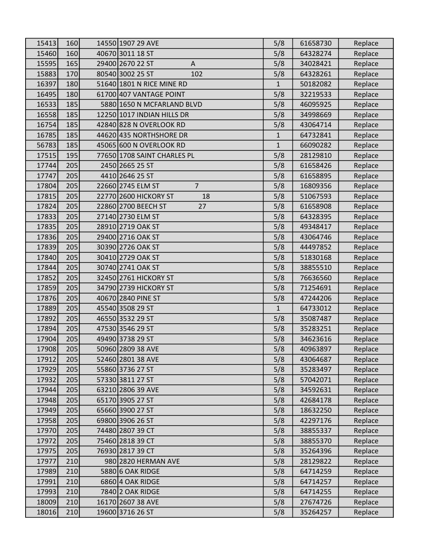| 15413 | 160 | 14550 1907 29 AVE                   | 5/8          | 61658730 | Replace |
|-------|-----|-------------------------------------|--------------|----------|---------|
| 15460 | 160 | 40670 3011 18 ST                    | 5/8          | 64328274 | Replace |
| 15595 | 165 | 29400 2670 22 ST<br>A               | 5/8          | 34028421 | Replace |
| 15883 | 170 | 80540 3002 25 ST<br>102             | 5/8          | 64328261 | Replace |
| 16397 | 180 | 51640 1801 N RICE MINE RD           | $\mathbf{1}$ | 50182082 | Replace |
| 16495 | 180 | 61700 407 VANTAGE POINT             | 5/8          | 32219533 | Replace |
| 16533 | 185 | 5880 1650 N MCFARLAND BLVD          | 5/8          | 46095925 | Replace |
| 16558 | 185 | 12250 1017 INDIAN HILLS DR          | 5/8          | 34998669 | Replace |
| 16754 | 185 | 42840 828 N OVERLOOK RD             | 5/8          | 43064714 | Replace |
| 16785 | 185 | 44620 435 NORTHSHORE DR             | $\mathbf{1}$ | 64732841 | Replace |
| 56783 | 185 | 45065 600 N OVERLOOK RD             | $\mathbf{1}$ | 66090282 | Replace |
| 17515 | 195 | 77650 1708 SAINT CHARLES PL         | 5/8          | 28129810 | Replace |
| 17744 | 205 | 2450 2665 25 ST                     | 5/8          | 61658426 | Replace |
| 17747 | 205 | 4410 2646 25 ST                     | 5/8          | 61658895 | Replace |
| 17804 | 205 | $\overline{7}$<br>22660 2745 ELM ST | 5/8          | 16809356 | Replace |
| 17815 | 205 | 22770 2600 HICKORY ST<br>18         | 5/8          | 51067593 | Replace |
| 17824 | 205 | 22860 2700 BEECH ST<br>27           | 5/8          | 61658908 | Replace |
| 17833 | 205 | 27140 2730 ELM ST                   | 5/8          | 64328395 | Replace |
| 17835 | 205 | 28910 2719 OAK ST                   | 5/8          | 49348417 | Replace |
| 17836 | 205 | 29400 2716 OAK ST                   | 5/8          | 43064746 | Replace |
| 17839 | 205 | 30390 2726 OAK ST                   | 5/8          | 44497852 | Replace |
| 17840 | 205 | 30410 2729 OAK ST                   | 5/8          | 51830168 | Replace |
| 17844 | 205 | 30740 2741 OAK ST                   | 5/8          | 38855510 | Replace |
| 17852 | 205 | 32450 2761 HICKORY ST               | 5/8          | 76636560 | Replace |
| 17859 | 205 | 34790 2739 HICKORY ST               | 5/8          | 71254691 | Replace |
| 17876 | 205 | 40670 2840 PINE ST                  | 5/8          | 47244206 | Replace |
| 17889 | 205 | 45540 3508 29 ST                    | $\mathbf{1}$ | 64733012 | Replace |
| 17892 | 205 | 46550 3532 29 ST                    | 5/8          | 35087487 | Replace |
| 17894 | 205 | 47530 3546 29 ST                    | 5/8          | 35283251 | Replace |
| 17904 | 205 | 49490 3738 29 ST                    | 5/8          | 34623616 | Replace |
| 17908 | 205 | 50960 2809 38 AVE                   | 5/8          | 40963897 | Replace |
| 17912 | 205 | 52460 2801 38 AVE                   | 5/8          | 43064687 | Replace |
| 17929 | 205 | 55860 3736 27 ST                    | 5/8          | 35283497 | Replace |
| 17932 | 205 | 57330 3811 27 ST                    | 5/8          | 57042071 | Replace |
| 17944 | 205 | 63210 2806 39 AVE                   | 5/8          | 34592631 | Replace |
| 17948 | 205 | 65170 3905 27 ST                    | 5/8          | 42684178 | Replace |
| 17949 | 205 | 65660 3900 27 ST                    | 5/8          | 18632250 | Replace |
| 17958 | 205 | 69800 3906 26 ST                    | 5/8          | 42297176 | Replace |
| 17970 | 205 | 74480 2807 39 CT                    | 5/8          | 38855337 | Replace |
| 17972 | 205 | 75460 2818 39 CT                    | 5/8          | 38855370 | Replace |
| 17975 | 205 | 76930 2817 39 CT                    | 5/8          | 35264396 | Replace |
| 17977 | 210 | 980 2820 HERMAN AVE                 | 5/8          | 28129822 | Replace |
| 17989 | 210 | 5880 6 OAK RIDGE                    | 5/8          | 64714259 | Replace |
| 17991 | 210 | 6860 4 OAK RIDGE                    | 5/8          | 64714257 | Replace |
| 17993 | 210 | 7840 2 OAK RIDGE                    | 5/8          | 64714255 | Replace |
| 18009 | 210 | 16170 2607 38 AVE                   | 5/8          | 27674726 | Replace |
| 18016 | 210 | 19600 3716 26 ST                    | 5/8          | 35264257 | Replace |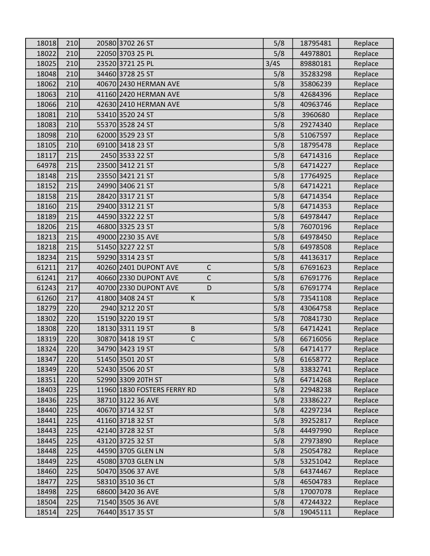| 18018 | 210 | 20580 3702 26 ST                      | 5/8  | 18795481 | Replace |
|-------|-----|---------------------------------------|------|----------|---------|
| 18022 | 210 | 22050 3703 25 PL                      | 5/8  | 44978801 | Replace |
| 18025 | 210 | 23520 3721 25 PL                      | 3/4S | 89880181 | Replace |
| 18048 | 210 | 34460 3728 25 ST                      | 5/8  | 35283298 | Replace |
| 18062 | 210 | 40670 2430 HERMAN AVE                 | 5/8  | 35806239 | Replace |
| 18063 | 210 | 41160 2420 HERMAN AVE                 | 5/8  | 42684396 | Replace |
| 18066 | 210 | 42630 2410 HERMAN AVE                 | 5/8  | 40963746 | Replace |
| 18081 | 210 | 53410 3520 24 ST                      | 5/8  | 3960680  | Replace |
| 18083 | 210 | 55370 3528 24 ST                      | 5/8  | 29274340 | Replace |
| 18098 | 210 | 62000 3529 23 ST                      | 5/8  | 51067597 | Replace |
| 18105 | 210 | 69100 3418 23 ST                      | 5/8  | 18795478 | Replace |
| 18117 | 215 | 2450 3533 22 ST                       | 5/8  | 64714316 | Replace |
| 64978 | 215 | 23500 3412 21 ST                      | 5/8  | 64714227 | Replace |
| 18148 | 215 | 23550 3421 21 ST                      | 5/8  | 17764925 | Replace |
| 18152 | 215 | 24990 3406 21 ST                      | 5/8  | 64714221 | Replace |
| 18158 | 215 | 28420 3317 21 ST                      | 5/8  | 64714354 | Replace |
| 18160 | 215 | 29400 3312 21 ST                      | 5/8  | 64714353 | Replace |
| 18189 | 215 | 44590 3322 22 ST                      | 5/8  | 64978447 | Replace |
| 18206 | 215 | 46800 3325 23 ST                      | 5/8  | 76070196 | Replace |
| 18213 | 215 | 49000 2230 35 AVE                     | 5/8  | 64978450 | Replace |
| 18218 | 215 | 51450 3227 22 ST                      | 5/8  | 64978508 | Replace |
| 18234 | 215 | 59290 3314 23 ST                      | 5/8  | 44136317 | Replace |
| 61211 | 217 | 40260 2401 DUPONT AVE<br>C            | 5/8  | 67691623 | Replace |
| 61241 | 217 | 40660 2330 DUPONT AVE<br>$\mathsf{C}$ | 5/8  | 67691776 | Replace |
| 61243 | 217 | 40700 2330 DUPONT AVE<br>D            | 5/8  | 67691774 | Replace |
| 61260 | 217 | 41800 3408 24 ST<br>K                 | 5/8  | 73541108 | Replace |
| 18279 | 220 | 2940 3212 20 ST                       | 5/8  | 43064758 | Replace |
| 18302 | 220 | 15190 3220 19 ST                      | 5/8  | 70841730 | Replace |
| 18308 | 220 | 18130 3311 19 ST<br>$\sf B$           | 5/8  | 64714241 | Replace |
| 18319 | 220 | $\mathsf C$<br>30870 3418 19 ST       | 5/8  | 66716056 | Replace |
| 18324 | 220 | 34790 3423 19 ST                      | 5/8  | 64714177 | Replace |
| 18347 | 220 | 51450 3501 20 ST                      | 5/8  | 61658772 | Replace |
| 18349 | 220 | 52430 3506 20 ST                      | 5/8  | 33832741 | Replace |
| 18351 | 220 | 52990 3309 20TH ST                    | 5/8  | 64714268 | Replace |
| 18403 | 225 | 11960 1830 FOSTERS FERRY RD           | 5/8  | 22948238 | Replace |
| 18436 | 225 | 38710 3122 36 AVE                     | 5/8  | 23386227 | Replace |
| 18440 | 225 | 40670 3714 32 ST                      | 5/8  | 42297234 | Replace |
| 18441 | 225 | 41160 3718 32 ST                      | 5/8  | 39252817 | Replace |
| 18443 | 225 | 42140 3728 32 ST                      | 5/8  | 44497990 | Replace |
| 18445 | 225 | 43120 3725 32 ST                      | 5/8  | 27973890 | Replace |
| 18448 | 225 | 44590 3705 GLEN LN                    | 5/8  | 25054782 | Replace |
| 18449 | 225 | 45080 3703 GLEN LN                    | 5/8  | 53251042 | Replace |
| 18460 | 225 | 50470 3506 37 AVE                     | 5/8  | 64374467 | Replace |
| 18477 | 225 | 58310 3510 36 CT                      | 5/8  | 46504783 | Replace |
| 18498 | 225 | 68600 3420 36 AVE                     | 5/8  | 17007078 | Replace |
| 18504 | 225 | 71540 3505 36 AVE                     | 5/8  | 47244322 | Replace |
| 18514 | 225 | 76440 3517 35 ST                      | 5/8  | 19045111 | Replace |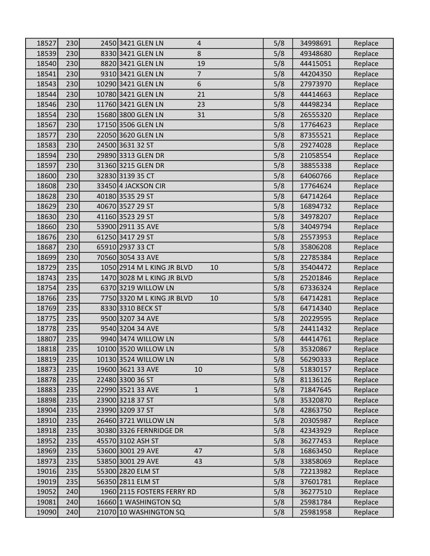| 18527 | 230 | 2450 3421 GLEN LN<br>4              | 5/8 | 34998691 | Replace |
|-------|-----|-------------------------------------|-----|----------|---------|
| 18539 | 230 | 8330 3421 GLEN LN<br>8              | 5/8 | 49348680 | Replace |
| 18540 | 230 | 8820 3421 GLEN LN<br>19             | 5/8 | 44415051 | Replace |
| 18541 | 230 | $\overline{7}$<br>9310 3421 GLEN LN | 5/8 | 44204350 | Replace |
| 18543 | 230 | 6<br>10290 3421 GLEN LN             | 5/8 | 27973970 | Replace |
| 18544 | 230 | 10780 3421 GLEN LN<br>21            | 5/8 | 44414663 | Replace |
| 18546 | 230 | 11760 3421 GLEN LN<br>23            | 5/8 | 44498234 | Replace |
| 18554 | 230 | 15680 3800 GLEN LN<br>31            | 5/8 | 26555320 | Replace |
| 18567 | 230 | 17150 3506 GLEN LN                  | 5/8 | 17764623 | Replace |
| 18577 | 230 | 22050 3620 GLEN LN                  | 5/8 | 87355521 | Replace |
| 18583 | 230 | 24500 3631 32 ST                    | 5/8 | 29274028 | Replace |
| 18594 | 230 | 29890 3313 GLEN DR                  | 5/8 | 21058554 | Replace |
| 18597 | 230 | 31360 3215 GLEN DR                  | 5/8 | 38855338 | Replace |
| 18600 | 230 | 32830 3139 35 CT                    | 5/8 | 64060766 | Replace |
| 18608 | 230 | 33450 4 JACKSON CIR                 | 5/8 | 17764624 | Replace |
| 18628 | 230 | 40180 3535 29 ST                    | 5/8 | 64714264 | Replace |
| 18629 | 230 | 40670 3527 29 ST                    | 5/8 | 16894732 | Replace |
| 18630 | 230 | 41160 3523 29 ST                    | 5/8 | 34978207 | Replace |
| 18660 | 230 | 53900 2911 35 AVE                   | 5/8 | 34049794 | Replace |
| 18676 | 230 | 61250 3417 29 ST                    | 5/8 | 25573953 | Replace |
| 18687 | 230 | 65910 2937 33 CT                    | 5/8 | 35806208 | Replace |
| 18699 | 230 | 70560 3054 33 AVE                   | 5/8 | 22785384 | Replace |
| 18729 | 235 | 1050 2914 M L KING JR BLVD<br>10    | 5/8 | 35404472 | Replace |
| 18743 | 235 | 1470 3028 M L KING JR BLVD          | 5/8 | 25201846 | Replace |
| 18754 | 235 | 6370 3219 WILLOW LN                 | 5/8 | 67336324 | Replace |
| 18766 | 235 | 7750 3320 M L KING JR BLVD<br>10    | 5/8 | 64714281 | Replace |
| 18769 | 235 | 8330 3310 BECK ST                   | 5/8 | 64714340 | Replace |
| 18775 | 235 | 9500 3207 34 AVE                    | 5/8 | 20229595 | Replace |
| 18778 | 235 | 9540 3204 34 AVE                    | 5/8 | 24411432 | Replace |
| 18807 | 235 | 9940 3474 WILLOW LN                 | 5/8 | 44414761 | Replace |
| 18818 | 235 | 10100 3520 WILLOW LN                | 5/8 | 35320867 | Replace |
| 18819 | 235 | 10130 3524 WILLOW LN                | 5/8 | 56290333 | Replace |
| 18873 | 235 | 19600 3621 33 AVE<br>10             | 5/8 | 51830157 | Replace |
| 18878 | 235 | 22480 3300 36 ST                    | 5/8 | 81136126 | Replace |
| 18883 | 235 | 22990 3521 33 AVE<br>$\mathbf 1$    | 5/8 | 71847645 | Replace |
| 18898 | 235 | 23900 3218 37 ST                    | 5/8 | 35320870 | Replace |
| 18904 | 235 | 23990 3209 37 ST                    | 5/8 | 42863750 | Replace |
| 18910 | 235 | 26460 3721 WILLOW LN                | 5/8 | 20305987 | Replace |
| 18918 | 235 | 30380 3326 FERNRIDGE DR             | 5/8 | 42343929 | Replace |
| 18952 | 235 | 45570 3102 ASH ST                   | 5/8 | 36277453 | Replace |
| 18969 | 235 | 53600 3001 29 AVE<br>47             | 5/8 | 16863450 | Replace |
| 18973 | 235 | 53850 3001 29 AVE<br>43             | 5/8 | 33858069 | Replace |
| 19016 | 235 | 55300 2820 ELM ST                   | 5/8 | 72213982 | Replace |
| 19019 | 235 | 56350 2811 ELM ST                   | 5/8 | 37601781 | Replace |
| 19052 | 240 | 1960 2115 FOSTERS FERRY RD          | 5/8 | 36277510 | Replace |
| 19081 | 240 | 16660 1 WASHINGTON SQ               | 5/8 | 25981784 | Replace |
| 19090 | 240 | 21070 10 WASHINGTON SQ              | 5/8 | 25981958 | Replace |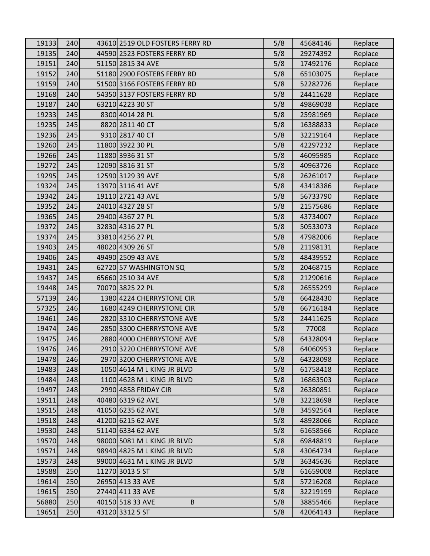| 19133 | 240 | 43610 2519 OLD FOSTERS FERRY RD | 5/8 | 45684146 | Replace |
|-------|-----|---------------------------------|-----|----------|---------|
| 19135 | 240 | 44590 2523 FOSTERS FERRY RD     | 5/8 | 29274392 | Replace |
| 19151 | 240 | 51150 2815 34 AVE               | 5/8 | 17492176 | Replace |
| 19152 | 240 | 51180 2900 FOSTERS FERRY RD     | 5/8 | 65103075 | Replace |
| 19159 | 240 | 51500 3166 FOSTERS FERRY RD     | 5/8 | 52282726 | Replace |
| 19168 | 240 | 54350 3137 FOSTERS FERRY RD     | 5/8 | 24411628 | Replace |
| 19187 | 240 | 63210 4223 30 ST                | 5/8 | 49869038 | Replace |
| 19233 | 245 | 8300 4014 28 PL                 | 5/8 | 25981969 | Replace |
| 19235 | 245 | 8820 2811 40 CT                 | 5/8 | 16388833 | Replace |
| 19236 | 245 | 9310 2817 40 CT                 | 5/8 | 32219164 | Replace |
| 19260 | 245 | 11800 3922 30 PL                | 5/8 | 42297232 | Replace |
| 19266 | 245 | 11880 3936 31 ST                | 5/8 | 46095985 | Replace |
| 19272 | 245 | 12090 3816 31 ST                | 5/8 | 40963726 | Replace |
| 19295 | 245 | 12590 3129 39 AVE               | 5/8 | 26261017 | Replace |
| 19324 | 245 | 13970 3116 41 AVE               | 5/8 | 43418386 | Replace |
| 19342 | 245 | 19110 2721 43 AVE               | 5/8 | 56733790 | Replace |
| 19352 | 245 | 24010 4327 28 ST                | 5/8 | 21575686 | Replace |
| 19365 | 245 | 29400 4367 27 PL                | 5/8 | 43734007 | Replace |
| 19372 | 245 | 32830 4316 27 PL                | 5/8 | 50533073 | Replace |
| 19374 | 245 | 33810 4256 27 PL                | 5/8 | 47982006 | Replace |
| 19403 | 245 | 48020 4309 26 ST                | 5/8 | 21198131 | Replace |
| 19406 | 245 | 49490 2509 43 AVE               | 5/8 | 48439552 | Replace |
| 19431 | 245 | 62720 57 WASHINGTON SQ          | 5/8 | 20468715 | Replace |
| 19437 | 245 | 65660 2510 34 AVE               | 5/8 | 21290616 | Replace |
| 19448 | 245 | 70070 3825 22 PL                | 5/8 | 26555299 | Replace |
| 57139 | 246 | 1380 4224 CHERRYSTONE CIR       | 5/8 | 66428430 | Replace |
| 57325 | 246 | 1680 4249 CHERRYSTONE CIR       | 5/8 | 66716184 | Replace |
| 19461 | 246 | 2820 3310 CHERRYSTONE AVE       | 5/8 | 24411625 | Replace |
| 19474 | 246 | 2850 3300 CHERRYSTONE AVE       | 5/8 | 77008    | Replace |
| 19475 | 246 | 2880 4000 CHERRYSTONE AVE       | 5/8 | 64328094 | Replace |
| 19476 | 246 | 2910 3220 CHERRYSTONE AVE       | 5/8 | 64060953 | Replace |
| 19478 | 246 | 2970 3200 CHERRYSTONE AVE       | 5/8 | 64328098 | Replace |
| 19483 | 248 | 1050 4614 M L KING JR BLVD      | 5/8 | 61758418 | Replace |
| 19484 | 248 | 1100 4628 M L KING JR BLVD      | 5/8 | 16863503 | Replace |
| 19497 | 248 | 2990 4858 FRIDAY CIR            | 5/8 | 26380851 | Replace |
| 19511 | 248 | 40480 6319 62 AVE               | 5/8 | 32218698 | Replace |
| 19515 | 248 | 41050 6235 62 AVE               | 5/8 | 34592564 | Replace |
| 19518 | 248 | 41200 6215 62 AVE               | 5/8 | 48928066 | Replace |
| 19530 | 248 | 51140 6334 62 AVE               | 5/8 | 61658566 | Replace |
| 19570 | 248 | 98000 5081 M L KING JR BLVD     | 5/8 | 69848819 | Replace |
| 19571 | 248 | 98940 4825 M L KING JR BLVD     | 5/8 | 43064734 | Replace |
| 19573 | 248 | 99000 4631 M L KING JR BLVD     | 5/8 | 36345636 | Replace |
| 19588 | 250 | 11270 3013 5 ST                 | 5/8 | 61659008 | Replace |
| 19614 | 250 | 26950 413 33 AVE                | 5/8 | 57216208 | Replace |
| 19615 | 250 | 27440 411 33 AVE                | 5/8 | 32219199 | Replace |
| 56880 | 250 | 40150 518 33 AVE<br>B           | 5/8 | 38855466 | Replace |
| 19651 | 250 | 43120 3312 5 ST                 | 5/8 | 42064143 | Replace |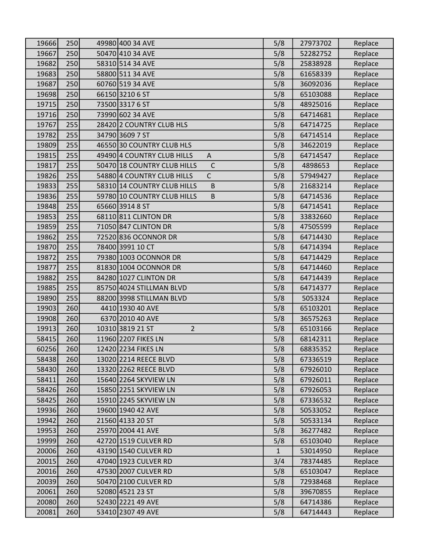| 19666 | 250 | 49980 400 34 AVE                           | 5/8          | 27973702 | Replace |
|-------|-----|--------------------------------------------|--------------|----------|---------|
| 19667 | 250 | 50470 410 34 AVE                           | 5/8          | 52282752 | Replace |
| 19682 | 250 | 58310 514 34 AVE                           | 5/8          | 25838928 | Replace |
| 19683 | 250 | 58800 511 34 AVE                           | 5/8          | 61658339 | Replace |
| 19687 | 250 | 60760 519 34 AVE                           | 5/8          | 36092036 | Replace |
| 19698 | 250 | 66150 3210 6 ST                            | 5/8          | 65103088 | Replace |
| 19715 | 250 | 73500 3317 6 ST                            | 5/8          | 48925016 | Replace |
| 19716 | 250 | 73990 602 34 AVE                           | 5/8          | 64714681 | Replace |
| 19767 | 255 | 28420 2 COUNTRY CLUB HLS                   | 5/8          | 64714725 | Replace |
| 19782 | 255 | 34790 3609 7 ST                            | 5/8          | 64714514 | Replace |
| 19809 | 255 | 46550 30 COUNTRY CLUB HLS                  | 5/8          | 34622019 | Replace |
| 19815 | 255 | 49490 4 COUNTRY CLUB HILLS<br>$\mathsf{A}$ | 5/8          | 64714547 | Replace |
| 19817 | 255 | 50470 18 COUNTRY CLUB HILLS<br>$\mathsf C$ | 5/8          | 4898653  | Replace |
| 19826 | 255 | 54880 4 COUNTRY CLUB HILLS<br>$\mathsf{C}$ | 5/8          | 57949427 | Replace |
| 19833 | 255 | $\sf B$<br>58310 14 COUNTRY CLUB HILLS     | 5/8          | 21683214 | Replace |
| 19836 | 255 | 59780 10 COUNTRY CLUB HILLS<br>B           | 5/8          | 64714536 | Replace |
| 19848 | 255 | 65660 3914 8 ST                            | 5/8          | 64714541 | Replace |
| 19853 | 255 | 68110 811 CLINTON DR                       | 5/8          | 33832660 | Replace |
| 19859 | 255 | 71050 847 CLINTON DR                       | 5/8          | 47505599 | Replace |
| 19862 | 255 | 72520 836 OCONNOR DR                       | 5/8          | 64714430 | Replace |
| 19870 | 255 | 78400 3991 10 CT                           | 5/8          | 64714394 | Replace |
| 19872 | 255 | 79380 1003 OCONNOR DR                      | 5/8          | 64714429 | Replace |
| 19877 | 255 | 81830 1004 OCONNOR DR                      | 5/8          | 64714460 | Replace |
| 19882 | 255 | 84280 1027 CLINTON DR                      | 5/8          | 64714439 | Replace |
| 19885 | 255 | 85750 4024 STILLMAN BLVD                   | 5/8          | 64714377 | Replace |
| 19890 | 255 | 88200 3998 STILLMAN BLVD                   | 5/8          | 5053324  | Replace |
| 19903 | 260 | 4410 1930 40 AVE                           | 5/8          | 65103201 | Replace |
| 19908 | 260 | 6370 2010 40 AVE                           | 5/8          | 36575263 | Replace |
| 19913 | 260 | 10310 3819 21 ST<br>$\overline{2}$         | 5/8          | 65103166 | Replace |
| 58415 | 260 | 11960 2207 FIKES LN                        | 5/8          | 68142311 | Replace |
| 60256 | 260 | 12420 2234 FIKES LN                        | 5/8          | 68835352 | Replace |
| 58438 | 260 | 13020 2214 REECE BLVD                      | 5/8          | 67336519 | Replace |
| 58430 | 260 | 13320 2262 REECE BLVD                      | 5/8          | 67926010 | Replace |
| 58411 | 260 | 15640 2264 SKYVIEW LN                      | 5/8          | 67926011 | Replace |
| 58426 | 260 | 15850 2251 SKYVIEW LN                      | 5/8          | 67926053 | Replace |
| 58425 | 260 | 15910 2245 SKYVIEW LN                      | 5/8          | 67336532 | Replace |
| 19936 | 260 | 19600 1940 42 AVE                          | 5/8          | 50533052 | Replace |
| 19942 | 260 | 21560 4133 20 ST                           | 5/8          | 50533134 | Replace |
| 19953 | 260 | 25970 2004 41 AVE                          | 5/8          | 36277482 | Replace |
| 19999 | 260 | 42720 1519 CULVER RD                       | 5/8          | 65103040 | Replace |
| 20006 | 260 | 43190 1540 CULVER RD                       | $\mathbf{1}$ | 53014950 | Replace |
| 20015 | 260 | 47040 1923 CULVER RD                       | 3/4          | 78374485 | Replace |
| 20016 | 260 | 47530 2007 CULVER RD                       | 5/8          | 65103047 | Replace |
| 20039 | 260 | 50470 2100 CULVER RD                       | 5/8          | 72938468 | Replace |
| 20061 | 260 | 52080 4521 23 ST                           | 5/8          | 39670855 | Replace |
| 20080 | 260 | 52430 2221 49 AVE                          | 5/8          | 64714386 | Replace |
| 20081 | 260 | 53410 2307 49 AVE                          | 5/8          | 64714443 | Replace |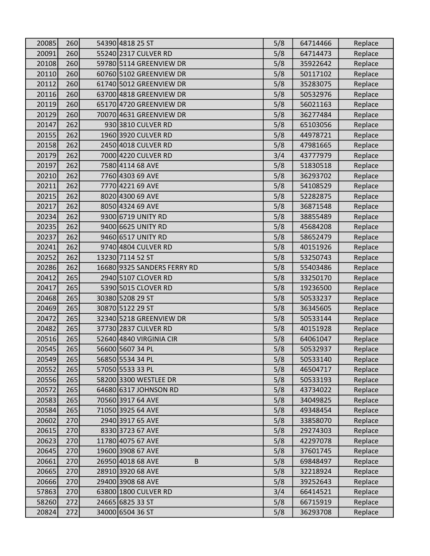| 20085 | 260 | 54390 4818 25 ST             | 5/8 | 64714466 | Replace |
|-------|-----|------------------------------|-----|----------|---------|
| 20091 | 260 | 55240 2317 CULVER RD         | 5/8 | 64714473 | Replace |
| 20108 | 260 | 59780 5114 GREENVIEW DR      | 5/8 | 35922642 | Replace |
| 20110 | 260 | 60760 5102 GREENVIEW DR      | 5/8 | 50117102 | Replace |
| 20112 | 260 | 61740 5012 GREENVIEW DR      | 5/8 | 35283075 | Replace |
| 20116 | 260 | 63700 4818 GREENVIEW DR      | 5/8 | 50532976 | Replace |
| 20119 | 260 | 65170 4720 GREENVIEW DR      | 5/8 | 56021163 | Replace |
| 20129 | 260 | 70070 4631 GREENVIEW DR      | 5/8 | 36277484 | Replace |
| 20147 | 262 | 930 3810 CULVER RD           | 5/8 | 65103056 | Replace |
| 20155 | 262 | 1960 3920 CULVER RD          | 5/8 | 44978721 | Replace |
| 20158 | 262 | 2450 4018 CULVER RD          | 5/8 | 47981665 | Replace |
| 20179 | 262 | 7000 4220 CULVER RD          | 3/4 | 43777979 | Replace |
| 20197 | 262 | 7580 4114 68 AVE             | 5/8 | 51830518 | Replace |
| 20210 | 262 | 7760 4303 69 AVE             | 5/8 | 36293702 | Replace |
| 20211 | 262 | 7770 4221 69 AVE             | 5/8 | 54108529 | Replace |
| 20215 | 262 | 8020 4300 69 AVE             | 5/8 | 52282875 | Replace |
| 20217 | 262 | 8050 4324 69 AVE             | 5/8 | 36871548 | Replace |
| 20234 | 262 | 9300 6719 UNITY RD           | 5/8 | 38855489 | Replace |
| 20235 | 262 | 9400 6625 UNITY RD           | 5/8 | 45684208 | Replace |
| 20237 | 262 | 9460 6517 UNITY RD           | 5/8 | 58652479 | Replace |
| 20241 | 262 | 9740 4804 CULVER RD          | 5/8 | 40151926 | Replace |
| 20252 | 262 | 13230 7114 52 ST             | 5/8 | 53250743 | Replace |
| 20286 | 262 | 16680 9325 SANDERS FERRY RD  | 5/8 | 55403486 | Replace |
| 20412 | 265 | 2940 5107 CLOVER RD          | 5/8 | 33250170 | Replace |
| 20417 | 265 | 5390 5015 CLOVER RD          | 5/8 | 19236500 | Replace |
| 20468 | 265 | 30380 5208 29 ST             | 5/8 | 50533237 | Replace |
| 20469 | 265 | 30870 5122 29 ST             | 5/8 | 36345605 | Replace |
| 20472 | 265 | 32340 5218 GREENVIEW DR      | 5/8 | 50533144 | Replace |
| 20482 | 265 | 37730 2837 CULVER RD         | 5/8 | 40151928 | Replace |
| 20516 | 265 | 52640 4840 VIRGINIA CIR      | 5/8 | 64061047 | Replace |
| 20545 | 265 | 56600 5607 34 PL             | 5/8 | 50532937 | Replace |
| 20549 | 265 | 56850 5534 34 PL             | 5/8 | 50533140 | Replace |
| 20552 | 265 | 57050 5533 33 PL             | 5/8 | 46504717 | Replace |
| 20556 | 265 | 58200 3300 WESTLEE DR        | 5/8 | 50533193 | Replace |
| 20572 | 265 | 64680 6317 JOHNSON RD        | 5/8 | 43734022 | Replace |
| 20583 | 265 | 70560 3917 64 AVE            | 5/8 | 34049825 | Replace |
| 20584 | 265 | 71050 3925 64 AVE            | 5/8 | 49348454 | Replace |
| 20602 | 270 | 2940 3917 65 AVE             | 5/8 | 33858070 | Replace |
| 20615 | 270 | 8330 3723 67 AVE             | 5/8 | 29274303 | Replace |
| 20623 | 270 | 11780 4075 67 AVE            | 5/8 | 42297078 | Replace |
| 20645 | 270 | 19600 3908 67 AVE            | 5/8 | 37601745 | Replace |
| 20661 | 270 | 26950 4018 68 AVE<br>$\sf B$ | 5/8 | 69848497 | Replace |
| 20665 | 270 | 28910 3920 68 AVE            | 5/8 | 32218924 | Replace |
| 20666 | 270 | 29400 3908 68 AVE            | 5/8 | 39252643 | Replace |
| 57863 | 270 | 63800 1800 CULVER RD         | 3/4 | 66414521 | Replace |
| 58260 | 272 | 24665 6825 33 ST             | 5/8 | 66715919 | Replace |
| 20824 | 272 | 34000 6504 36 ST             | 5/8 | 36293708 | Replace |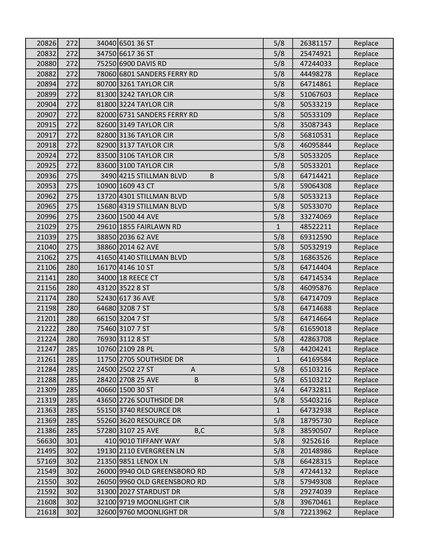| 20826 | 272 | 34040 6501 36 ST             | 5/8          | 26381157 | Replace |
|-------|-----|------------------------------|--------------|----------|---------|
| 20832 | 272 | 34750 6617 36 ST             | 5/8          | 25474921 | Replace |
| 20880 | 272 | 75250 6900 DAVIS RD          | 5/8          | 47244033 | Replace |
| 20882 | 272 | 78060 6801 SANDERS FERRY RD  | 5/8          | 44498278 | Replace |
| 20894 | 272 | 80700 3261 TAYLOR CIR        | 5/8          | 64714861 | Replace |
| 20899 | 272 | 81300 3242 TAYLOR CIR        | 5/8          | 51067603 | Replace |
| 20904 | 272 | 81800 3224 TAYLOR CIR        | 5/8          | 50533219 | Replace |
| 20907 | 272 | 82000 6731 SANDERS FERRY RD  | 5/8          | 50533109 | Replace |
| 20915 | 272 | 82600 3149 TAYLOR CIR        | 5/8          | 35087343 | Replace |
| 20917 | 272 | 82800 3136 TAYLOR CIR        | 5/8          | 56810531 | Replace |
| 20918 | 272 | 82900 3137 TAYLOR CIR        | 5/8          | 46095844 | Replace |
| 20924 | 272 | 83500 3106 TAYLOR CIR        | 5/8          | 50533205 | Replace |
| 20925 | 272 | 83600 3100 TAYLOR CIR        | 5/8          | 50533201 | Replace |
| 20936 | 275 | 3490 4215 STILLMAN BLVD<br>B | 5/8          | 64714421 | Replace |
| 20953 | 275 | 10900 1609 43 CT             | 5/8          | 59064308 | Replace |
| 20962 | 275 | 13720 4301 STILLMAN BLVD     | 5/8          | 50533213 | Replace |
| 20965 | 275 | 15680 4319 STILLMAN BLVD     | 5/8          | 50533070 | Replace |
| 20996 | 275 | 23600 1500 44 AVE            | 5/8          | 33274069 | Replace |
| 21029 | 275 | 29610 1855 FAIRLAWN RD       | $\mathbf{1}$ | 48522211 | Replace |
| 21039 | 275 | 38850 2036 62 AVE            | 5/8          | 69312590 | Replace |
| 21040 | 275 | 38860 2014 62 AVE            | 5/8          | 50532919 | Replace |
| 21062 | 275 | 41650 4140 STILLMAN BLVD     | 5/8          | 16863526 | Replace |
| 21106 | 280 | 16170 4146 10 ST             | 5/8          | 64714404 | Replace |
| 21141 | 280 | 34000 18 REECE CT            | 5/8          | 64714534 | Replace |
| 21156 | 280 | 43120 3522 8 ST              | 5/8          | 46095876 | Replace |
| 21174 | 280 | 52430 617 36 AVE             | 5/8          | 64714709 | Replace |
| 21198 | 280 | 64680 3208 7 ST              | 5/8          | 64714688 | Replace |
| 21201 | 280 | 66150 3204 7 ST              | 5/8          | 64714664 | Replace |
| 21222 | 280 | 75460 3107 7 ST              | 5/8          | 61659018 | Replace |
| 21224 | 280 | 76930 3112 8 ST              | 5/8          | 42863708 | Replace |
| 21247 | 285 | 10760 2109 28 PL             | 5/8          | 44204241 | Replace |
| 21261 | 285 | 11750 2705 SOUTHSIDE DR      | $\mathbf{1}$ | 64169584 | Replace |
| 21284 | 285 | 24500 2502 27 ST<br>A        | 5/8          | 65103216 | Replace |
| 21288 | 285 | 28420 2708 25 AVE<br>$\sf B$ | 5/8          | 65103212 | Replace |
| 21309 | 285 | 40660 1500 30 ST             | 3/4          | 64732811 | Replace |
| 21319 | 285 | 43650 2726 SOUTHSIDE DR      | 5/8          | 55403216 | Replace |
| 21363 | 285 | 55150 3740 RESOURCE DR       | $\mathbf{1}$ | 64732938 | Replace |
| 21369 | 285 | 55260 3620 RESOURCE DR       | 5/8          | 18795730 | Replace |
| 21386 | 285 | 57280 3107 25 AVE<br>B,C     | 5/8          | 38590507 | Replace |
| 56630 | 301 | 410 9010 TIFFANY WAY         | 5/8          | 9252616  | Replace |
| 21495 | 302 | 19130 2110 EVERGREEN LN      | 5/8          | 20148986 | Replace |
| 57169 | 302 | 21350 9851 LENOX LN          | 5/8          | 66428315 | Replace |
| 21549 | 302 | 26000 9940 OLD GREENSBORO RD | 5/8          | 47244132 | Replace |
| 21550 | 302 | 26050 9960 OLD GREENSBORO RD | 5/8          | 57949308 | Replace |
| 21592 | 302 | 31300 2027 STARDUST DR       | 5/8          | 29274039 | Replace |
| 21608 | 302 | 32100 9719 MOONLIGHT CIR     | 5/8          | 39670461 | Replace |
| 21618 | 302 | 32600 9760 MOONLIGHT DR      | 5/8          | 72213962 | Replace |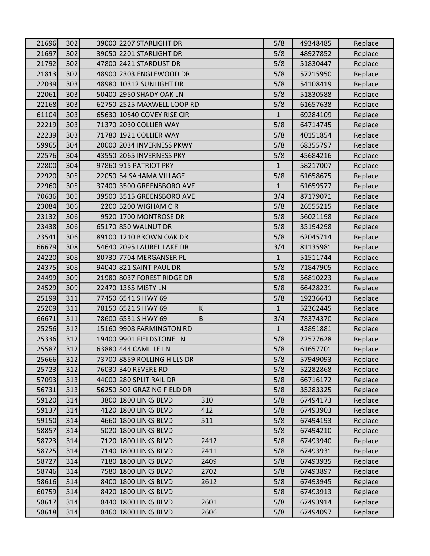| 21696 | 302 | 39000 2207 STARLIGHT DR        | 5/8          | 49348485 | Replace |
|-------|-----|--------------------------------|--------------|----------|---------|
| 21697 | 302 | 39050 2201 STARLIGHT DR        | 5/8          | 48927852 | Replace |
| 21792 | 302 | 47800 2421 STARDUST DR         | 5/8          | 51830447 | Replace |
| 21813 | 302 | 48900 2303 ENGLEWOOD DR        | 5/8          | 57215950 | Replace |
| 22039 | 303 | 48980 10312 SUNLIGHT DR        | 5/8          | 54108419 | Replace |
| 22061 | 303 | 50400 2950 SHADY OAK LN        | 5/8          | 51830588 | Replace |
| 22168 | 303 | 62750 2525 MAXWELL LOOP RD     | 5/8          | 61657638 | Replace |
| 61104 | 303 | 65630 10540 COVEY RISE CIR     | $\mathbf{1}$ | 69284109 | Replace |
| 22219 | 303 | 71370 2030 COLLIER WAY         | 5/8          | 64714745 | Replace |
| 22239 | 303 | 71780 1921 COLLIER WAY         | 5/8          | 40151854 | Replace |
| 59965 | 304 | 20000 2034 INVERNESS PKWY      | 5/8          | 68355797 | Replace |
| 22576 | 304 | 43550 2065 INVERNESS PKY       | 5/8          | 45684216 | Replace |
| 22800 | 304 | 97860 915 PATRIOT PKY          | $\mathbf{1}$ | 58217007 | Replace |
| 22920 | 305 | 22050 54 SAHAMA VILLAGE        | 5/8          | 61658675 | Replace |
| 22960 | 305 | 37400 3500 GREENSBORO AVE      | $\mathbf{1}$ | 61659577 | Replace |
| 70636 | 305 | 39500 3515 GREENSBORO AVE      | 3/4          | 87179071 | Replace |
| 23084 | 306 | 2200 5200 WIGHAM CIR           | 5/8          | 26555215 | Replace |
| 23132 | 306 | 9520 1700 MONTROSE DR          | 5/8          | 56021198 | Replace |
| 23438 | 306 | 65170 850 WALNUT DR            | 5/8          | 35194298 | Replace |
| 23541 | 306 | 89100 1210 BROWN OAK DR        | 5/8          | 62045714 | Replace |
| 66679 | 308 | 54640 2095 LAUREL LAKE DR      | 3/4          | 81135981 | Replace |
| 24220 | 308 | 80730 7704 MERGANSER PL        | $\mathbf{1}$ | 51511744 | Replace |
| 24375 | 308 | 94040 821 SAINT PAUL DR        | 5/8          | 71847905 | Replace |
| 24499 | 309 | 21980 8037 FOREST RIDGE DR     | 5/8          | 56810223 | Replace |
| 24529 | 309 | 22470 1365 MISTY LN            | 5/8          | 66428231 | Replace |
| 25199 | 311 | 77450 6541 S HWY 69            | 5/8          | 19236643 | Replace |
| 25209 | 311 | 78150 6521 S HWY 69<br>К       | $\mathbf{1}$ | 52362445 | Replace |
| 66671 | 311 | 78600 6531 S HWY 69<br>$\sf B$ | 3/4          | 78374370 | Replace |
| 25256 | 312 | 15160 9908 FARMINGTON RD       | $\mathbf{1}$ | 43891881 | Replace |
| 25336 | 312 | 19400 9901 FIELDSTONE LN       | 5/8          | 22577628 | Replace |
| 25587 | 312 | 63880 444 CAMILLE LN           | 5/8          | 61657701 | Replace |
| 25666 | 312 | 73700 8859 ROLLING HILLS DR    | 5/8          | 57949093 | Replace |
| 25723 | 312 | 76030 340 REVERE RD            | 5/8          | 52282868 | Replace |
| 57093 | 313 | 44000 280 SPLIT RAIL DR        | 5/8          | 66716172 | Replace |
| 56731 | 313 | 56250 502 GRAZING FIELD DR     | 5/8          | 35283325 | Replace |
| 59120 | 314 | 3800 1800 LINKS BLVD<br>310    | 5/8          | 67494173 | Replace |
| 59137 | 314 | 4120 1800 LINKS BLVD<br>412    | 5/8          | 67493903 | Replace |
| 59150 | 314 | 4660 1800 LINKS BLVD<br>511    | 5/8          | 67494193 | Replace |
| 58857 | 314 | 5020 1800 LINKS BLVD           | 5/8          | 67494210 | Replace |
| 58723 | 314 | 7120 1800 LINKS BLVD<br>2412   | 5/8          | 67493940 | Replace |
| 58725 | 314 | 7140 1800 LINKS BLVD<br>2411   | 5/8          | 67493931 | Replace |
| 58727 | 314 | 7180 1800 LINKS BLVD<br>2409   | 5/8          | 67493935 | Replace |
| 58746 | 314 | 7580 1800 LINKS BLVD<br>2702   | 5/8          | 67493897 | Replace |
| 58616 | 314 | 8400 1800 LINKS BLVD<br>2612   | 5/8          | 67493945 | Replace |
| 60759 | 314 | 8420 1800 LINKS BLVD           | 5/8          | 67493913 | Replace |
| 58617 | 314 | 8440 1800 LINKS BLVD<br>2601   | 5/8          | 67493914 | Replace |
| 58618 | 314 | 8460 1800 LINKS BLVD<br>2606   | 5/8          | 67494097 | Replace |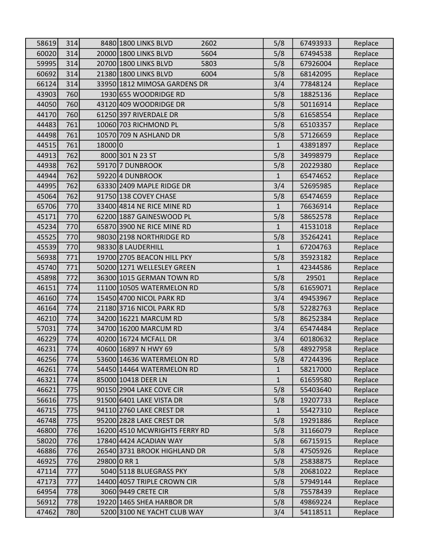| 58619 | 314 |         | 8480 1800 LINKS BLVD<br>2602  | 5/8          | 67493933 | Replace |
|-------|-----|---------|-------------------------------|--------------|----------|---------|
| 60020 | 314 |         | 20000 1800 LINKS BLVD<br>5604 | 5/8          | 67494538 | Replace |
| 59995 | 314 |         | 20700 1800 LINKS BLVD<br>5803 | 5/8          | 67926004 | Replace |
| 60692 | 314 |         | 21380 1800 LINKS BLVD<br>6004 | 5/8          | 68142095 | Replace |
| 66124 | 314 |         | 33950 1812 MIMOSA GARDENS DR  | 3/4          | 77848124 | Replace |
| 43903 | 760 |         | 1930 655 WOODRIDGE RD         | 5/8          | 18825136 | Replace |
| 44050 | 760 |         | 43120 409 WOODRIDGE DR        | 5/8          | 50116914 | Replace |
| 44170 | 760 |         | 61250 397 RIVERDALE DR        | 5/8          | 61658554 | Replace |
| 44483 | 761 |         | 10060 703 RICHMOND PL         | 5/8          | 65103357 | Replace |
| 44498 | 761 |         | 10570 709 N ASHLAND DR        | 5/8          | 57126659 | Replace |
| 44515 | 761 | 18000 0 |                               | $\mathbf{1}$ | 43891897 | Replace |
| 44913 | 762 |         | 8000 301 N 23 ST              | 5/8          | 34998979 | Replace |
| 44938 | 762 |         | 59170 7 DUNBROOK              | 5/8          | 20229380 | Replace |
| 44944 | 762 |         | 59220 4 DUNBROOK              | $\mathbf{1}$ | 65474652 | Replace |
| 44995 | 762 |         | 63330 2409 MAPLE RIDGE DR     | 3/4          | 52695985 | Replace |
| 45064 | 762 |         | 91750 138 COVEY CHASE         | 5/8          | 65474659 | Replace |
| 65706 | 770 |         | 33400 4814 NE RICE MINE RD    | $\mathbf{1}$ | 76636914 | Replace |
| 45171 | 770 |         | 62200 1887 GAINESWOOD PL      | 5/8          | 58652578 | Replace |
| 45234 | 770 |         | 65870 3900 NE RICE MINE RD    | $\mathbf{1}$ | 41531018 | Replace |
| 45525 | 770 |         | 98030 2198 NORTHRIDGE RD      | 5/8          | 35264241 | Replace |
| 45539 | 770 |         | 98330 8 LAUDERHILL            | $\mathbf{1}$ | 67204763 | Replace |
| 56938 | 771 |         | 19700 2705 BEACON HILL PKY    | 5/8          | 35923182 | Replace |
| 45740 | 771 |         | 50200 1271 WELLESLEY GREEN    | $\mathbf{1}$ | 42344586 | Replace |
| 45898 | 772 |         | 36300 1015 GERMAN TOWN RD     | 5/8          | 29501    | Replace |
| 46151 | 774 |         | 11100 10505 WATERMELON RD     | 5/8          | 61659071 | Replace |
| 46160 | 774 |         | 15450 4700 NICOL PARK RD      | 3/4          | 49453967 | Replace |
| 46164 | 774 |         | 21180 3716 NICOL PARK RD      | 5/8          | 52282763 | Replace |
| 46210 | 774 |         | 34200 16221 MARCUM RD         | 5/8          | 86252384 | Replace |
| 57031 | 774 |         | 34700 16200 MARCUM RD         | 3/4          | 65474484 | Replace |
| 46229 | 774 |         | 40200 16724 MCFALL DR         | 3/4          | 60180632 | Replace |
| 46231 | 774 |         | 40600 16897 N HWY 69          | 5/8          | 48927958 | Replace |
| 46256 | 774 |         | 53600 14636 WATERMELON RD     | 5/8          | 47244396 | Replace |
| 46261 | 774 |         | 54450 14464 WATERMELON RD     | $\mathbf{1}$ | 58217000 | Replace |
| 46321 | 774 |         | 85000 10418 DEER LN           | $\mathbf{1}$ | 61659580 | Replace |
| 46621 | 775 |         | 90150 2904 LAKE COVE CIR      | 5/8          | 55403640 | Replace |
| 56616 | 775 |         | 91500 6401 LAKE VISTA DR      | 5/8          | 19207733 | Replace |
| 46715 | 775 |         | 94110 2760 LAKE CREST DR      | $\mathbf{1}$ | 55427310 | Replace |
| 46748 | 775 |         | 95200 2828 LAKE CREST DR      | 5/8          | 19291886 | Replace |
| 46800 | 776 |         | 16200 4510 MCWRIGHTS FERRY RD | 5/8          | 31166079 | Replace |
| 58020 | 776 |         | 17840 4424 ACADIAN WAY        | 5/8          | 66715915 | Replace |
| 46886 | 776 |         | 26540 3731 BROOK HIGHLAND DR  | 5/8          | 47505926 | Replace |
| 46925 | 776 |         | 29800 0 RR 1                  | 5/8          | 25838875 | Replace |
| 47114 | 777 |         | 5040 5118 BLUEGRASS PKY       | 5/8          | 20681022 | Replace |
| 47173 | 777 |         | 14400 4057 TRIPLE CROWN CIR   | 5/8          | 57949144 | Replace |
| 64954 | 778 |         | 3060 9449 CRETE CIR           | 5/8          | 75578439 | Replace |
| 56912 | 778 |         | 19220 1465 SHEA HARBOR DR     | 5/8          | 49869224 | Replace |
| 47462 | 780 |         | 5200 3100 NE YACHT CLUB WAY   | 3/4          | 54118511 | Replace |